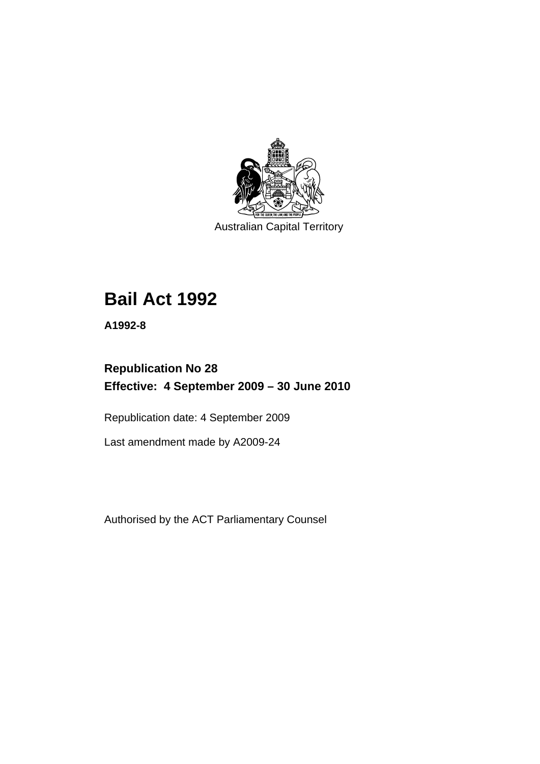

Australian Capital Territory

# **[Bail Act 1992](#page-6-0)**

**A1992-8** 

# **Republication No 28 Effective: 4 September 2009 – 30 June 2010**

Republication date: 4 September 2009

Last amendment made by A2009-24

Authorised by the ACT Parliamentary Counsel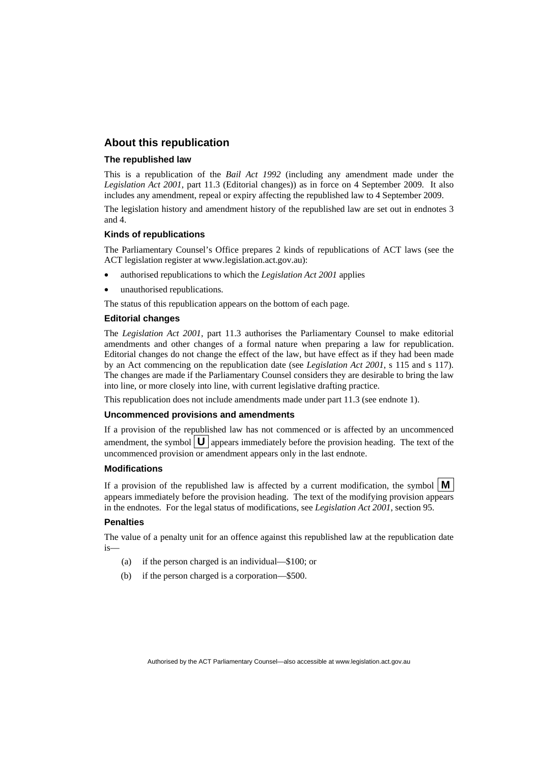## **About this republication**

#### **The republished law**

This is a republication of the *Bail Act 1992* (including any amendment made under the *Legislation Act 2001*, part 11.3 (Editorial changes)) as in force on 4 September 2009*.* It also includes any amendment, repeal or expiry affecting the republished law to 4 September 2009.

The legislation history and amendment history of the republished law are set out in endnotes 3 and 4.

#### **Kinds of republications**

The Parliamentary Counsel's Office prepares 2 kinds of republications of ACT laws (see the ACT legislation register at www.legislation.act.gov.au):

- authorised republications to which the *Legislation Act 2001* applies
- unauthorised republications.

The status of this republication appears on the bottom of each page.

#### **Editorial changes**

The *Legislation Act 2001*, part 11.3 authorises the Parliamentary Counsel to make editorial amendments and other changes of a formal nature when preparing a law for republication. Editorial changes do not change the effect of the law, but have effect as if they had been made by an Act commencing on the republication date (see *Legislation Act 2001*, s 115 and s 117). The changes are made if the Parliamentary Counsel considers they are desirable to bring the law into line, or more closely into line, with current legislative drafting practice.

This republication does not include amendments made under part 11.3 (see endnote 1).

#### **Uncommenced provisions and amendments**

If a provision of the republished law has not commenced or is affected by an uncommenced amendment, the symbol  $\mathbf{U}$  appears immediately before the provision heading. The text of the uncommenced provision or amendment appears only in the last endnote.

#### **Modifications**

If a provision of the republished law is affected by a current modification, the symbol  $\mathbf{M}$ appears immediately before the provision heading. The text of the modifying provision appears in the endnotes. For the legal status of modifications, see *Legislation Act 2001*, section 95.

#### **Penalties**

The value of a penalty unit for an offence against this republished law at the republication date is—

- (a) if the person charged is an individual—\$100; or
- (b) if the person charged is a corporation—\$500.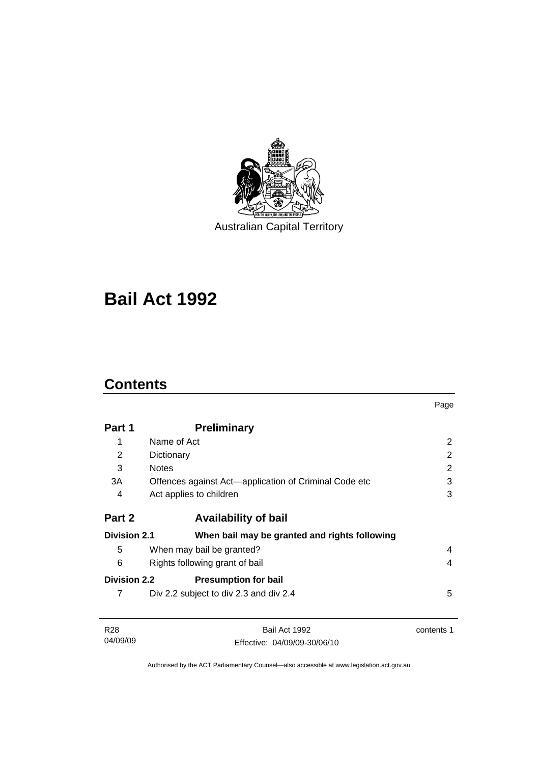

Australian Capital Territory

# **[Bail Act 1992](#page-6-0)**

# **Contents**

04/09/09

|                     |                                                       | Page           |
|---------------------|-------------------------------------------------------|----------------|
| Part 1              | <b>Preliminary</b>                                    |                |
| 1                   | Name of Act                                           | 2              |
| 2                   | Dictionary                                            | $\overline{2}$ |
| 3                   | <b>Notes</b>                                          | 2              |
| 3A                  | Offences against Act-application of Criminal Code etc | 3              |
| 4                   | Act applies to children                               | 3              |
| Part 2              | <b>Availability of bail</b>                           |                |
| <b>Division 2.1</b> | When bail may be granted and rights following         |                |
| 5                   | When may bail be granted?                             | 4              |
| 6                   | Rights following grant of bail                        | 4              |
| <b>Division 2.2</b> | <b>Presumption for bail</b>                           |                |
| 7                   | Div 2.2 subject to div 2.3 and div 2.4                | 5              |
| R <sub>28</sub>     | Bail Act 1992                                         | contents 1     |

Authorised by the ACT Parliamentary Counsel—also accessible at www.legislation.act.gov.au

Effective: 04/09/09-30/06/10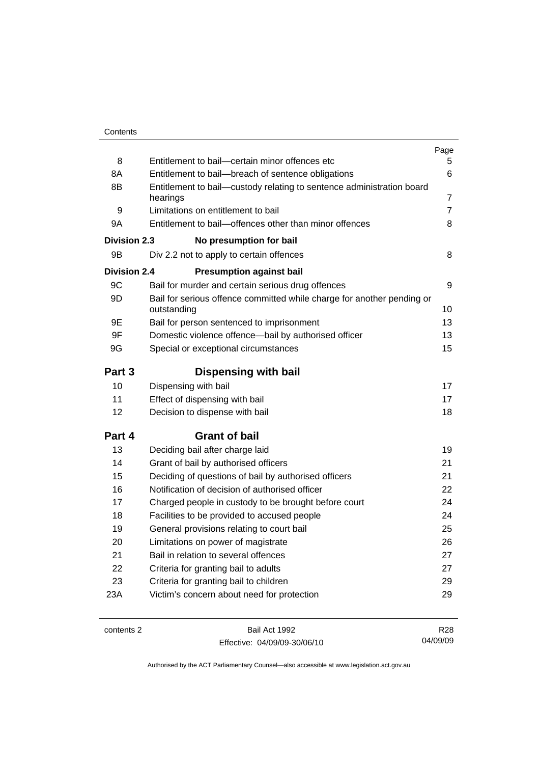|                     |                                                                                       | Page            |
|---------------------|---------------------------------------------------------------------------------------|-----------------|
| 8                   | Entitlement to bail-certain minor offences etc                                        | 5.              |
| 8A                  | Entitlement to bail-breach of sentence obligations                                    | 6               |
| 8B                  | Entitlement to bail-custody relating to sentence administration board<br>hearings     | 7               |
| 9                   | Limitations on entitlement to bail                                                    | 7               |
| 9A                  | Entitlement to bail-offences other than minor offences                                | 8               |
| <b>Division 2.3</b> | No presumption for bail                                                               |                 |
| 9Β                  | Div 2.2 not to apply to certain offences                                              | 8               |
| <b>Division 2.4</b> | <b>Presumption against bail</b>                                                       |                 |
| 9C                  | Bail for murder and certain serious drug offences                                     | 9               |
| 9D                  | Bail for serious offence committed while charge for another pending or<br>outstanding | 10              |
| 9E                  | Bail for person sentenced to imprisonment                                             | 13              |
| 9F                  | Domestic violence offence-bail by authorised officer                                  | 13              |
| 9G                  | Special or exceptional circumstances                                                  | 15              |
| Part 3              | <b>Dispensing with bail</b>                                                           |                 |
| 10                  | Dispensing with bail                                                                  | 17              |
| 11                  | Effect of dispensing with bail                                                        | 17              |
| 12                  | Decision to dispense with bail                                                        | 18              |
| Part 4              | <b>Grant of bail</b>                                                                  |                 |
| 13                  | Deciding bail after charge laid                                                       | 19              |
| 14                  | Grant of bail by authorised officers                                                  | 21              |
| 15                  | Deciding of questions of bail by authorised officers                                  | 21              |
| 16                  | Notification of decision of authorised officer                                        | 22              |
| 17                  | Charged people in custody to be brought before court                                  | 24              |
| 18                  | Facilities to be provided to accused people                                           | 24              |
| 19                  | General provisions relating to court bail                                             | 25              |
| 20                  | Limitations on power of magistrate                                                    | 26              |
| 21                  | Bail in relation to several offences                                                  | 27              |
| 22                  | Criteria for granting bail to adults                                                  | 27              |
| 23                  | Criteria for granting bail to children                                                | 29              |
| 23A                 | Victim's concern about need for protection                                            | 29              |
|                     |                                                                                       |                 |
| contents 2          | Bail Act 1992                                                                         | R <sub>28</sub> |

Effective: 04/09/09-30/06/10

R28 04/09/09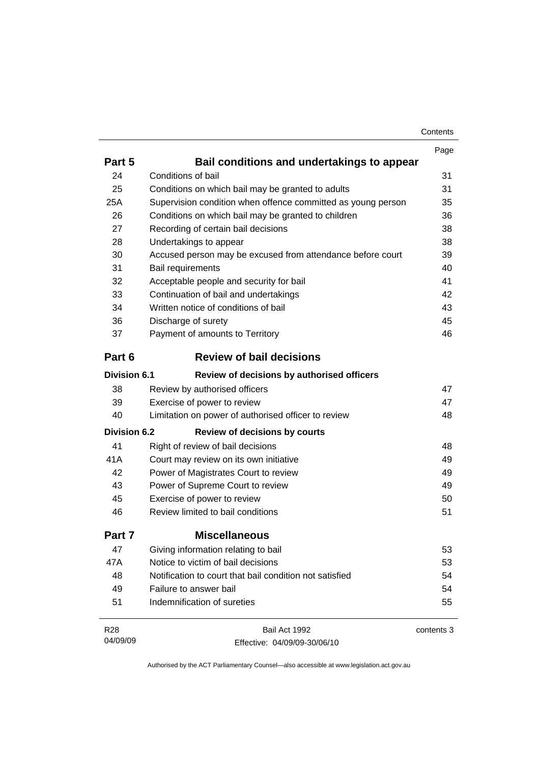| Contents |
|----------|
|----------|

|                     |                                                              | Page       |
|---------------------|--------------------------------------------------------------|------------|
| Part 5              | Bail conditions and undertakings to appear                   |            |
| 24                  | Conditions of bail                                           | 31         |
| 25                  | Conditions on which bail may be granted to adults            | 31         |
| 25A                 | Supervision condition when offence committed as young person | 35         |
| 26                  | Conditions on which bail may be granted to children          | 36         |
| 27                  | Recording of certain bail decisions                          | 38         |
| 28                  | Undertakings to appear                                       | 38         |
| 30                  | Accused person may be excused from attendance before court   | 39         |
| 31                  | Bail requirements                                            | 40         |
| 32                  | Acceptable people and security for bail                      | 41         |
| 33                  | Continuation of bail and undertakings                        | 42         |
| 34                  | Written notice of conditions of bail                         | 43         |
| 36                  | Discharge of surety                                          | 45         |
| 37                  | Payment of amounts to Territory                              | 46         |
| Part 6              | <b>Review of bail decisions</b>                              |            |
| <b>Division 6.1</b> | Review of decisions by authorised officers                   |            |
| 38                  | Review by authorised officers                                | 47         |
| 39                  | Exercise of power to review                                  | 47         |
| 40                  | Limitation on power of authorised officer to review          | 48         |
| <b>Division 6.2</b> | <b>Review of decisions by courts</b>                         |            |
| 41                  | Right of review of bail decisions                            | 48         |
| 41A                 | Court may review on its own initiative                       | 49         |
| 42                  | Power of Magistrates Court to review                         | 49         |
| 43                  | Power of Supreme Court to review                             | 49         |
| 45                  | Exercise of power to review                                  | 50         |
| 46                  | Review limited to bail conditions                            | 51         |
| Part 7              | <b>Miscellaneous</b>                                         |            |
| 47                  | Giving information relating to bail                          | 53         |
| 47A                 | Notice to victim of bail decisions                           | 53         |
| 48                  | Notification to court that bail condition not satisfied      | 54         |
| 49                  | Failure to answer bail                                       | 54         |
| 51                  | Indemnification of sureties                                  | 55         |
| R28                 | Bail Act 1992                                                | contents 3 |
| 04/09/09            | Effective: 04/09/09-30/06/10                                 |            |

Effective: 04/09/09-30/06/10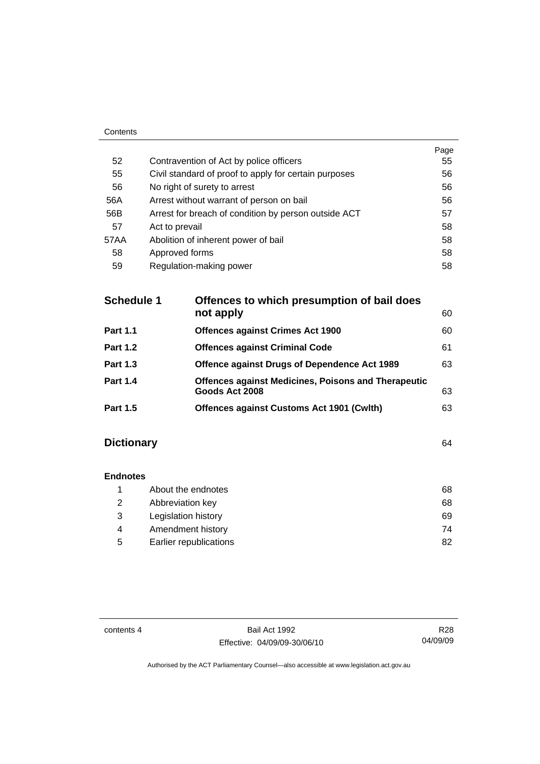|      |                                                       | Page |
|------|-------------------------------------------------------|------|
| 52   | Contravention of Act by police officers               | 55   |
| 55   | Civil standard of proof to apply for certain purposes | 56   |
| 56   | No right of surety to arrest                          | 56   |
| 56A  | Arrest without warrant of person on bail              | 56   |
| 56B  | Arrest for breach of condition by person outside ACT  | 57   |
| 57   | Act to prevail                                        | 58   |
| 57AA | Abolition of inherent power of bail                   | 58   |
| 58   | Approved forms                                        | 58   |
| 59   | Regulation-making power                               | 58   |
|      |                                                       |      |

| <b>Schedule 1</b> | Offences to which presumption of bail does<br>not apply                      | 60 |
|-------------------|------------------------------------------------------------------------------|----|
| <b>Part 1.1</b>   | <b>Offences against Crimes Act 1900</b>                                      | 60 |
| <b>Part 1.2</b>   | <b>Offences against Criminal Code</b>                                        | 61 |
| <b>Part 1.3</b>   | <b>Offence against Drugs of Dependence Act 1989</b>                          | 63 |
| <b>Part 1.4</b>   | <b>Offences against Medicines, Poisons and Therapeutic</b><br>Goods Act 2008 | 63 |
| <b>Part 1.5</b>   | <b>Offences against Customs Act 1901 (Cwith)</b>                             | 63 |
|                   |                                                                              |    |

# **Dictionary** [64](#page-69-0)

Contents

| <b>Endnotes</b> |                        |    |
|-----------------|------------------------|----|
|                 | About the endnotes     | 68 |
| 2               | Abbreviation key       | 68 |
| 3               | Legislation history    | 69 |
| 4               | Amendment history      | 74 |
| 5               | Earlier republications | 82 |

contents 4 Bail Act 1992 Effective: 04/09/09-30/06/10

R28 04/09/09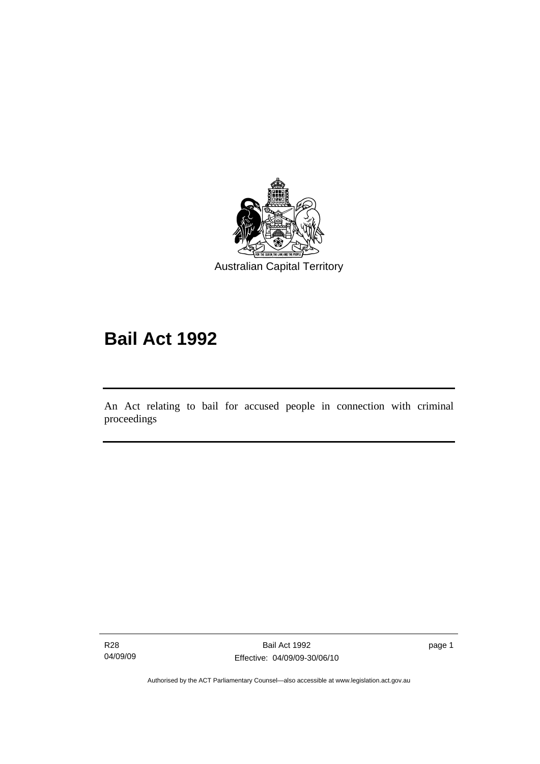<span id="page-6-0"></span>

# **Bail Act 1992**

An Act relating to bail for accused people in connection with criminal proceedings

R28 04/09/09

l

page 1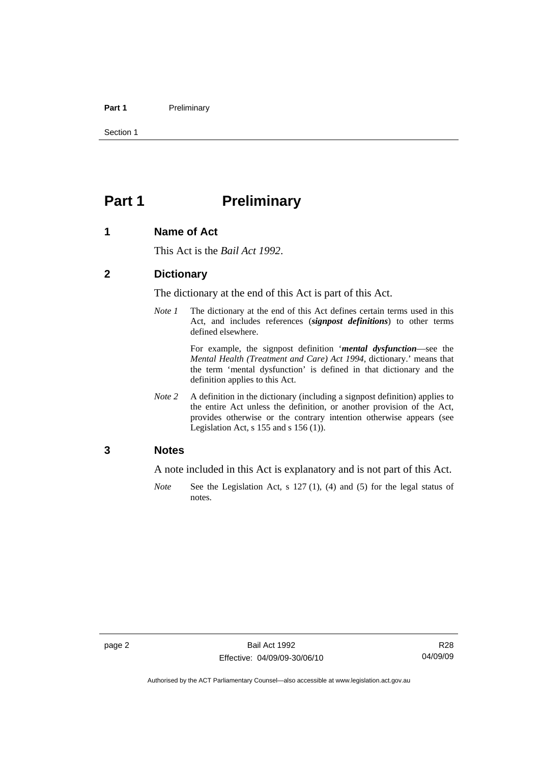#### <span id="page-7-0"></span>Part 1 **Preliminary**

Section 1

# **Part 1** Preliminary

#### **1 Name of Act**

This Act is the *Bail Act 1992*.

## **2 Dictionary**

The dictionary at the end of this Act is part of this Act.

*Note 1* The dictionary at the end of this Act defines certain terms used in this Act, and includes references (*signpost definitions*) to other terms defined elsewhere.

> For example, the signpost definition '*mental dysfunction*—see the *Mental Health (Treatment and Care) Act 1994*, dictionary.' means that the term 'mental dysfunction' is defined in that dictionary and the definition applies to this Act.

*Note* 2 A definition in the dictionary (including a signpost definition) applies to the entire Act unless the definition, or another provision of the Act, provides otherwise or the contrary intention otherwise appears (see Legislation Act, s  $155$  and s  $156$  (1)).

#### **3 Notes**

A note included in this Act is explanatory and is not part of this Act.

*Note* See the Legislation Act, s 127 (1), (4) and (5) for the legal status of notes.

R28 04/09/09

Authorised by the ACT Parliamentary Counsel—also accessible at www.legislation.act.gov.au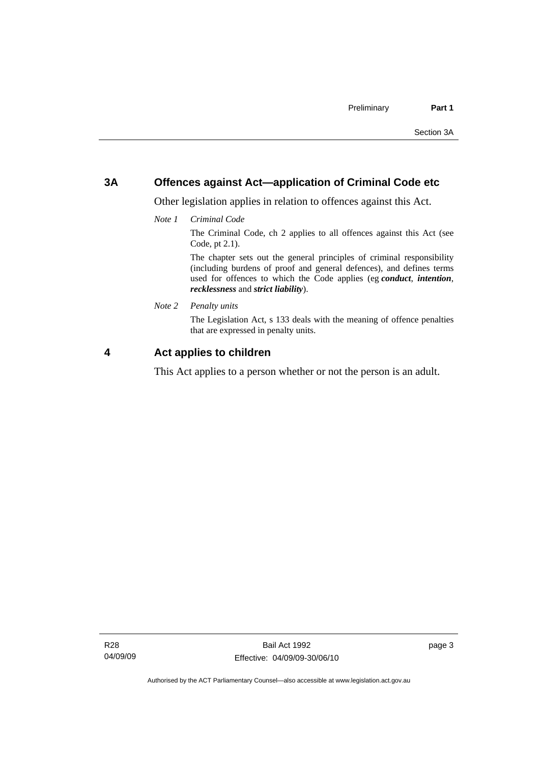# <span id="page-8-0"></span>**3A Offences against Act—application of Criminal Code etc**

Other legislation applies in relation to offences against this Act.

*Note 1 Criminal Code*

The Criminal Code, ch 2 applies to all offences against this Act (see Code, pt 2.1).

The chapter sets out the general principles of criminal responsibility (including burdens of proof and general defences), and defines terms used for offences to which the Code applies (eg *conduct*, *intention*, *recklessness* and *strict liability*).

*Note 2 Penalty units* 

The Legislation Act, s 133 deals with the meaning of offence penalties that are expressed in penalty units.

# **4 Act applies to children**

This Act applies to a person whether or not the person is an adult.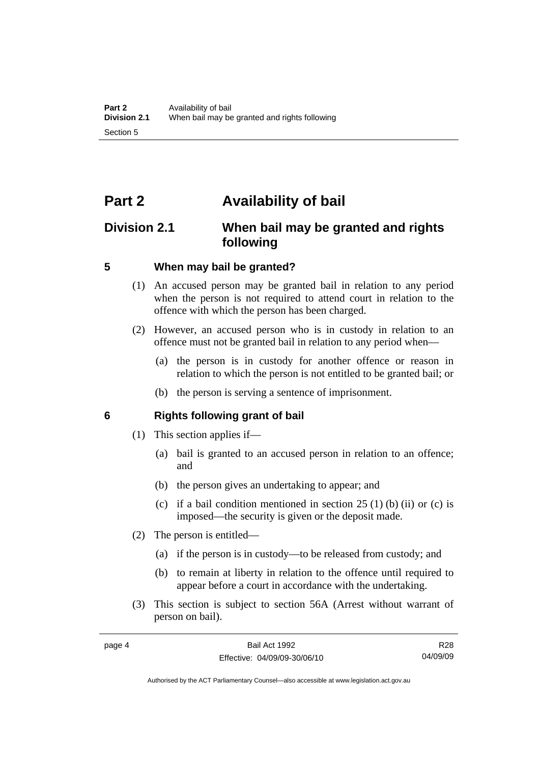# <span id="page-9-0"></span>**Part 2 Availability of bail**

# **Division 2.1 When bail may be granted and rights following**

# **5 When may bail be granted?**

- (1) An accused person may be granted bail in relation to any period when the person is not required to attend court in relation to the offence with which the person has been charged.
- (2) However, an accused person who is in custody in relation to an offence must not be granted bail in relation to any period when—
	- (a) the person is in custody for another offence or reason in relation to which the person is not entitled to be granted bail; or
	- (b) the person is serving a sentence of imprisonment.

# **6 Rights following grant of bail**

- (1) This section applies if—
	- (a) bail is granted to an accused person in relation to an offence; and
	- (b) the person gives an undertaking to appear; and
	- (c) if a bail condition mentioned in section  $25(1)$  (b) (ii) or (c) is imposed—the security is given or the deposit made.
- (2) The person is entitled—
	- (a) if the person is in custody—to be released from custody; and
	- (b) to remain at liberty in relation to the offence until required to appear before a court in accordance with the undertaking.
- (3) This section is subject to section 56A (Arrest without warrant of person on bail).

R28 04/09/09

Authorised by the ACT Parliamentary Counsel—also accessible at www.legislation.act.gov.au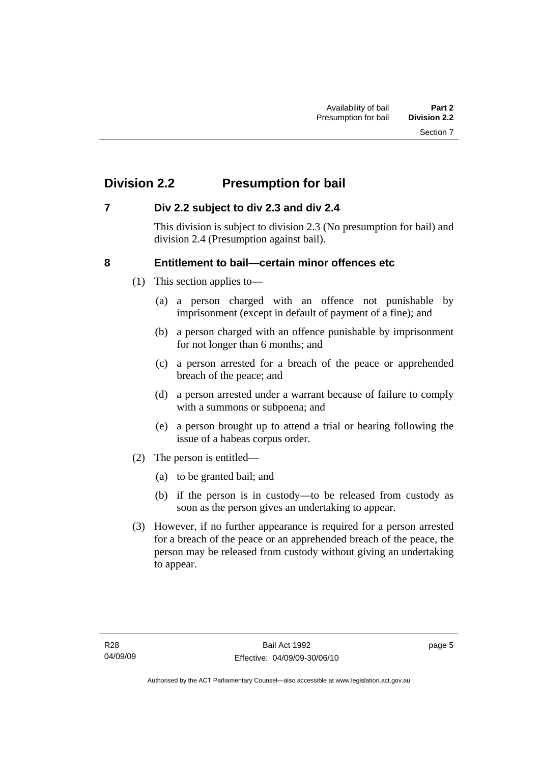# <span id="page-10-0"></span>**Division 2.2 Presumption for bail**

# **7 Div 2.2 subject to div 2.3 and div 2.4**

This division is subject to division 2.3 (No presumption for bail) and division 2.4 (Presumption against bail).

# **8 Entitlement to bail—certain minor offences etc**

- (1) This section applies to—
	- (a) a person charged with an offence not punishable by imprisonment (except in default of payment of a fine); and
	- (b) a person charged with an offence punishable by imprisonment for not longer than 6 months; and
	- (c) a person arrested for a breach of the peace or apprehended breach of the peace; and
	- (d) a person arrested under a warrant because of failure to comply with a summons or subpoena; and
	- (e) a person brought up to attend a trial or hearing following the issue of a habeas corpus order.
- (2) The person is entitled—
	- (a) to be granted bail; and
	- (b) if the person is in custody—to be released from custody as soon as the person gives an undertaking to appear.
- (3) However, if no further appearance is required for a person arrested for a breach of the peace or an apprehended breach of the peace, the person may be released from custody without giving an undertaking to appear.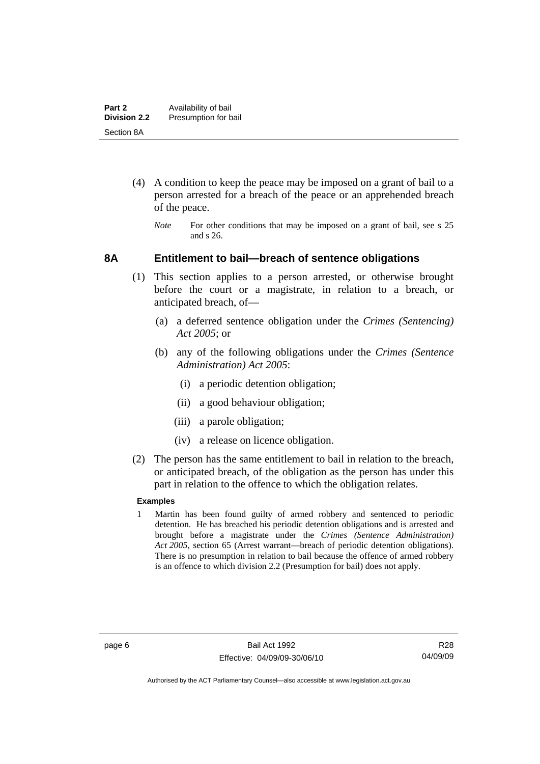- <span id="page-11-0"></span> (4) A condition to keep the peace may be imposed on a grant of bail to a person arrested for a breach of the peace or an apprehended breach of the peace.
	- *Note* For other conditions that may be imposed on a grant of bail, see s 25 and s 26.

#### **8A Entitlement to bail—breach of sentence obligations**

- (1) This section applies to a person arrested, or otherwise brought before the court or a magistrate, in relation to a breach, or anticipated breach, of—
	- (a) a deferred sentence obligation under the *Crimes (Sentencing) Act 2005*; or
	- (b) any of the following obligations under the *Crimes (Sentence Administration) Act 2005*:
		- (i) a periodic detention obligation;
		- (ii) a good behaviour obligation;
		- (iii) a parole obligation;
		- (iv) a release on licence obligation.
- (2) The person has the same entitlement to bail in relation to the breach, or anticipated breach, of the obligation as the person has under this part in relation to the offence to which the obligation relates.

#### **Examples**

1 Martin has been found guilty of armed robbery and sentenced to periodic detention. He has breached his periodic detention obligations and is arrested and brought before a magistrate under the *Crimes (Sentence Administration) Act 2005*, section 65 (Arrest warrant—breach of periodic detention obligations). There is no presumption in relation to bail because the offence of armed robbery is an offence to which division 2.2 (Presumption for bail) does not apply.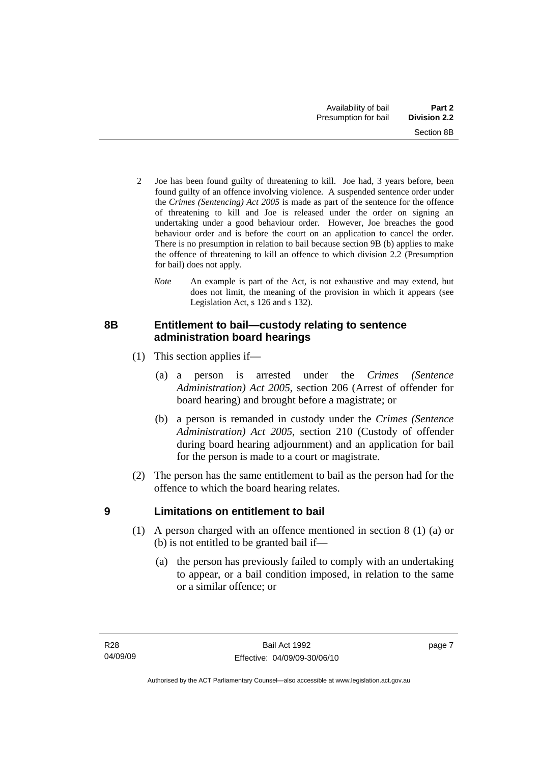- <span id="page-12-0"></span>2 Joe has been found guilty of threatening to kill. Joe had, 3 years before, been found guilty of an offence involving violence. A suspended sentence order under the *Crimes (Sentencing) Act 2005* is made as part of the sentence for the offence of threatening to kill and Joe is released under the order on signing an undertaking under a good behaviour order. However, Joe breaches the good behaviour order and is before the court on an application to cancel the order. There is no presumption in relation to bail because section 9B (b) applies to make the offence of threatening to kill an offence to which division 2.2 (Presumption for bail) does not apply.
	- *Note* An example is part of the Act, is not exhaustive and may extend, but does not limit, the meaning of the provision in which it appears (see Legislation Act, s 126 and s 132).

# **8B Entitlement to bail—custody relating to sentence administration board hearings**

- (1) This section applies if—
	- (a) a person is arrested under the *Crimes (Sentence Administration) Act 2005*, section 206 (Arrest of offender for board hearing) and brought before a magistrate; or
	- (b) a person is remanded in custody under the *Crimes (Sentence Administration) Act 2005*, section 210 (Custody of offender during board hearing adjournment) and an application for bail for the person is made to a court or magistrate.
- (2) The person has the same entitlement to bail as the person had for the offence to which the board hearing relates.

# **9 Limitations on entitlement to bail**

- (1) A person charged with an offence mentioned in section 8 (1) (a) or (b) is not entitled to be granted bail if—
	- (a) the person has previously failed to comply with an undertaking to appear, or a bail condition imposed, in relation to the same or a similar offence; or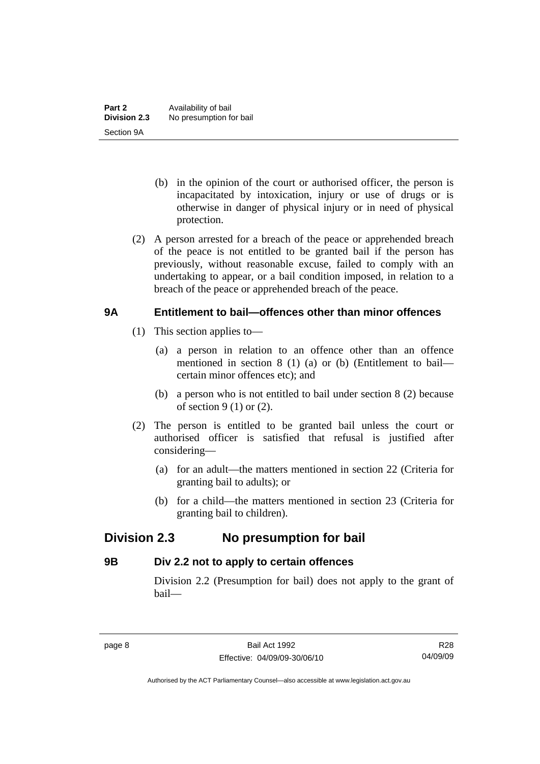- <span id="page-13-0"></span> (b) in the opinion of the court or authorised officer, the person is incapacitated by intoxication, injury or use of drugs or is otherwise in danger of physical injury or in need of physical protection.
- (2) A person arrested for a breach of the peace or apprehended breach of the peace is not entitled to be granted bail if the person has previously, without reasonable excuse, failed to comply with an undertaking to appear, or a bail condition imposed, in relation to a breach of the peace or apprehended breach of the peace.

# **9A Entitlement to bail—offences other than minor offences**

- (1) This section applies to—
	- (a) a person in relation to an offence other than an offence mentioned in section 8 (1) (a) or (b) (Entitlement to bail certain minor offences etc); and
	- (b) a person who is not entitled to bail under section 8 (2) because of section  $9(1)$  or  $(2)$ .
- (2) The person is entitled to be granted bail unless the court or authorised officer is satisfied that refusal is justified after considering—
	- (a) for an adult—the matters mentioned in section 22 (Criteria for granting bail to adults); or
	- (b) for a child—the matters mentioned in section 23 (Criteria for granting bail to children).

# **Division 2.3 No presumption for bail**

# **9B Div 2.2 not to apply to certain offences**

Division 2.2 (Presumption for bail) does not apply to the grant of bail—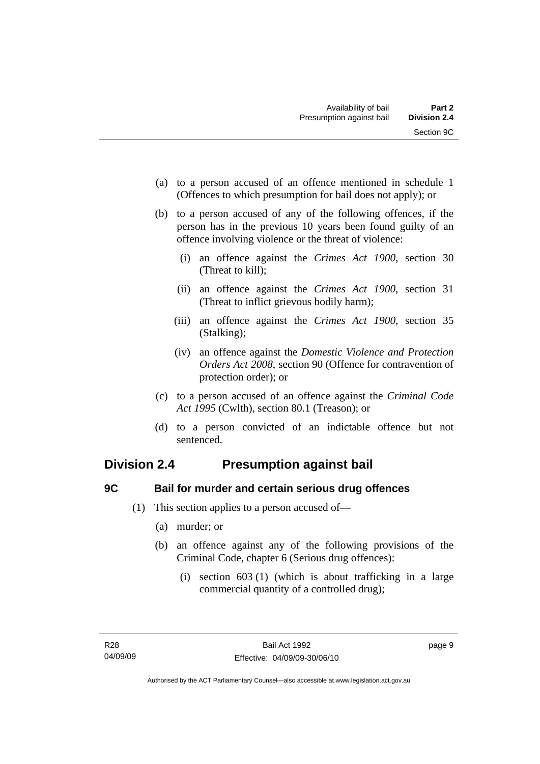- <span id="page-14-0"></span> (a) to a person accused of an offence mentioned in schedule 1 (Offences to which presumption for bail does not apply); or
- (b) to a person accused of any of the following offences, if the person has in the previous 10 years been found guilty of an offence involving violence or the threat of violence:
	- (i) an offence against the *Crimes Act 1900*, section 30 (Threat to kill);
	- (ii) an offence against the *Crimes Act 1900*, section 31 (Threat to inflict grievous bodily harm);
	- (iii) an offence against the *Crimes Act 1900*, section 35 (Stalking);
	- (iv) an offence against the *Domestic Violence and Protection Orders Act 2008*, section 90 (Offence for contravention of protection order); or
- (c) to a person accused of an offence against the *Criminal Code Act 1995* (Cwlth), section 80.1 (Treason); or
- (d) to a person convicted of an indictable offence but not sentenced.

# **Division 2.4 Presumption against bail**

# **9C Bail for murder and certain serious drug offences**

- (1) This section applies to a person accused of—
	- (a) murder; or
	- (b) an offence against any of the following provisions of the Criminal Code, chapter 6 (Serious drug offences):
		- (i) section 603 (1) (which is about trafficking in a large commercial quantity of a controlled drug);

page 9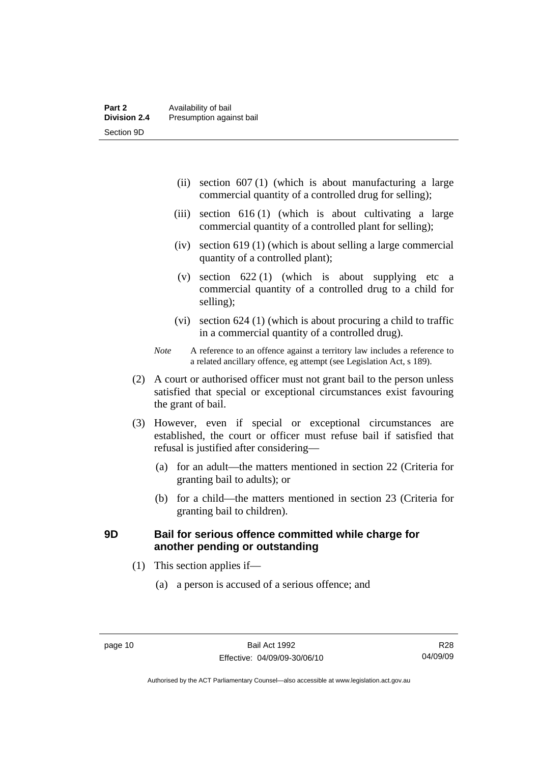- <span id="page-15-0"></span> (ii) section 607 (1) (which is about manufacturing a large commercial quantity of a controlled drug for selling);
- (iii) section 616 (1) (which is about cultivating a large commercial quantity of a controlled plant for selling);
- (iv) section 619 (1) (which is about selling a large commercial quantity of a controlled plant);
- (v) section  $622(1)$  (which is about supplying etc a commercial quantity of a controlled drug to a child for selling);
- (vi) section 624 (1) (which is about procuring a child to traffic in a commercial quantity of a controlled drug).
- *Note* A reference to an offence against a territory law includes a reference to a related ancillary offence, eg attempt (see Legislation Act, s 189).
- (2) A court or authorised officer must not grant bail to the person unless satisfied that special or exceptional circumstances exist favouring the grant of bail.
- (3) However, even if special or exceptional circumstances are established, the court or officer must refuse bail if satisfied that refusal is justified after considering—
	- (a) for an adult—the matters mentioned in section 22 (Criteria for granting bail to adults); or
	- (b) for a child—the matters mentioned in section 23 (Criteria for granting bail to children).

# **9D Bail for serious offence committed while charge for another pending or outstanding**

- (1) This section applies if—
	- (a) a person is accused of a serious offence; and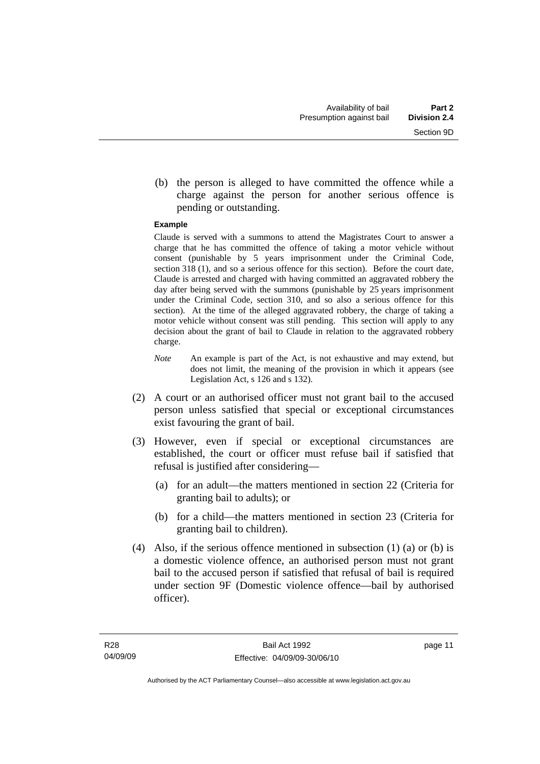(b) the person is alleged to have committed the offence while a charge against the person for another serious offence is pending or outstanding.

#### **Example**

Claude is served with a summons to attend the Magistrates Court to answer a charge that he has committed the offence of taking a motor vehicle without consent (punishable by 5 years imprisonment under the Criminal Code, section 318 (1), and so a serious offence for this section). Before the court date, Claude is arrested and charged with having committed an aggravated robbery the day after being served with the summons (punishable by 25 years imprisonment under the Criminal Code, section 310, and so also a serious offence for this section). At the time of the alleged aggravated robbery, the charge of taking a motor vehicle without consent was still pending. This section will apply to any decision about the grant of bail to Claude in relation to the aggravated robbery charge.

- *Note* An example is part of the Act, is not exhaustive and may extend, but does not limit, the meaning of the provision in which it appears (see Legislation Act, s 126 and s 132).
- (2) A court or an authorised officer must not grant bail to the accused person unless satisfied that special or exceptional circumstances exist favouring the grant of bail.
- (3) However, even if special or exceptional circumstances are established, the court or officer must refuse bail if satisfied that refusal is justified after considering—
	- (a) for an adult—the matters mentioned in section 22 (Criteria for granting bail to adults); or
	- (b) for a child—the matters mentioned in section 23 (Criteria for granting bail to children).
- (4) Also, if the serious offence mentioned in subsection (1) (a) or (b) is a domestic violence offence, an authorised person must not grant bail to the accused person if satisfied that refusal of bail is required under section 9F (Domestic violence offence—bail by authorised officer).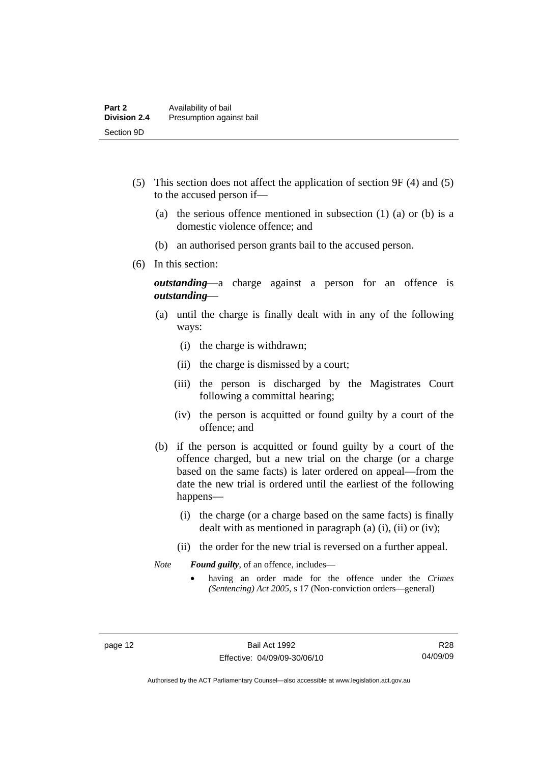- (5) This section does not affect the application of section 9F (4) and (5) to the accused person if—
	- (a) the serious offence mentioned in subsection (1) (a) or (b) is a domestic violence offence; and
	- (b) an authorised person grants bail to the accused person.
- (6) In this section:

*outstanding*—a charge against a person for an offence is *outstanding*—

- (a) until the charge is finally dealt with in any of the following ways:
	- (i) the charge is withdrawn;
	- (ii) the charge is dismissed by a court;
	- (iii) the person is discharged by the Magistrates Court following a committal hearing;
	- (iv) the person is acquitted or found guilty by a court of the offence; and
- (b) if the person is acquitted or found guilty by a court of the offence charged, but a new trial on the charge (or a charge based on the same facts) is later ordered on appeal—from the date the new trial is ordered until the earliest of the following happens—
	- (i) the charge (or a charge based on the same facts) is finally dealt with as mentioned in paragraph (a)  $(i)$ ,  $(ii)$  or  $(iv)$ ;
	- (ii) the order for the new trial is reversed on a further appeal.

*Note Found guilty*, of an offence, includes—

• having an order made for the offence under the *Crimes (Sentencing) Act 2005*, s 17 (Non-conviction orders—general)

R28 04/09/09

Authorised by the ACT Parliamentary Counsel—also accessible at www.legislation.act.gov.au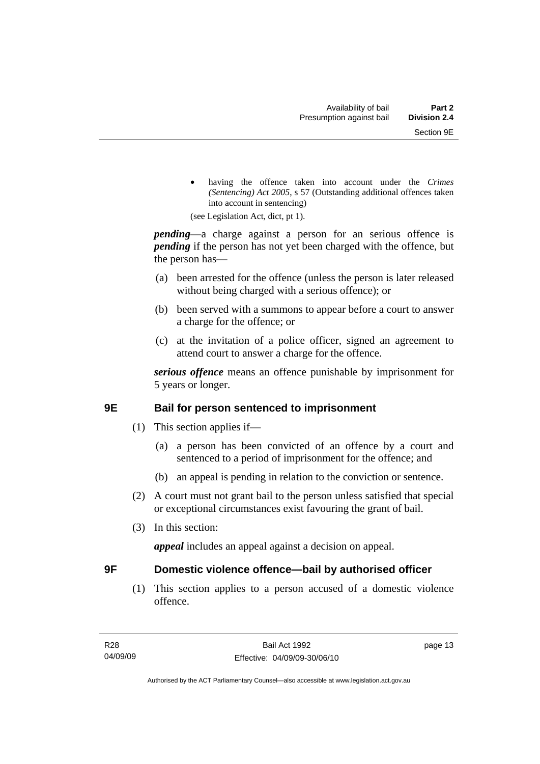<span id="page-18-0"></span>having the offence taken into account under the *Crimes (Sentencing) Act 2005*, s 57 (Outstanding additional offences taken into account in sentencing)

(see Legislation Act, dict, pt 1).

*pending*—a charge against a person for an serious offence is *pending* if the person has not yet been charged with the offence, but the person has—

- (a) been arrested for the offence (unless the person is later released without being charged with a serious offence); or
- (b) been served with a summons to appear before a court to answer a charge for the offence; or
- (c) at the invitation of a police officer, signed an agreement to attend court to answer a charge for the offence.

*serious offence* means an offence punishable by imprisonment for 5 years or longer.

# **9E Bail for person sentenced to imprisonment**

- (1) This section applies if—
	- (a) a person has been convicted of an offence by a court and sentenced to a period of imprisonment for the offence; and
	- (b) an appeal is pending in relation to the conviction or sentence.
- (2) A court must not grant bail to the person unless satisfied that special or exceptional circumstances exist favouring the grant of bail.
- (3) In this section:

*appeal* includes an appeal against a decision on appeal.

# **9F Domestic violence offence—bail by authorised officer**

 (1) This section applies to a person accused of a domestic violence offence.

page 13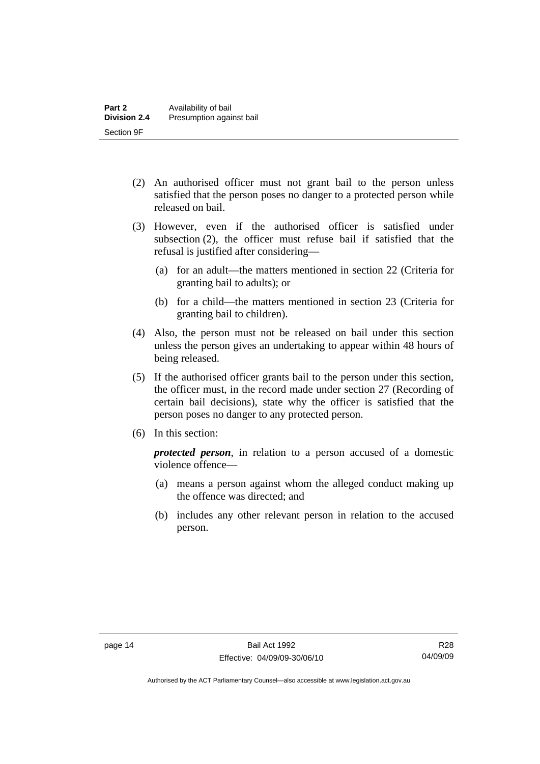- (2) An authorised officer must not grant bail to the person unless satisfied that the person poses no danger to a protected person while released on bail.
- (3) However, even if the authorised officer is satisfied under subsection (2), the officer must refuse bail if satisfied that the refusal is justified after considering—
	- (a) for an adult—the matters mentioned in section 22 (Criteria for granting bail to adults); or
	- (b) for a child—the matters mentioned in section 23 (Criteria for granting bail to children).
- (4) Also, the person must not be released on bail under this section unless the person gives an undertaking to appear within 48 hours of being released.
- (5) If the authorised officer grants bail to the person under this section, the officer must, in the record made under section 27 (Recording of certain bail decisions), state why the officer is satisfied that the person poses no danger to any protected person.
- (6) In this section:

*protected person*, in relation to a person accused of a domestic violence offence—

- (a) means a person against whom the alleged conduct making up the offence was directed; and
- (b) includes any other relevant person in relation to the accused person.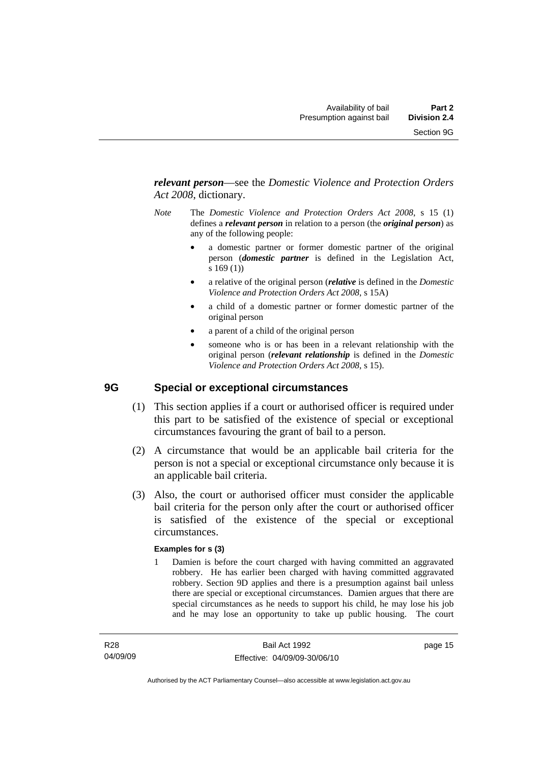<span id="page-20-0"></span>*relevant person*—see the *Domestic Violence and Protection Orders Act 2008*, dictionary.

- *Note* The *Domestic Violence and Protection Orders Act 2008*, s 15 (1) defines a *relevant person* in relation to a person (the *original person*) as any of the following people:
	- a domestic partner or former domestic partner of the original person (*domestic partner* is defined in the Legislation Act, s 169 (1))
	- a relative of the original person (*relative* is defined in the *Domestic Violence and Protection Orders Act 2008*, s 15A)
	- a child of a domestic partner or former domestic partner of the original person
	- a parent of a child of the original person
	- someone who is or has been in a relevant relationship with the original person (*relevant relationship* is defined in the *Domestic Violence and Protection Orders Act 2008*, s 15).

# **9G Special or exceptional circumstances**

- (1) This section applies if a court or authorised officer is required under this part to be satisfied of the existence of special or exceptional circumstances favouring the grant of bail to a person.
- (2) A circumstance that would be an applicable bail criteria for the person is not a special or exceptional circumstance only because it is an applicable bail criteria.
- (3) Also, the court or authorised officer must consider the applicable bail criteria for the person only after the court or authorised officer is satisfied of the existence of the special or exceptional circumstances.

#### **Examples for s (3)**

1 Damien is before the court charged with having committed an aggravated robbery. He has earlier been charged with having committed aggravated robbery. Section 9D applies and there is a presumption against bail unless there are special or exceptional circumstances. Damien argues that there are special circumstances as he needs to support his child, he may lose his job and he may lose an opportunity to take up public housing. The court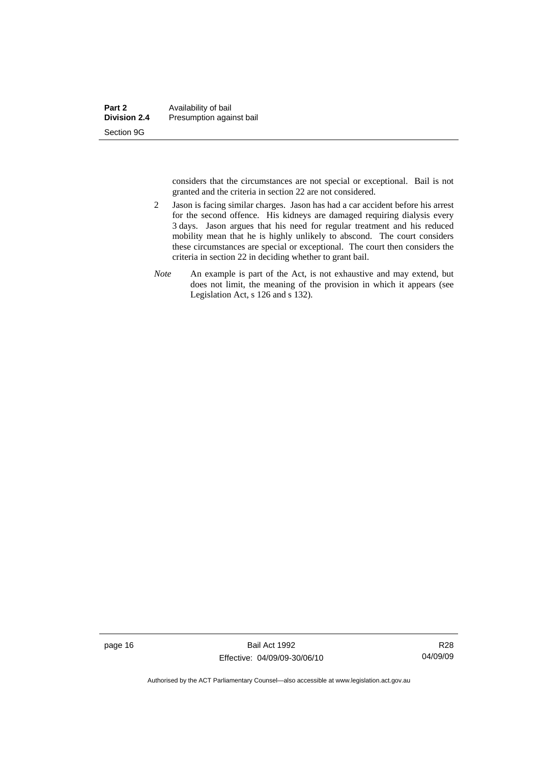considers that the circumstances are not special or exceptional. Bail is not granted and the criteria in section 22 are not considered.

- 2 Jason is facing similar charges. Jason has had a car accident before his arrest for the second offence. His kidneys are damaged requiring dialysis every 3 days. Jason argues that his need for regular treatment and his reduced mobility mean that he is highly unlikely to abscond. The court considers these circumstances are special or exceptional. The court then considers the criteria in section 22 in deciding whether to grant bail.
- *Note* An example is part of the Act, is not exhaustive and may extend, but does not limit, the meaning of the provision in which it appears (see Legislation Act, s 126 and s 132).

page 16 Bail Act 1992 Effective: 04/09/09-30/06/10

R28 04/09/09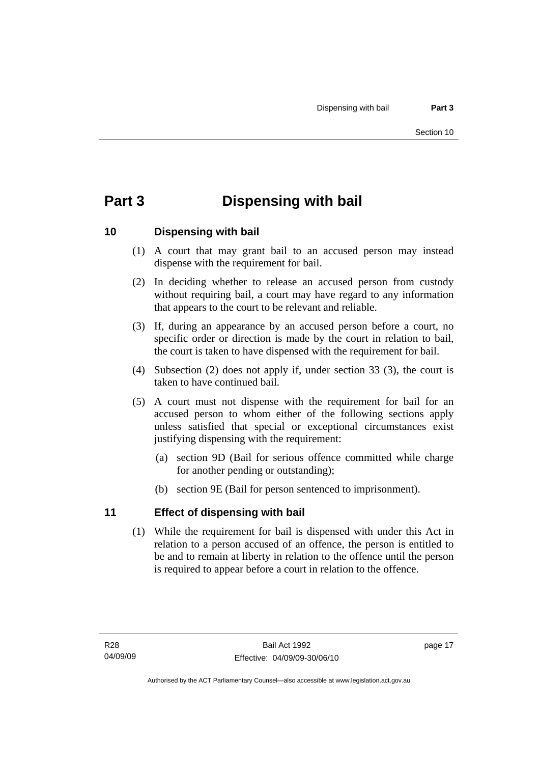# <span id="page-22-0"></span>**Part 3 Dispensing with bail**

# **10 Dispensing with bail**

- (1) A court that may grant bail to an accused person may instead dispense with the requirement for bail.
- (2) In deciding whether to release an accused person from custody without requiring bail, a court may have regard to any information that appears to the court to be relevant and reliable.
- (3) If, during an appearance by an accused person before a court, no specific order or direction is made by the court in relation to bail, the court is taken to have dispensed with the requirement for bail.
- (4) Subsection (2) does not apply if, under section 33 (3), the court is taken to have continued bail.
- (5) A court must not dispense with the requirement for bail for an accused person to whom either of the following sections apply unless satisfied that special or exceptional circumstances exist justifying dispensing with the requirement:
	- (a) section 9D (Bail for serious offence committed while charge for another pending or outstanding);
	- (b) section 9E (Bail for person sentenced to imprisonment).

# **11 Effect of dispensing with bail**

 (1) While the requirement for bail is dispensed with under this Act in relation to a person accused of an offence, the person is entitled to be and to remain at liberty in relation to the offence until the person is required to appear before a court in relation to the offence.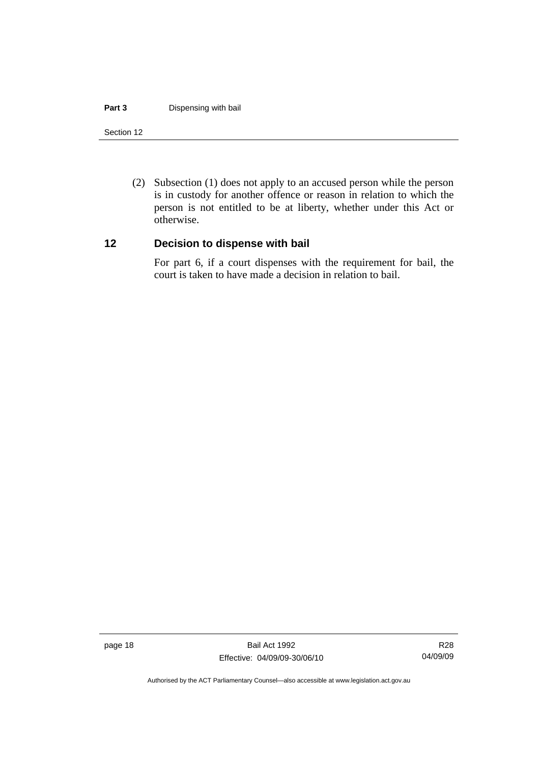#### <span id="page-23-0"></span>**Part 3 Dispensing with bail**

#### Section 12

 (2) Subsection (1) does not apply to an accused person while the person is in custody for another offence or reason in relation to which the person is not entitled to be at liberty, whether under this Act or otherwise.

#### **12 Decision to dispense with bail**

For part 6, if a court dispenses with the requirement for bail, the court is taken to have made a decision in relation to bail.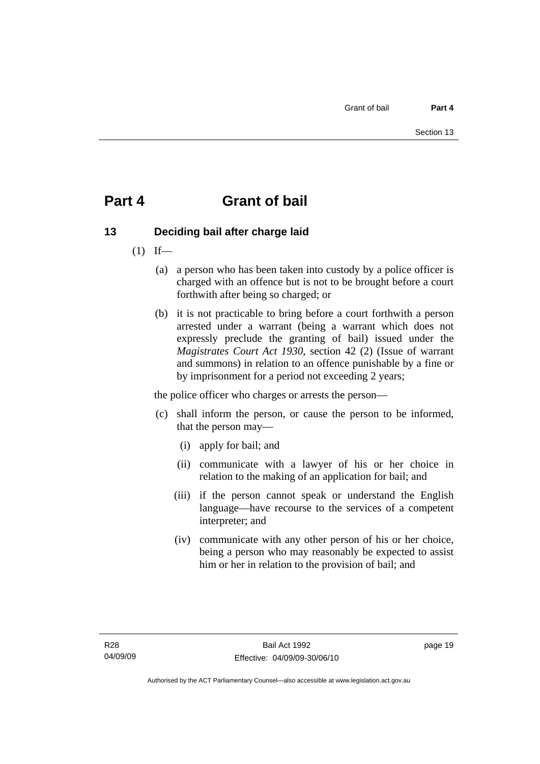# <span id="page-24-0"></span>**Part 4 Grant of bail**

# **13 Deciding bail after charge laid**

- $(1)$  If—
	- (a) a person who has been taken into custody by a police officer is charged with an offence but is not to be brought before a court forthwith after being so charged; or
	- (b) it is not practicable to bring before a court forthwith a person arrested under a warrant (being a warrant which does not expressly preclude the granting of bail) issued under the *Magistrates Court Act 1930*, section 42 (2) (Issue of warrant and summons) in relation to an offence punishable by a fine or by imprisonment for a period not exceeding 2 years;

the police officer who charges or arrests the person—

- (c) shall inform the person, or cause the person to be informed, that the person may—
	- (i) apply for bail; and
	- (ii) communicate with a lawyer of his or her choice in relation to the making of an application for bail; and
	- (iii) if the person cannot speak or understand the English language—have recourse to the services of a competent interpreter; and
	- (iv) communicate with any other person of his or her choice, being a person who may reasonably be expected to assist him or her in relation to the provision of bail; and

page 19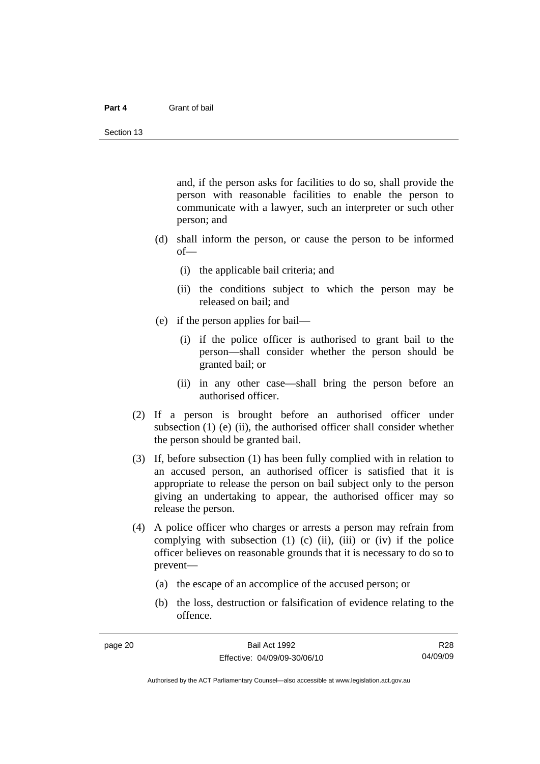#### **Part 4** Grant of bail

and, if the person asks for facilities to do so, shall provide the person with reasonable facilities to enable the person to communicate with a lawyer, such an interpreter or such other person; and

- (d) shall inform the person, or cause the person to be informed of—
	- (i) the applicable bail criteria; and
	- (ii) the conditions subject to which the person may be released on bail; and
- (e) if the person applies for bail—
	- (i) if the police officer is authorised to grant bail to the person—shall consider whether the person should be granted bail; or
	- (ii) in any other case—shall bring the person before an authorised officer.
- (2) If a person is brought before an authorised officer under subsection  $(1)$  (e)  $(ii)$ , the authorised officer shall consider whether the person should be granted bail.
- (3) If, before subsection (1) has been fully complied with in relation to an accused person, an authorised officer is satisfied that it is appropriate to release the person on bail subject only to the person giving an undertaking to appear, the authorised officer may so release the person.
- (4) A police officer who charges or arrests a person may refrain from complying with subsection  $(1)$   $(c)$   $(ii)$ ,  $(iii)$  or  $(iv)$  if the police officer believes on reasonable grounds that it is necessary to do so to prevent—
	- (a) the escape of an accomplice of the accused person; or
	- (b) the loss, destruction or falsification of evidence relating to the offence.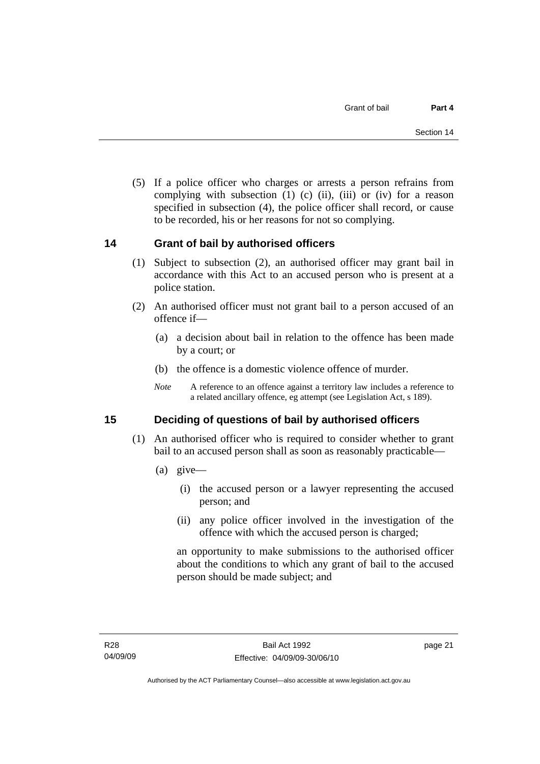<span id="page-26-0"></span> (5) If a police officer who charges or arrests a person refrains from complying with subsection  $(1)$   $(c)$   $(ii)$ ,  $(iii)$  or  $(iv)$  for a reason specified in subsection (4), the police officer shall record, or cause to be recorded, his or her reasons for not so complying.

# **14 Grant of bail by authorised officers**

- (1) Subject to subsection (2), an authorised officer may grant bail in accordance with this Act to an accused person who is present at a police station.
- (2) An authorised officer must not grant bail to a person accused of an offence if—
	- (a) a decision about bail in relation to the offence has been made by a court; or
	- (b) the offence is a domestic violence offence of murder.
	- *Note* A reference to an offence against a territory law includes a reference to a related ancillary offence, eg attempt (see Legislation Act, s 189).

# **15 Deciding of questions of bail by authorised officers**

- (1) An authorised officer who is required to consider whether to grant bail to an accused person shall as soon as reasonably practicable—
	- (a) give—
		- (i) the accused person or a lawyer representing the accused person; and
		- (ii) any police officer involved in the investigation of the offence with which the accused person is charged;

an opportunity to make submissions to the authorised officer about the conditions to which any grant of bail to the accused person should be made subject; and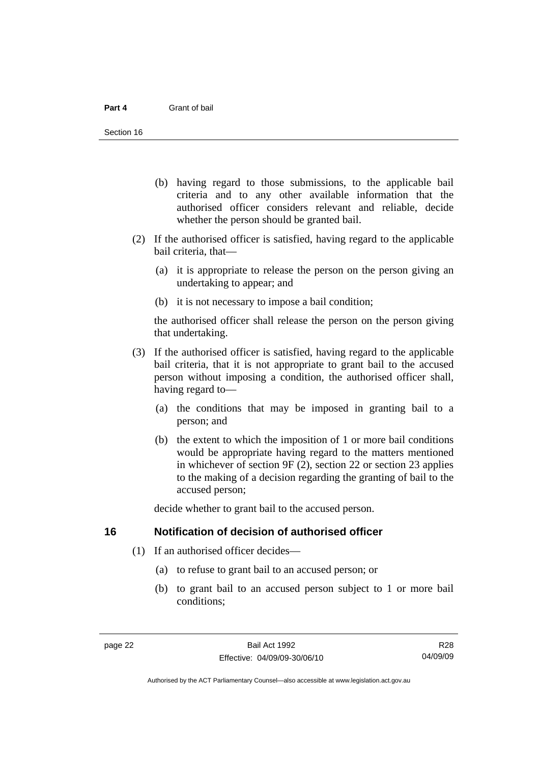- <span id="page-27-0"></span> (b) having regard to those submissions, to the applicable bail criteria and to any other available information that the authorised officer considers relevant and reliable, decide whether the person should be granted bail.
- (2) If the authorised officer is satisfied, having regard to the applicable bail criteria, that—
	- (a) it is appropriate to release the person on the person giving an undertaking to appear; and
	- (b) it is not necessary to impose a bail condition;

the authorised officer shall release the person on the person giving that undertaking.

- (3) If the authorised officer is satisfied, having regard to the applicable bail criteria, that it is not appropriate to grant bail to the accused person without imposing a condition, the authorised officer shall, having regard to—
	- (a) the conditions that may be imposed in granting bail to a person; and
	- (b) the extent to which the imposition of 1 or more bail conditions would be appropriate having regard to the matters mentioned in whichever of section 9F (2), section 22 or section 23 applies to the making of a decision regarding the granting of bail to the accused person;

decide whether to grant bail to the accused person.

# **16 Notification of decision of authorised officer**

- (1) If an authorised officer decides—
	- (a) to refuse to grant bail to an accused person; or
	- (b) to grant bail to an accused person subject to 1 or more bail conditions;

R28 04/09/09

Authorised by the ACT Parliamentary Counsel—also accessible at www.legislation.act.gov.au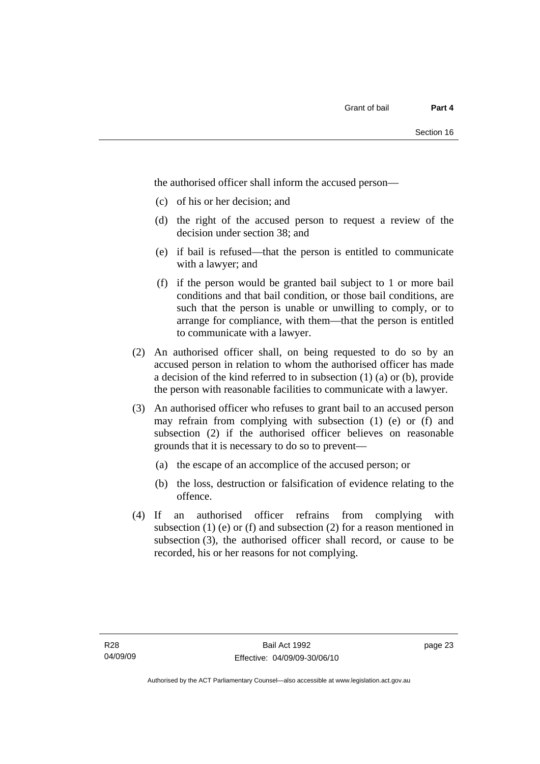the authorised officer shall inform the accused person—

- (c) of his or her decision; and
- (d) the right of the accused person to request a review of the decision under section 38; and
- (e) if bail is refused—that the person is entitled to communicate with a lawyer; and
- (f) if the person would be granted bail subject to 1 or more bail conditions and that bail condition, or those bail conditions, are such that the person is unable or unwilling to comply, or to arrange for compliance, with them—that the person is entitled to communicate with a lawyer.
- (2) An authorised officer shall, on being requested to do so by an accused person in relation to whom the authorised officer has made a decision of the kind referred to in subsection (1) (a) or (b), provide the person with reasonable facilities to communicate with a lawyer.
- (3) An authorised officer who refuses to grant bail to an accused person may refrain from complying with subsection (1) (e) or (f) and subsection (2) if the authorised officer believes on reasonable grounds that it is necessary to do so to prevent—
	- (a) the escape of an accomplice of the accused person; or
	- (b) the loss, destruction or falsification of evidence relating to the offence.
- (4) If an authorised officer refrains from complying with subsection  $(1)$  (e) or  $(f)$  and subsection  $(2)$  for a reason mentioned in subsection (3), the authorised officer shall record, or cause to be recorded, his or her reasons for not complying.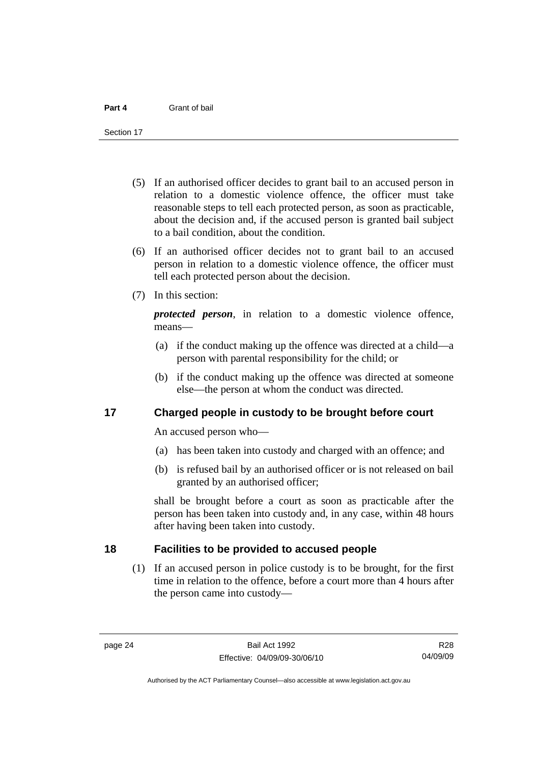<span id="page-29-0"></span>Section 17

- (5) If an authorised officer decides to grant bail to an accused person in relation to a domestic violence offence, the officer must take reasonable steps to tell each protected person, as soon as practicable, about the decision and, if the accused person is granted bail subject to a bail condition, about the condition.
- (6) If an authorised officer decides not to grant bail to an accused person in relation to a domestic violence offence, the officer must tell each protected person about the decision.
- (7) In this section:

*protected person*, in relation to a domestic violence offence, means—

- (a) if the conduct making up the offence was directed at a child—a person with parental responsibility for the child; or
- (b) if the conduct making up the offence was directed at someone else—the person at whom the conduct was directed.

# **17 Charged people in custody to be brought before court**

An accused person who—

- (a) has been taken into custody and charged with an offence; and
- (b) is refused bail by an authorised officer or is not released on bail granted by an authorised officer;

shall be brought before a court as soon as practicable after the person has been taken into custody and, in any case, within 48 hours after having been taken into custody.

# **18 Facilities to be provided to accused people**

 (1) If an accused person in police custody is to be brought, for the first time in relation to the offence, before a court more than 4 hours after the person came into custody—

Authorised by the ACT Parliamentary Counsel—also accessible at www.legislation.act.gov.au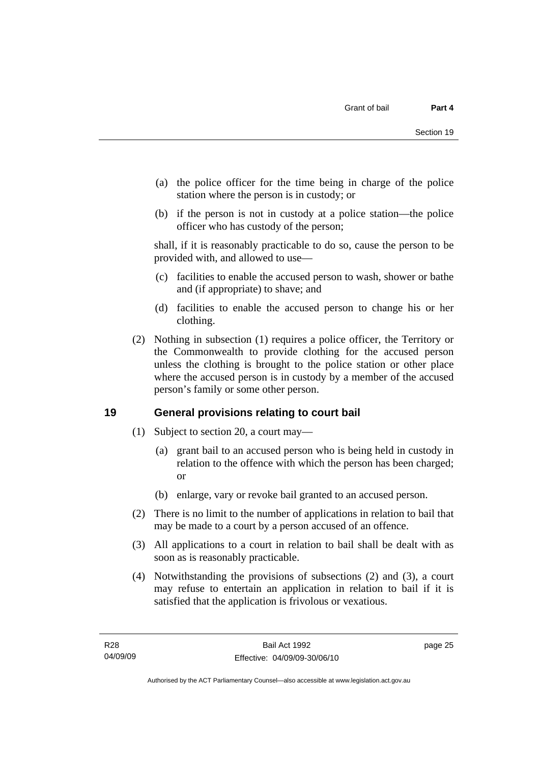- <span id="page-30-0"></span> (a) the police officer for the time being in charge of the police station where the person is in custody; or
- (b) if the person is not in custody at a police station—the police officer who has custody of the person;

shall, if it is reasonably practicable to do so, cause the person to be provided with, and allowed to use—

- (c) facilities to enable the accused person to wash, shower or bathe and (if appropriate) to shave; and
- (d) facilities to enable the accused person to change his or her clothing.
- (2) Nothing in subsection (1) requires a police officer, the Territory or the Commonwealth to provide clothing for the accused person unless the clothing is brought to the police station or other place where the accused person is in custody by a member of the accused person's family or some other person.

# **19 General provisions relating to court bail**

- (1) Subject to section 20, a court may—
	- (a) grant bail to an accused person who is being held in custody in relation to the offence with which the person has been charged; or
	- (b) enlarge, vary or revoke bail granted to an accused person.
- (2) There is no limit to the number of applications in relation to bail that may be made to a court by a person accused of an offence.
- (3) All applications to a court in relation to bail shall be dealt with as soon as is reasonably practicable.
- (4) Notwithstanding the provisions of subsections (2) and (3), a court may refuse to entertain an application in relation to bail if it is satisfied that the application is frivolous or vexatious.

page 25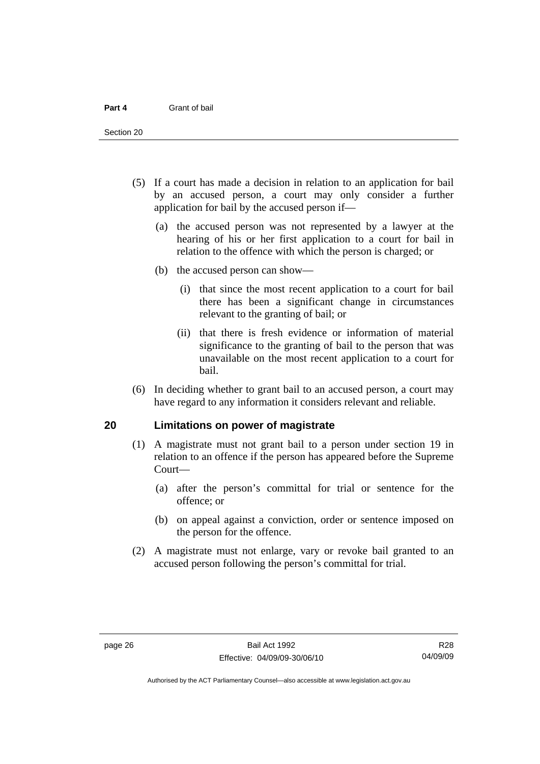<span id="page-31-0"></span>Section 20

- (5) If a court has made a decision in relation to an application for bail by an accused person, a court may only consider a further application for bail by the accused person if—
	- (a) the accused person was not represented by a lawyer at the hearing of his or her first application to a court for bail in relation to the offence with which the person is charged; or
	- (b) the accused person can show—
		- (i) that since the most recent application to a court for bail there has been a significant change in circumstances relevant to the granting of bail; or
		- (ii) that there is fresh evidence or information of material significance to the granting of bail to the person that was unavailable on the most recent application to a court for bail.
- (6) In deciding whether to grant bail to an accused person, a court may have regard to any information it considers relevant and reliable.

# **20 Limitations on power of magistrate**

- (1) A magistrate must not grant bail to a person under section 19 in relation to an offence if the person has appeared before the Supreme Court—
	- (a) after the person's committal for trial or sentence for the offence; or
	- (b) on appeal against a conviction, order or sentence imposed on the person for the offence.
- (2) A magistrate must not enlarge, vary or revoke bail granted to an accused person following the person's committal for trial.

R28 04/09/09

Authorised by the ACT Parliamentary Counsel—also accessible at www.legislation.act.gov.au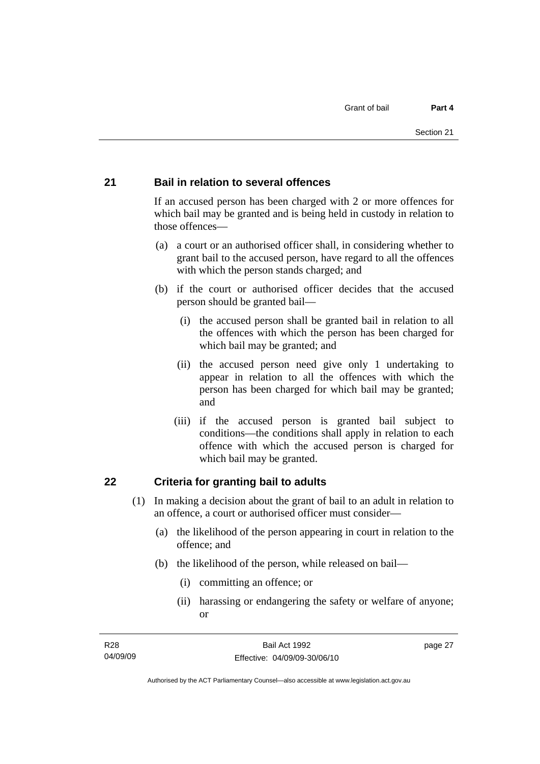## <span id="page-32-0"></span>**21 Bail in relation to several offences**

If an accused person has been charged with 2 or more offences for which bail may be granted and is being held in custody in relation to those offences—

- (a) a court or an authorised officer shall, in considering whether to grant bail to the accused person, have regard to all the offences with which the person stands charged; and
- (b) if the court or authorised officer decides that the accused person should be granted bail—
	- (i) the accused person shall be granted bail in relation to all the offences with which the person has been charged for which bail may be granted; and
	- (ii) the accused person need give only 1 undertaking to appear in relation to all the offences with which the person has been charged for which bail may be granted; and
	- (iii) if the accused person is granted bail subject to conditions—the conditions shall apply in relation to each offence with which the accused person is charged for which bail may be granted.

# **22 Criteria for granting bail to adults**

- (1) In making a decision about the grant of bail to an adult in relation to an offence, a court or authorised officer must consider—
	- (a) the likelihood of the person appearing in court in relation to the offence; and
	- (b) the likelihood of the person, while released on bail—
		- (i) committing an offence; or
		- (ii) harassing or endangering the safety or welfare of anyone; or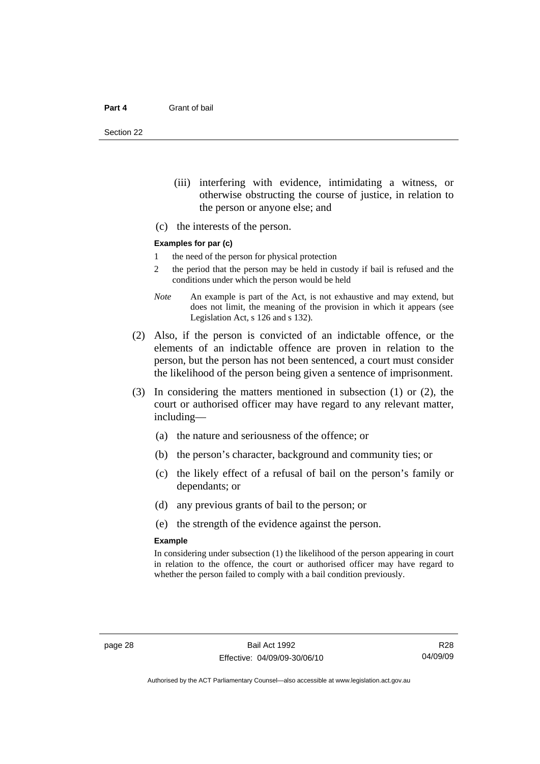Section 22

- (iii) interfering with evidence, intimidating a witness, or otherwise obstructing the course of justice, in relation to the person or anyone else; and
- (c) the interests of the person.

#### **Examples for par (c)**

- 1 the need of the person for physical protection
- 2 the period that the person may be held in custody if bail is refused and the conditions under which the person would be held
- *Note* An example is part of the Act, is not exhaustive and may extend, but does not limit, the meaning of the provision in which it appears (see Legislation Act, s 126 and s 132).
- (2) Also, if the person is convicted of an indictable offence, or the elements of an indictable offence are proven in relation to the person, but the person has not been sentenced, a court must consider the likelihood of the person being given a sentence of imprisonment.
- (3) In considering the matters mentioned in subsection (1) or (2), the court or authorised officer may have regard to any relevant matter, including—
	- (a) the nature and seriousness of the offence; or
	- (b) the person's character, background and community ties; or
	- (c) the likely effect of a refusal of bail on the person's family or dependants; or
	- (d) any previous grants of bail to the person; or
	- (e) the strength of the evidence against the person.

#### **Example**

In considering under subsection (1) the likelihood of the person appearing in court in relation to the offence, the court or authorised officer may have regard to whether the person failed to comply with a bail condition previously.

R28 04/09/09

Authorised by the ACT Parliamentary Counsel—also accessible at www.legislation.act.gov.au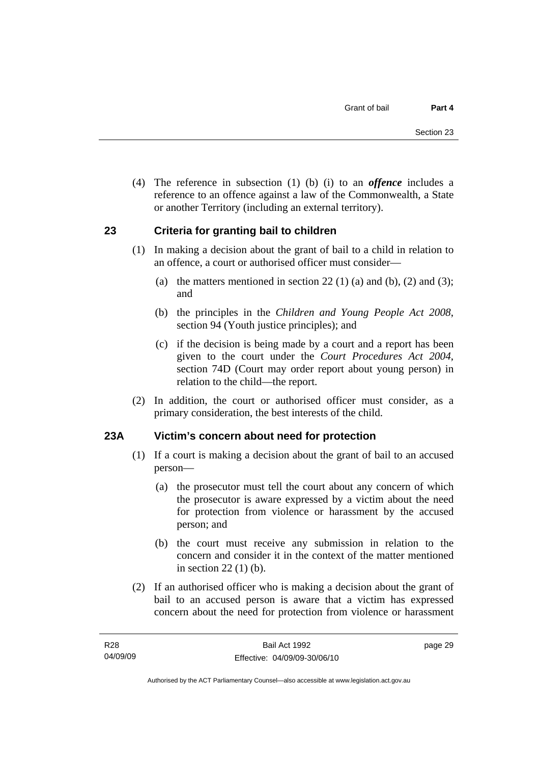<span id="page-34-0"></span> (4) The reference in subsection (1) (b) (i) to an *offence* includes a reference to an offence against a law of the Commonwealth, a State or another Territory (including an external territory).

# **23 Criteria for granting bail to children**

- (1) In making a decision about the grant of bail to a child in relation to an offence, a court or authorised officer must consider—
	- (a) the matters mentioned in section 22 (1) (a) and (b), (2) and (3); and
	- (b) the principles in the *Children and Young People Act 2008*, section 94 (Youth justice principles); and
	- (c) if the decision is being made by a court and a report has been given to the court under the *Court Procedures Act 2004*, section 74D (Court may order report about young person) in relation to the child—the report.
- (2) In addition, the court or authorised officer must consider, as a primary consideration, the best interests of the child.

# **23A Victim's concern about need for protection**

- (1) If a court is making a decision about the grant of bail to an accused person—
	- (a) the prosecutor must tell the court about any concern of which the prosecutor is aware expressed by a victim about the need for protection from violence or harassment by the accused person; and
	- (b) the court must receive any submission in relation to the concern and consider it in the context of the matter mentioned in section 22 (1) (b).
- (2) If an authorised officer who is making a decision about the grant of bail to an accused person is aware that a victim has expressed concern about the need for protection from violence or harassment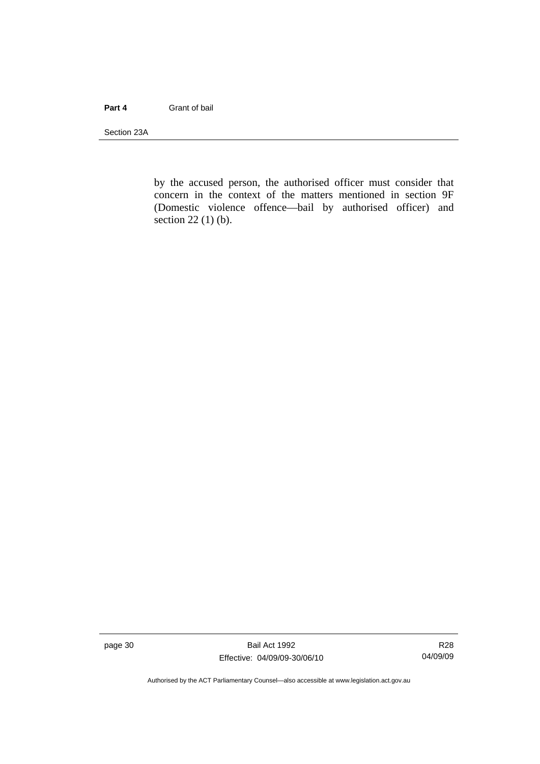#### **Part 4** Grant of bail

Section 23A

by the accused person, the authorised officer must consider that concern in the context of the matters mentioned in section 9F (Domestic violence offence—bail by authorised officer) and section 22 (1) (b).

page 30 Bail Act 1992 Effective: 04/09/09-30/06/10

R28 04/09/09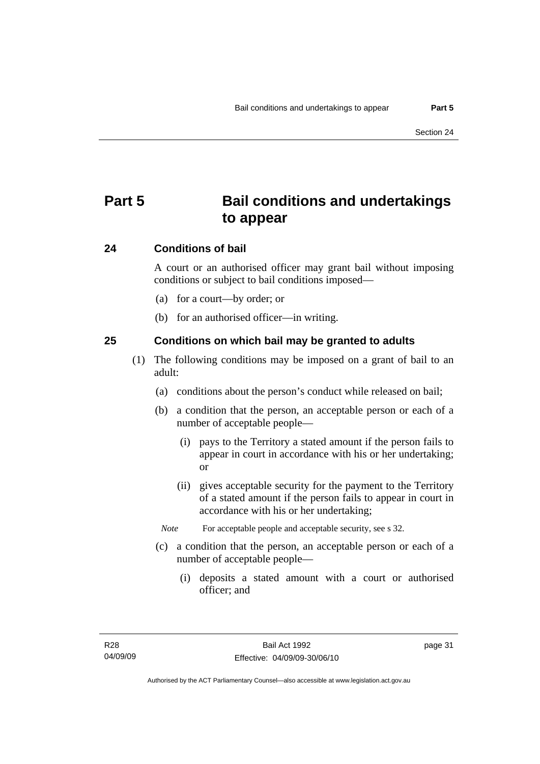# **Part 5 Bail conditions and undertakings to appear**

### **24 Conditions of bail**

A court or an authorised officer may grant bail without imposing conditions or subject to bail conditions imposed—

- (a) for a court—by order; or
- (b) for an authorised officer—in writing.

### **25 Conditions on which bail may be granted to adults**

- (1) The following conditions may be imposed on a grant of bail to an adult:
	- (a) conditions about the person's conduct while released on bail;
	- (b) a condition that the person, an acceptable person or each of a number of acceptable people—
		- (i) pays to the Territory a stated amount if the person fails to appear in court in accordance with his or her undertaking; or
		- (ii) gives acceptable security for the payment to the Territory of a stated amount if the person fails to appear in court in accordance with his or her undertaking;
		- *Note* For acceptable people and acceptable security, see s 32.
	- (c) a condition that the person, an acceptable person or each of a number of acceptable people—
		- (i) deposits a stated amount with a court or authorised officer; and

page 31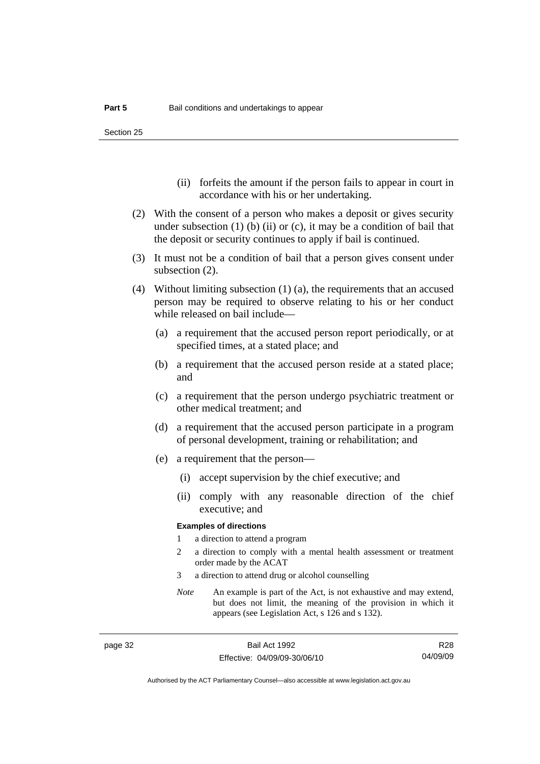Section 25

- (ii) forfeits the amount if the person fails to appear in court in accordance with his or her undertaking.
- (2) With the consent of a person who makes a deposit or gives security under subsection  $(1)$  (b)  $(ii)$  or  $(c)$ , it may be a condition of bail that the deposit or security continues to apply if bail is continued.
- (3) It must not be a condition of bail that a person gives consent under subsection (2).
- (4) Without limiting subsection (1) (a), the requirements that an accused person may be required to observe relating to his or her conduct while released on bail include—
	- (a) a requirement that the accused person report periodically, or at specified times, at a stated place; and
	- (b) a requirement that the accused person reside at a stated place; and
	- (c) a requirement that the person undergo psychiatric treatment or other medical treatment; and
	- (d) a requirement that the accused person participate in a program of personal development, training or rehabilitation; and
	- (e) a requirement that the person—
		- (i) accept supervision by the chief executive; and
		- (ii) comply with any reasonable direction of the chief executive; and

#### **Examples of directions**

- 1 a direction to attend a program
- 2 a direction to comply with a mental health assessment or treatment order made by the ACAT
- 3 a direction to attend drug or alcohol counselling
- *Note* An example is part of the Act, is not exhaustive and may extend, but does not limit, the meaning of the provision in which it appears (see Legislation Act, s 126 and s 132).

R28 04/09/09

Authorised by the ACT Parliamentary Counsel—also accessible at www.legislation.act.gov.au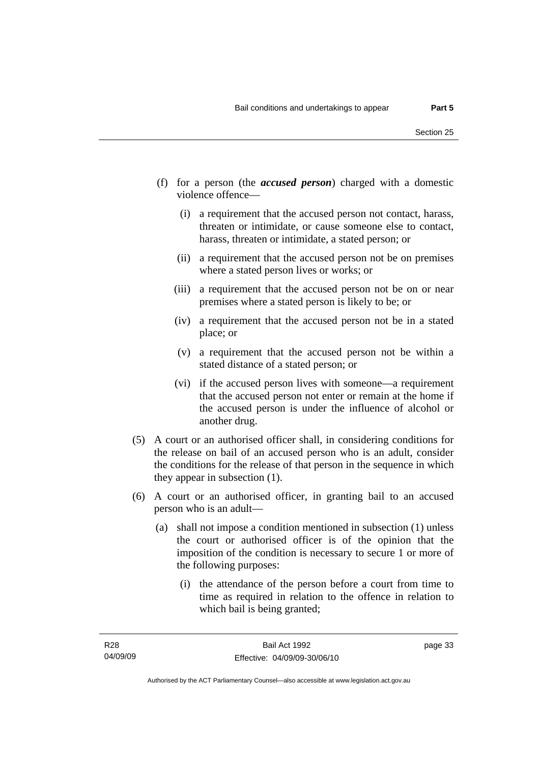- (f) for a person (the *accused person*) charged with a domestic violence offence—
	- (i) a requirement that the accused person not contact, harass, threaten or intimidate, or cause someone else to contact, harass, threaten or intimidate, a stated person; or
	- (ii) a requirement that the accused person not be on premises where a stated person lives or works; or
	- (iii) a requirement that the accused person not be on or near premises where a stated person is likely to be; or
	- (iv) a requirement that the accused person not be in a stated place; or
	- (v) a requirement that the accused person not be within a stated distance of a stated person; or
	- (vi) if the accused person lives with someone—a requirement that the accused person not enter or remain at the home if the accused person is under the influence of alcohol or another drug.
- (5) A court or an authorised officer shall, in considering conditions for the release on bail of an accused person who is an adult, consider the conditions for the release of that person in the sequence in which they appear in subsection (1).
- (6) A court or an authorised officer, in granting bail to an accused person who is an adult—
	- (a) shall not impose a condition mentioned in subsection (1) unless the court or authorised officer is of the opinion that the imposition of the condition is necessary to secure 1 or more of the following purposes:
		- (i) the attendance of the person before a court from time to time as required in relation to the offence in relation to which bail is being granted;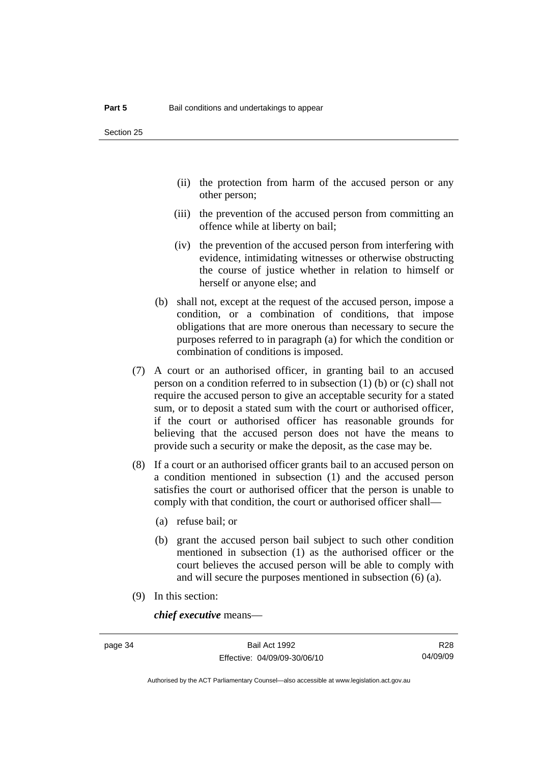- (ii) the protection from harm of the accused person or any other person;
- (iii) the prevention of the accused person from committing an offence while at liberty on bail;
- (iv) the prevention of the accused person from interfering with evidence, intimidating witnesses or otherwise obstructing the course of justice whether in relation to himself or herself or anyone else; and
- (b) shall not, except at the request of the accused person, impose a condition, or a combination of conditions, that impose obligations that are more onerous than necessary to secure the purposes referred to in paragraph (a) for which the condition or combination of conditions is imposed.
- (7) A court or an authorised officer, in granting bail to an accused person on a condition referred to in subsection (1) (b) or (c) shall not require the accused person to give an acceptable security for a stated sum, or to deposit a stated sum with the court or authorised officer, if the court or authorised officer has reasonable grounds for believing that the accused person does not have the means to provide such a security or make the deposit, as the case may be.
- (8) If a court or an authorised officer grants bail to an accused person on a condition mentioned in subsection (1) and the accused person satisfies the court or authorised officer that the person is unable to comply with that condition, the court or authorised officer shall—
	- (a) refuse bail; or
	- (b) grant the accused person bail subject to such other condition mentioned in subsection (1) as the authorised officer or the court believes the accused person will be able to comply with and will secure the purposes mentioned in subsection (6) (a).
- (9) In this section:

*chief executive* means—

Authorised by the ACT Parliamentary Counsel—also accessible at www.legislation.act.gov.au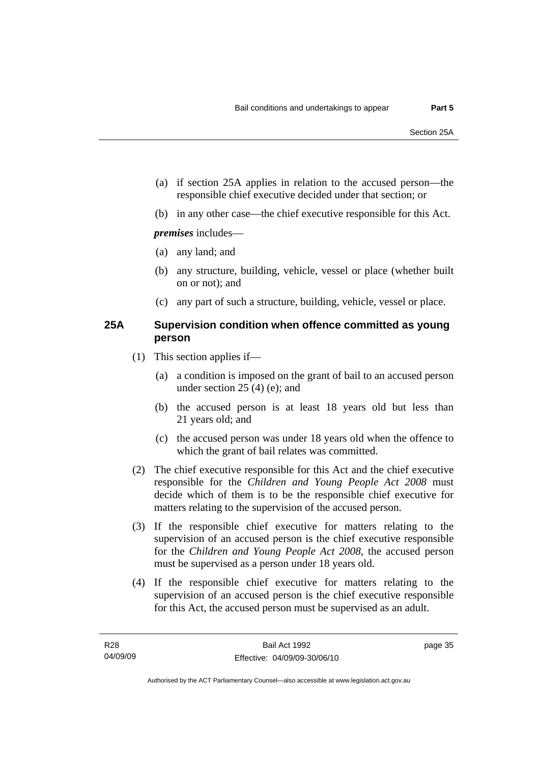- (a) if section 25A applies in relation to the accused person—the responsible chief executive decided under that section; or
- (b) in any other case—the chief executive responsible for this Act.

*premises* includes—

- (a) any land; and
- (b) any structure, building, vehicle, vessel or place (whether built on or not); and
- (c) any part of such a structure, building, vehicle, vessel or place.

### **25A Supervision condition when offence committed as young person**

- (1) This section applies if—
	- (a) a condition is imposed on the grant of bail to an accused person under section 25 (4) (e); and
	- (b) the accused person is at least 18 years old but less than 21 years old; and
	- (c) the accused person was under 18 years old when the offence to which the grant of bail relates was committed.
- (2) The chief executive responsible for this Act and the chief executive responsible for the *Children and Young People Act 2008* must decide which of them is to be the responsible chief executive for matters relating to the supervision of the accused person.
- (3) If the responsible chief executive for matters relating to the supervision of an accused person is the chief executive responsible for the *Children and Young People Act 2008*, the accused person must be supervised as a person under 18 years old.
- (4) If the responsible chief executive for matters relating to the supervision of an accused person is the chief executive responsible for this Act, the accused person must be supervised as an adult.

page 35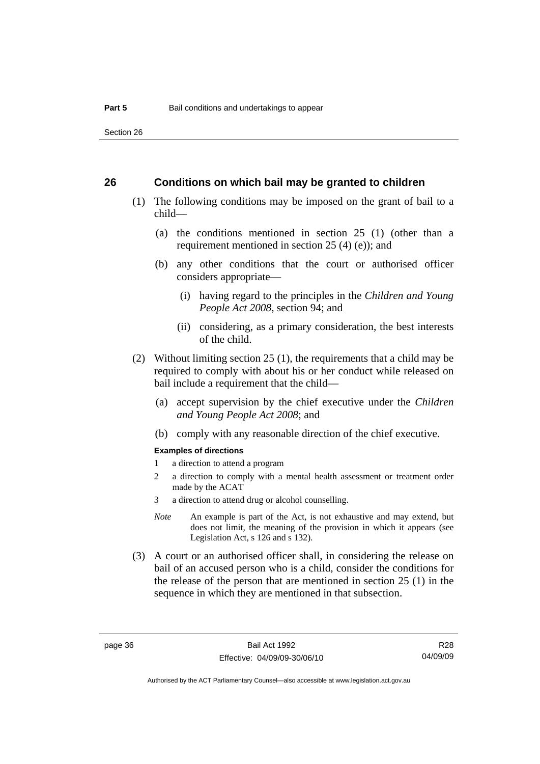Section 26

#### **26 Conditions on which bail may be granted to children**

- (1) The following conditions may be imposed on the grant of bail to a child—
	- (a) the conditions mentioned in section 25 (1) (other than a requirement mentioned in section 25 (4) (e)); and
	- (b) any other conditions that the court or authorised officer considers appropriate—
		- (i) having regard to the principles in the *Children and Young People Act 2008*, section 94; and
		- (ii) considering, as a primary consideration, the best interests of the child.
- (2) Without limiting section 25 (1), the requirements that a child may be required to comply with about his or her conduct while released on bail include a requirement that the child—
	- (a) accept supervision by the chief executive under the *Children and Young People Act 2008*; and
	- (b) comply with any reasonable direction of the chief executive.

#### **Examples of directions**

- 1 a direction to attend a program
- 2 a direction to comply with a mental health assessment or treatment order made by the ACAT
- 3 a direction to attend drug or alcohol counselling.
- *Note* An example is part of the Act, is not exhaustive and may extend, but does not limit, the meaning of the provision in which it appears (see Legislation Act, s 126 and s 132).
- (3) A court or an authorised officer shall, in considering the release on bail of an accused person who is a child, consider the conditions for the release of the person that are mentioned in section 25 (1) in the sequence in which they are mentioned in that subsection.

R28 04/09/09

Authorised by the ACT Parliamentary Counsel—also accessible at www.legislation.act.gov.au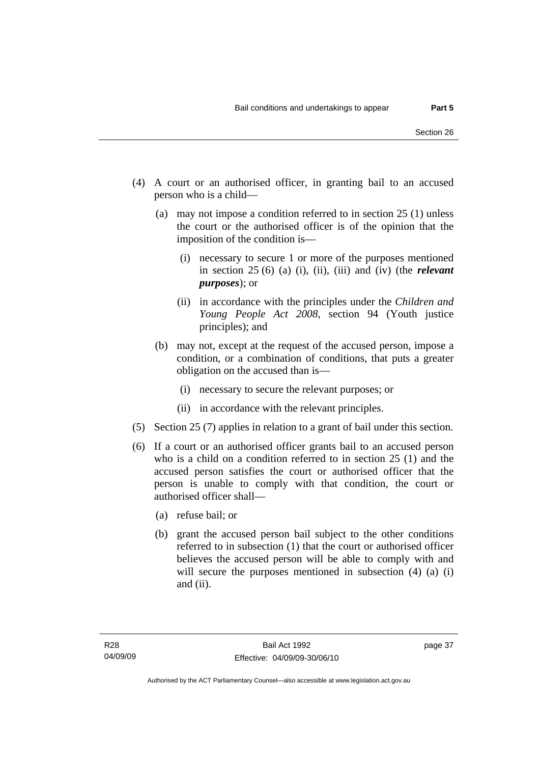- (4) A court or an authorised officer, in granting bail to an accused person who is a child—
	- (a) may not impose a condition referred to in section 25 (1) unless the court or the authorised officer is of the opinion that the imposition of the condition is—
		- (i) necessary to secure 1 or more of the purposes mentioned in section 25 (6) (a) (i), (ii), (iii) and (iv) (the *relevant purposes*); or
		- (ii) in accordance with the principles under the *Children and Young People Act 2008*, section 94 (Youth justice principles); and
	- (b) may not, except at the request of the accused person, impose a condition, or a combination of conditions, that puts a greater obligation on the accused than is—
		- (i) necessary to secure the relevant purposes; or
		- (ii) in accordance with the relevant principles.
- (5) Section 25 (7) applies in relation to a grant of bail under this section.
- (6) If a court or an authorised officer grants bail to an accused person who is a child on a condition referred to in section 25 (1) and the accused person satisfies the court or authorised officer that the person is unable to comply with that condition, the court or authorised officer shall—
	- (a) refuse bail; or
	- (b) grant the accused person bail subject to the other conditions referred to in subsection (1) that the court or authorised officer believes the accused person will be able to comply with and will secure the purposes mentioned in subsection (4) (a) (i) and (ii).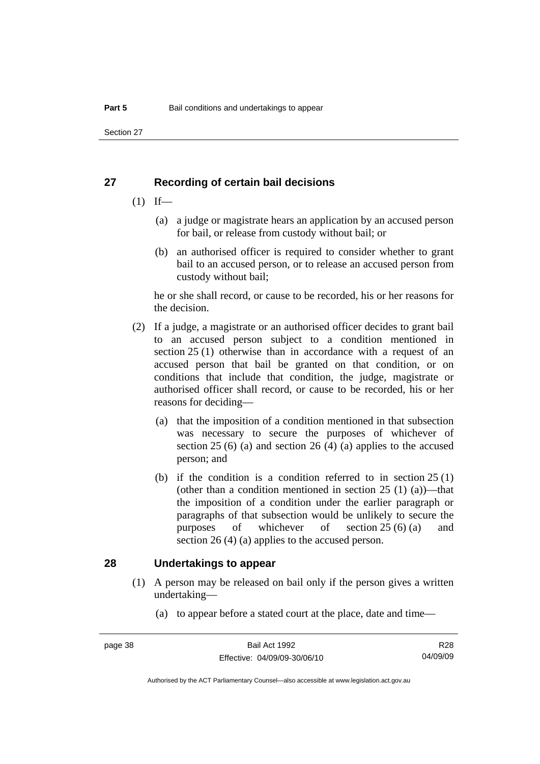Section 27

### **27 Recording of certain bail decisions**

- $(1)$  If—
	- (a) a judge or magistrate hears an application by an accused person for bail, or release from custody without bail; or
	- (b) an authorised officer is required to consider whether to grant bail to an accused person, or to release an accused person from custody without bail;

he or she shall record, or cause to be recorded, his or her reasons for the decision.

- (2) If a judge, a magistrate or an authorised officer decides to grant bail to an accused person subject to a condition mentioned in section 25 (1) otherwise than in accordance with a request of an accused person that bail be granted on that condition, or on conditions that include that condition, the judge, magistrate or authorised officer shall record, or cause to be recorded, his or her reasons for deciding—
	- (a) that the imposition of a condition mentioned in that subsection was necessary to secure the purposes of whichever of section 25 (6) (a) and section 26 (4) (a) applies to the accused person; and
	- (b) if the condition is a condition referred to in section 25 (1) (other than a condition mentioned in section  $25(1)(a)$ )—that the imposition of a condition under the earlier paragraph or paragraphs of that subsection would be unlikely to secure the purposes of whichever of section 25 (6) (a) and section 26 (4) (a) applies to the accused person.

### **28 Undertakings to appear**

- (1) A person may be released on bail only if the person gives a written undertaking—
	- (a) to appear before a stated court at the place, date and time—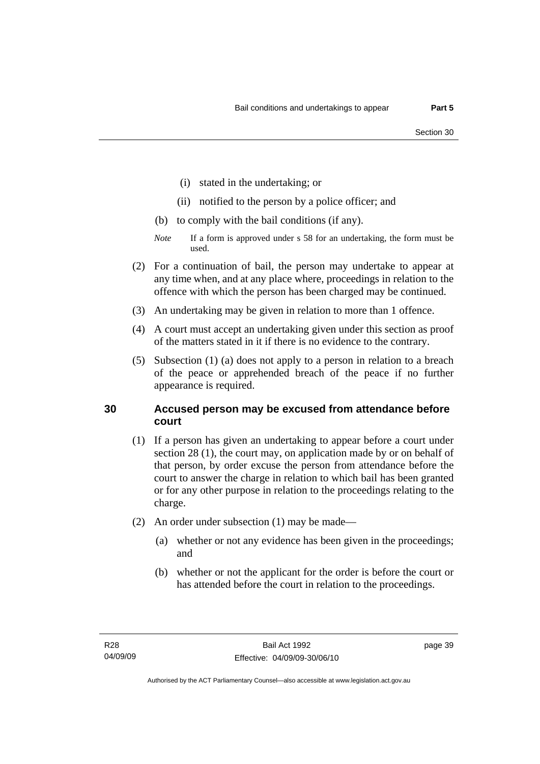- (i) stated in the undertaking; or
- (ii) notified to the person by a police officer; and
- (b) to comply with the bail conditions (if any).
- *Note* If a form is approved under s 58 for an undertaking, the form must be used.
- (2) For a continuation of bail, the person may undertake to appear at any time when, and at any place where, proceedings in relation to the offence with which the person has been charged may be continued.
- (3) An undertaking may be given in relation to more than 1 offence.
- (4) A court must accept an undertaking given under this section as proof of the matters stated in it if there is no evidence to the contrary.
- (5) Subsection (1) (a) does not apply to a person in relation to a breach of the peace or apprehended breach of the peace if no further appearance is required.

## **30 Accused person may be excused from attendance before court**

- (1) If a person has given an undertaking to appear before a court under section 28 (1), the court may, on application made by or on behalf of that person, by order excuse the person from attendance before the court to answer the charge in relation to which bail has been granted or for any other purpose in relation to the proceedings relating to the charge.
- (2) An order under subsection (1) may be made—
	- (a) whether or not any evidence has been given in the proceedings; and
	- (b) whether or not the applicant for the order is before the court or has attended before the court in relation to the proceedings.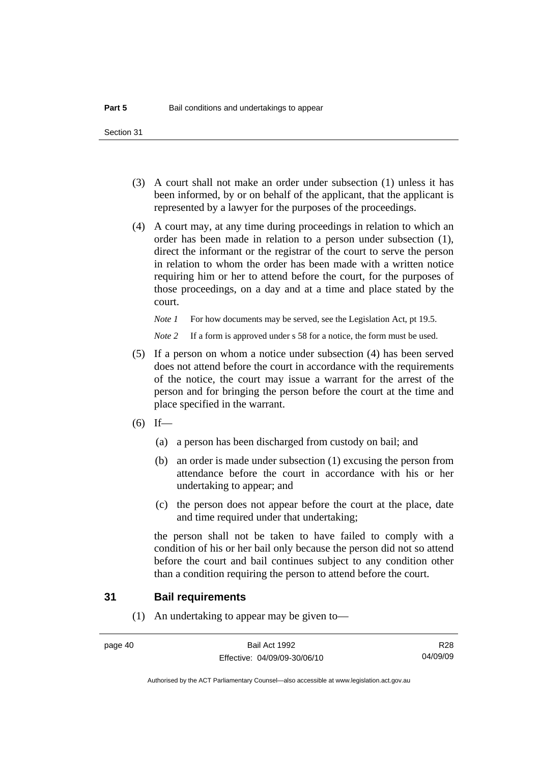Section 31

- (3) A court shall not make an order under subsection (1) unless it has been informed, by or on behalf of the applicant, that the applicant is represented by a lawyer for the purposes of the proceedings.
- (4) A court may, at any time during proceedings in relation to which an order has been made in relation to a person under subsection (1), direct the informant or the registrar of the court to serve the person in relation to whom the order has been made with a written notice requiring him or her to attend before the court, for the purposes of those proceedings, on a day and at a time and place stated by the court.

*Note 1* For how documents may be served, see the Legislation Act, pt 19.5.

*Note* 2 If a form is approved under s 58 for a notice, the form must be used.

- (5) If a person on whom a notice under subsection (4) has been served does not attend before the court in accordance with the requirements of the notice, the court may issue a warrant for the arrest of the person and for bringing the person before the court at the time and place specified in the warrant.
- $(6)$  If—
	- (a) a person has been discharged from custody on bail; and
	- (b) an order is made under subsection (1) excusing the person from attendance before the court in accordance with his or her undertaking to appear; and
	- (c) the person does not appear before the court at the place, date and time required under that undertaking;

the person shall not be taken to have failed to comply with a condition of his or her bail only because the person did not so attend before the court and bail continues subject to any condition other than a condition requiring the person to attend before the court.

### **31 Bail requirements**

(1) An undertaking to appear may be given to—

R28 04/09/09

Authorised by the ACT Parliamentary Counsel—also accessible at www.legislation.act.gov.au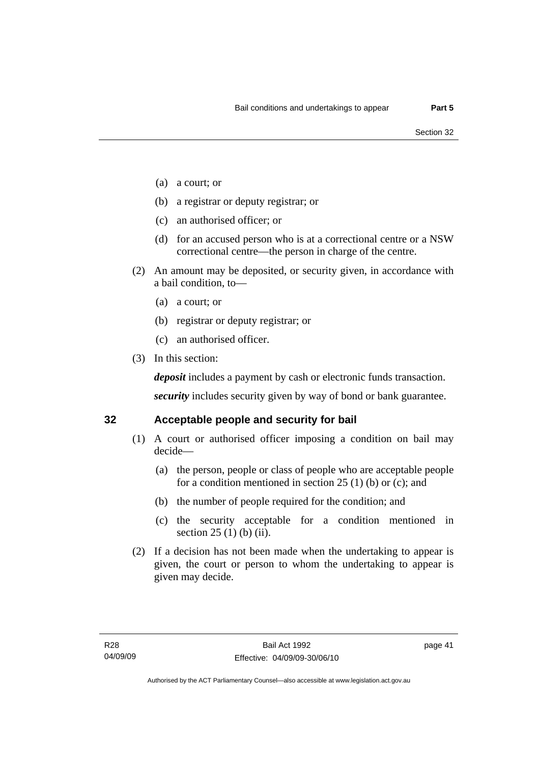- (a) a court; or
- (b) a registrar or deputy registrar; or
- (c) an authorised officer; or
- (d) for an accused person who is at a correctional centre or a NSW correctional centre—the person in charge of the centre.
- (2) An amount may be deposited, or security given, in accordance with a bail condition, to—
	- (a) a court; or
	- (b) registrar or deputy registrar; or
	- (c) an authorised officer.
- (3) In this section:

*deposit* includes a payment by cash or electronic funds transaction.

*security* includes security given by way of bond or bank guarantee.

### **32 Acceptable people and security for bail**

- (1) A court or authorised officer imposing a condition on bail may decide—
	- (a) the person, people or class of people who are acceptable people for a condition mentioned in section 25 (1) (b) or (c); and
	- (b) the number of people required for the condition; and
	- (c) the security acceptable for a condition mentioned in section 25 (1) (b) (ii).
- (2) If a decision has not been made when the undertaking to appear is given, the court or person to whom the undertaking to appear is given may decide.

page 41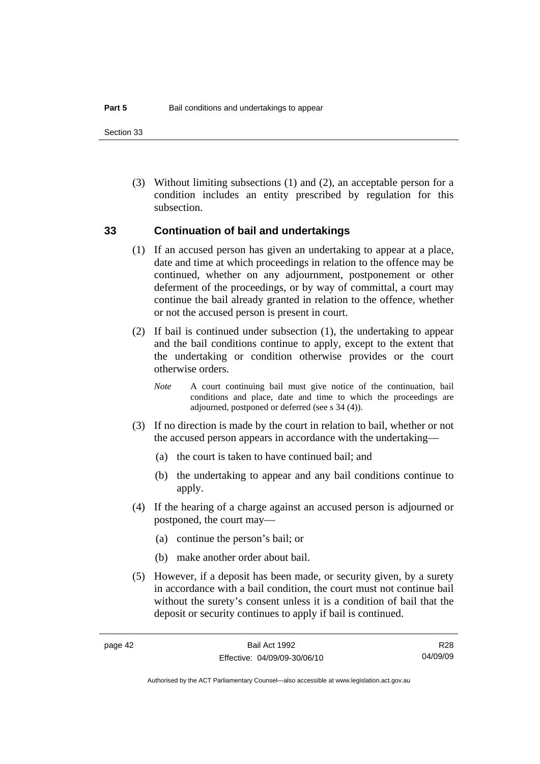Section 33

 (3) Without limiting subsections (1) and (2), an acceptable person for a condition includes an entity prescribed by regulation for this subsection.

### **33 Continuation of bail and undertakings**

- (1) If an accused person has given an undertaking to appear at a place, date and time at which proceedings in relation to the offence may be continued, whether on any adjournment, postponement or other deferment of the proceedings, or by way of committal, a court may continue the bail already granted in relation to the offence, whether or not the accused person is present in court.
- (2) If bail is continued under subsection (1), the undertaking to appear and the bail conditions continue to apply, except to the extent that the undertaking or condition otherwise provides or the court otherwise orders.
	- *Note* A court continuing bail must give notice of the continuation, bail conditions and place, date and time to which the proceedings are adjourned, postponed or deferred (see s 34 (4)).
- (3) If no direction is made by the court in relation to bail, whether or not the accused person appears in accordance with the undertaking—
	- (a) the court is taken to have continued bail; and
	- (b) the undertaking to appear and any bail conditions continue to apply.
- (4) If the hearing of a charge against an accused person is adjourned or postponed, the court may—
	- (a) continue the person's bail; or
	- (b) make another order about bail.
- (5) However, if a deposit has been made, or security given, by a surety in accordance with a bail condition, the court must not continue bail without the surety's consent unless it is a condition of bail that the deposit or security continues to apply if bail is continued.

R28 04/09/09

Authorised by the ACT Parliamentary Counsel—also accessible at www.legislation.act.gov.au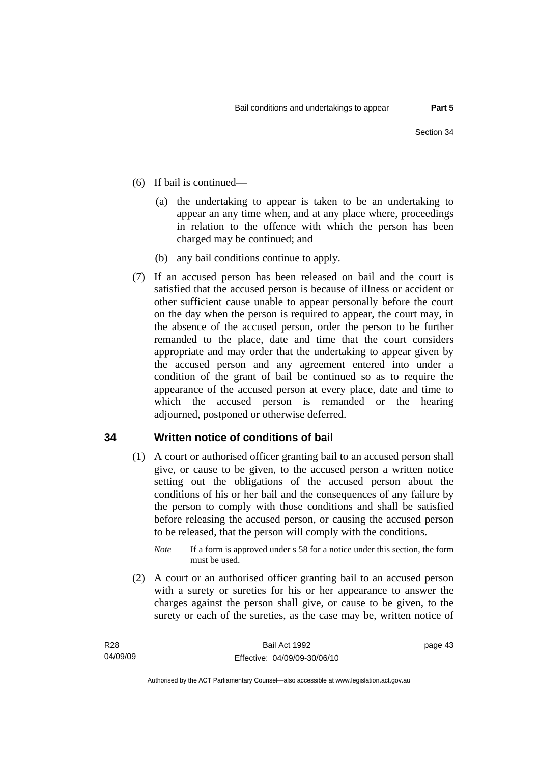- (6) If bail is continued—
	- (a) the undertaking to appear is taken to be an undertaking to appear an any time when, and at any place where, proceedings in relation to the offence with which the person has been charged may be continued; and
	- (b) any bail conditions continue to apply.
- (7) If an accused person has been released on bail and the court is satisfied that the accused person is because of illness or accident or other sufficient cause unable to appear personally before the court on the day when the person is required to appear, the court may, in the absence of the accused person, order the person to be further remanded to the place, date and time that the court considers appropriate and may order that the undertaking to appear given by the accused person and any agreement entered into under a condition of the grant of bail be continued so as to require the appearance of the accused person at every place, date and time to which the accused person is remanded or the hearing adjourned, postponed or otherwise deferred.

## **34 Written notice of conditions of bail**

- (1) A court or authorised officer granting bail to an accused person shall give, or cause to be given, to the accused person a written notice setting out the obligations of the accused person about the conditions of his or her bail and the consequences of any failure by the person to comply with those conditions and shall be satisfied before releasing the accused person, or causing the accused person to be released, that the person will comply with the conditions.
	- *Note* If a form is approved under s 58 for a notice under this section, the form must be used.
- (2) A court or an authorised officer granting bail to an accused person with a surety or sureties for his or her appearance to answer the charges against the person shall give, or cause to be given, to the surety or each of the sureties, as the case may be, written notice of

page 43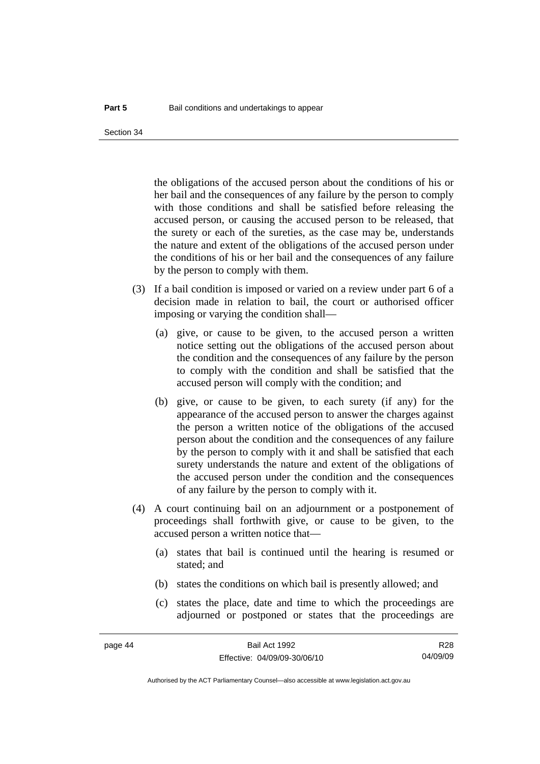the obligations of the accused person about the conditions of his or her bail and the consequences of any failure by the person to comply with those conditions and shall be satisfied before releasing the accused person, or causing the accused person to be released, that the surety or each of the sureties, as the case may be, understands the nature and extent of the obligations of the accused person under the conditions of his or her bail and the consequences of any failure by the person to comply with them.

- (3) If a bail condition is imposed or varied on a review under part 6 of a decision made in relation to bail, the court or authorised officer imposing or varying the condition shall—
	- (a) give, or cause to be given, to the accused person a written notice setting out the obligations of the accused person about the condition and the consequences of any failure by the person to comply with the condition and shall be satisfied that the accused person will comply with the condition; and
	- (b) give, or cause to be given, to each surety (if any) for the appearance of the accused person to answer the charges against the person a written notice of the obligations of the accused person about the condition and the consequences of any failure by the person to comply with it and shall be satisfied that each surety understands the nature and extent of the obligations of the accused person under the condition and the consequences of any failure by the person to comply with it.
- (4) A court continuing bail on an adjournment or a postponement of proceedings shall forthwith give, or cause to be given, to the accused person a written notice that—
	- (a) states that bail is continued until the hearing is resumed or stated; and
	- (b) states the conditions on which bail is presently allowed; and
	- (c) states the place, date and time to which the proceedings are adjourned or postponed or states that the proceedings are

R28 04/09/09

Authorised by the ACT Parliamentary Counsel—also accessible at www.legislation.act.gov.au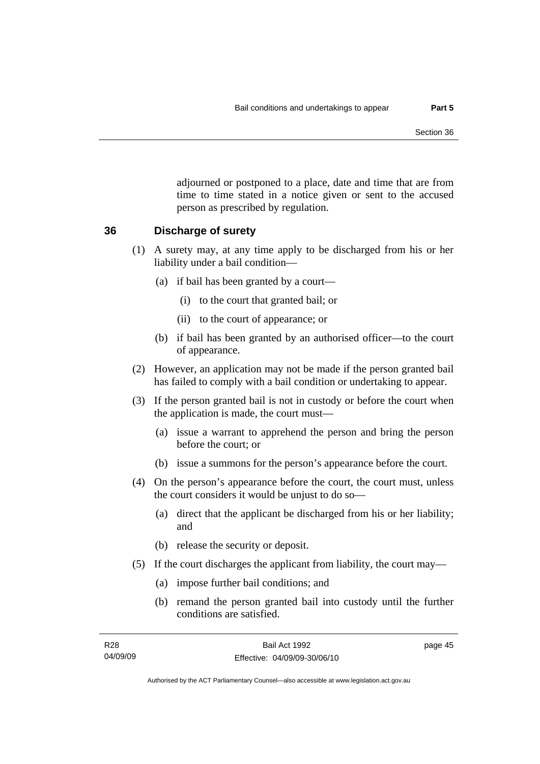adjourned or postponed to a place, date and time that are from time to time stated in a notice given or sent to the accused person as prescribed by regulation.

### **36 Discharge of surety**

- (1) A surety may, at any time apply to be discharged from his or her liability under a bail condition—
	- (a) if bail has been granted by a court—
		- (i) to the court that granted bail; or
		- (ii) to the court of appearance; or
	- (b) if bail has been granted by an authorised officer—to the court of appearance.
- (2) However, an application may not be made if the person granted bail has failed to comply with a bail condition or undertaking to appear.
- (3) If the person granted bail is not in custody or before the court when the application is made, the court must—
	- (a) issue a warrant to apprehend the person and bring the person before the court; or
	- (b) issue a summons for the person's appearance before the court.
- (4) On the person's appearance before the court, the court must, unless the court considers it would be unjust to do so—
	- (a) direct that the applicant be discharged from his or her liability; and
	- (b) release the security or deposit.
- (5) If the court discharges the applicant from liability, the court may—
	- (a) impose further bail conditions; and
	- (b) remand the person granted bail into custody until the further conditions are satisfied.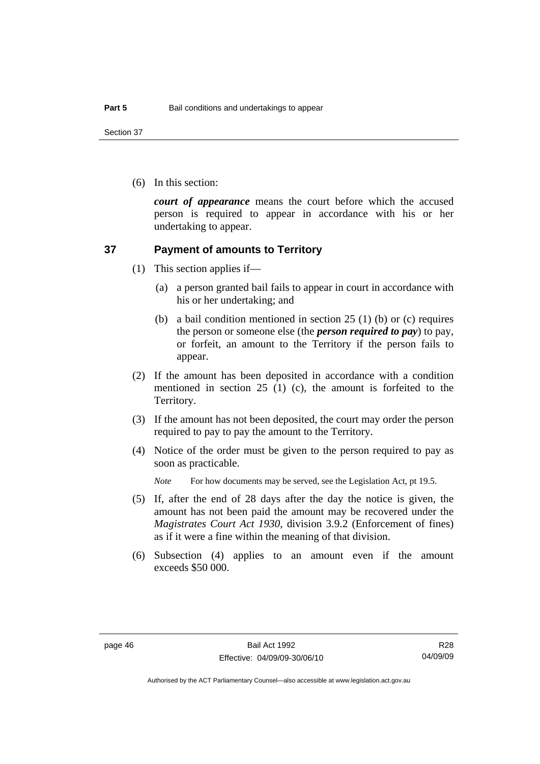Section 37

(6) In this section:

*court of appearance* means the court before which the accused person is required to appear in accordance with his or her undertaking to appear.

### **37 Payment of amounts to Territory**

- (1) This section applies if—
	- (a) a person granted bail fails to appear in court in accordance with his or her undertaking; and
	- (b) a bail condition mentioned in section 25 (1) (b) or (c) requires the person or someone else (the *person required to pay*) to pay, or forfeit, an amount to the Territory if the person fails to appear.
- (2) If the amount has been deposited in accordance with a condition mentioned in section 25 (1) (c), the amount is forfeited to the Territory.
- (3) If the amount has not been deposited, the court may order the person required to pay to pay the amount to the Territory.
- (4) Notice of the order must be given to the person required to pay as soon as practicable.

*Note* For how documents may be served, see the Legislation Act, pt 19.5.

- (5) If, after the end of 28 days after the day the notice is given, the amount has not been paid the amount may be recovered under the *Magistrates Court Act 1930*, division 3.9.2 (Enforcement of fines) as if it were a fine within the meaning of that division.
- (6) Subsection (4) applies to an amount even if the amount exceeds \$50 000.

R28 04/09/09

Authorised by the ACT Parliamentary Counsel—also accessible at www.legislation.act.gov.au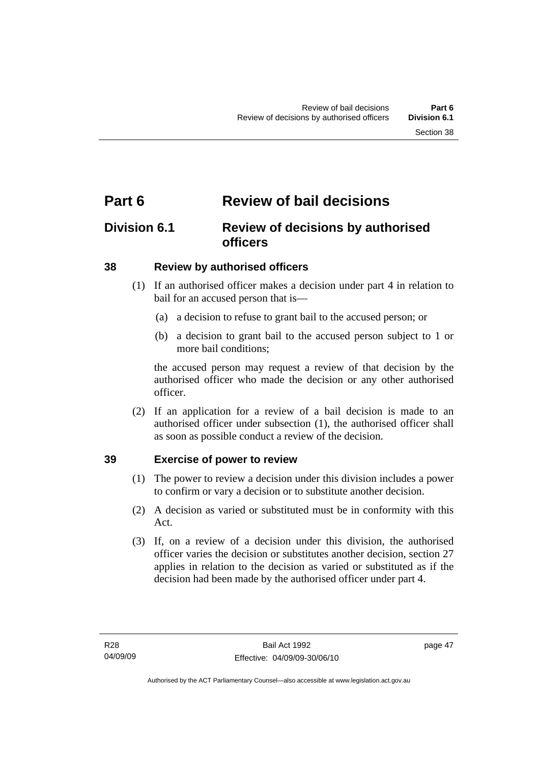## **Part 6 Review of bail decisions**

## **Division 6.1 Review of decisions by authorised officers**

## **38 Review by authorised officers**

- (1) If an authorised officer makes a decision under part 4 in relation to bail for an accused person that is—
	- (a) a decision to refuse to grant bail to the accused person; or
	- (b) a decision to grant bail to the accused person subject to 1 or more bail conditions;

the accused person may request a review of that decision by the authorised officer who made the decision or any other authorised officer.

 (2) If an application for a review of a bail decision is made to an authorised officer under subsection (1), the authorised officer shall as soon as possible conduct a review of the decision.

## **39 Exercise of power to review**

- (1) The power to review a decision under this division includes a power to confirm or vary a decision or to substitute another decision.
- (2) A decision as varied or substituted must be in conformity with this Act.
- (3) If, on a review of a decision under this division, the authorised officer varies the decision or substitutes another decision, section 27 applies in relation to the decision as varied or substituted as if the decision had been made by the authorised officer under part 4.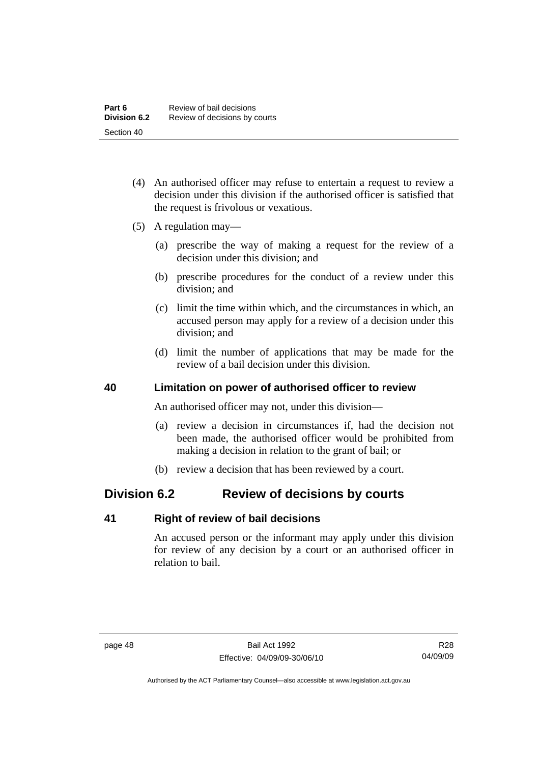- (4) An authorised officer may refuse to entertain a request to review a decision under this division if the authorised officer is satisfied that the request is frivolous or vexatious.
- (5) A regulation may—
	- (a) prescribe the way of making a request for the review of a decision under this division; and
	- (b) prescribe procedures for the conduct of a review under this division; and
	- (c) limit the time within which, and the circumstances in which, an accused person may apply for a review of a decision under this division; and
	- (d) limit the number of applications that may be made for the review of a bail decision under this division.

### **40 Limitation on power of authorised officer to review**

An authorised officer may not, under this division—

- (a) review a decision in circumstances if, had the decision not been made, the authorised officer would be prohibited from making a decision in relation to the grant of bail; or
- (b) review a decision that has been reviewed by a court.

## **Division 6.2 Review of decisions by courts**

### **41 Right of review of bail decisions**

An accused person or the informant may apply under this division for review of any decision by a court or an authorised officer in relation to bail.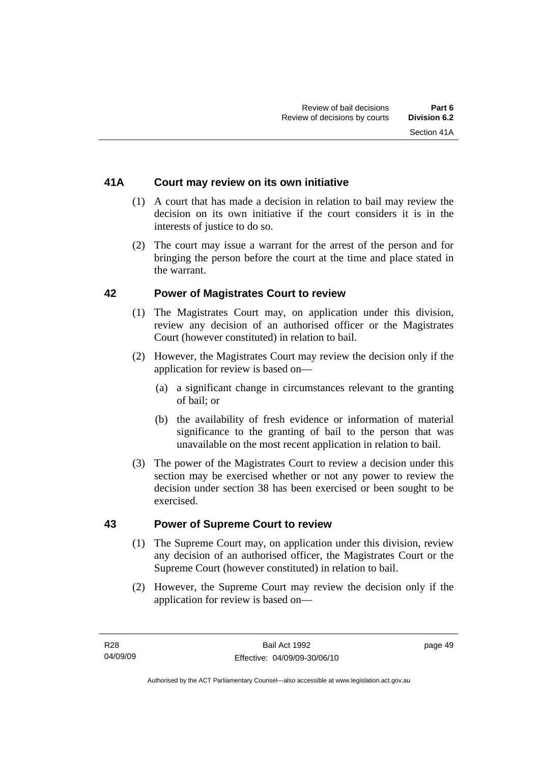## **41A Court may review on its own initiative**

- (1) A court that has made a decision in relation to bail may review the decision on its own initiative if the court considers it is in the interests of justice to do so.
- (2) The court may issue a warrant for the arrest of the person and for bringing the person before the court at the time and place stated in the warrant.

### **42 Power of Magistrates Court to review**

- (1) The Magistrates Court may, on application under this division, review any decision of an authorised officer or the Magistrates Court (however constituted) in relation to bail.
- (2) However, the Magistrates Court may review the decision only if the application for review is based on—
	- (a) a significant change in circumstances relevant to the granting of bail; or
	- (b) the availability of fresh evidence or information of material significance to the granting of bail to the person that was unavailable on the most recent application in relation to bail.
- (3) The power of the Magistrates Court to review a decision under this section may be exercised whether or not any power to review the decision under section 38 has been exercised or been sought to be exercised.

### **43 Power of Supreme Court to review**

- (1) The Supreme Court may, on application under this division, review any decision of an authorised officer, the Magistrates Court or the Supreme Court (however constituted) in relation to bail.
- (2) However, the Supreme Court may review the decision only if the application for review is based on—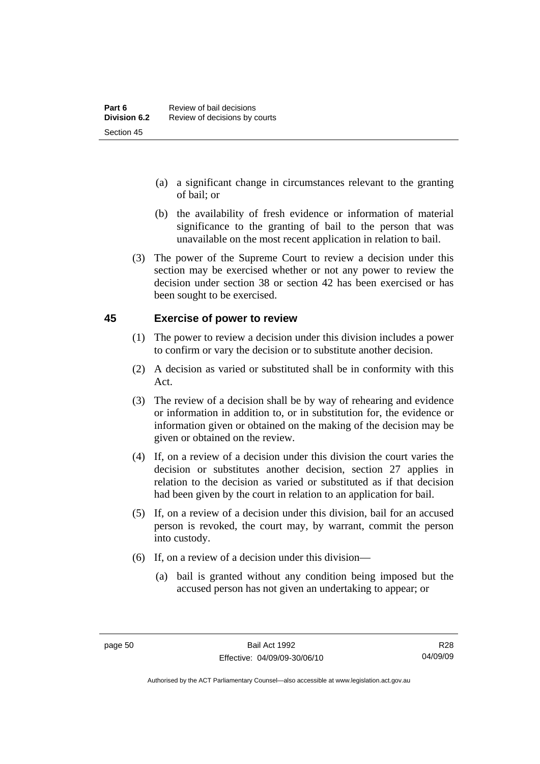- (a) a significant change in circumstances relevant to the granting of bail; or
- (b) the availability of fresh evidence or information of material significance to the granting of bail to the person that was unavailable on the most recent application in relation to bail.
- (3) The power of the Supreme Court to review a decision under this section may be exercised whether or not any power to review the decision under section 38 or section 42 has been exercised or has been sought to be exercised.

### **45 Exercise of power to review**

- (1) The power to review a decision under this division includes a power to confirm or vary the decision or to substitute another decision.
- (2) A decision as varied or substituted shall be in conformity with this Act.
- (3) The review of a decision shall be by way of rehearing and evidence or information in addition to, or in substitution for, the evidence or information given or obtained on the making of the decision may be given or obtained on the review.
- (4) If, on a review of a decision under this division the court varies the decision or substitutes another decision, section 27 applies in relation to the decision as varied or substituted as if that decision had been given by the court in relation to an application for bail.
- (5) If, on a review of a decision under this division, bail for an accused person is revoked, the court may, by warrant, commit the person into custody.
- (6) If, on a review of a decision under this division—
	- (a) bail is granted without any condition being imposed but the accused person has not given an undertaking to appear; or

R28 04/09/09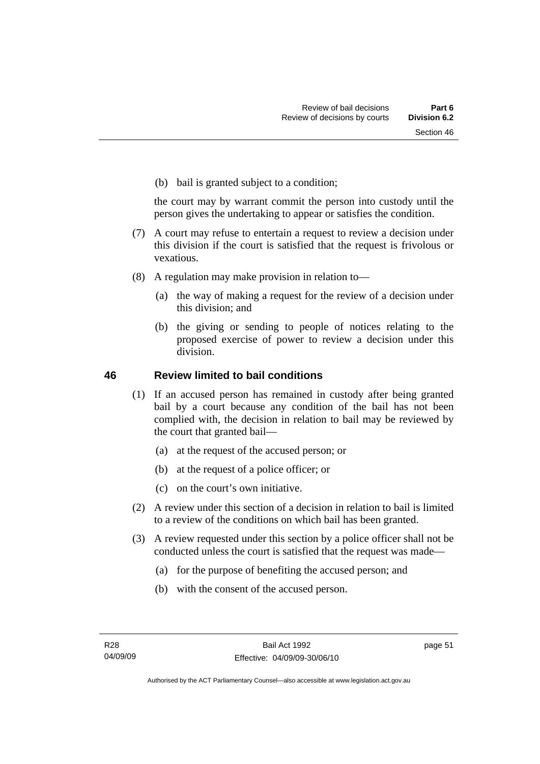(b) bail is granted subject to a condition;

the court may by warrant commit the person into custody until the person gives the undertaking to appear or satisfies the condition.

- (7) A court may refuse to entertain a request to review a decision under this division if the court is satisfied that the request is frivolous or vexatious.
- (8) A regulation may make provision in relation to—
	- (a) the way of making a request for the review of a decision under this division; and
	- (b) the giving or sending to people of notices relating to the proposed exercise of power to review a decision under this division.

### **46 Review limited to bail conditions**

- (1) If an accused person has remained in custody after being granted bail by a court because any condition of the bail has not been complied with, the decision in relation to bail may be reviewed by the court that granted bail—
	- (a) at the request of the accused person; or
	- (b) at the request of a police officer; or
	- (c) on the court's own initiative.
- (2) A review under this section of a decision in relation to bail is limited to a review of the conditions on which bail has been granted.
- (3) A review requested under this section by a police officer shall not be conducted unless the court is satisfied that the request was made—
	- (a) for the purpose of benefiting the accused person; and
	- (b) with the consent of the accused person.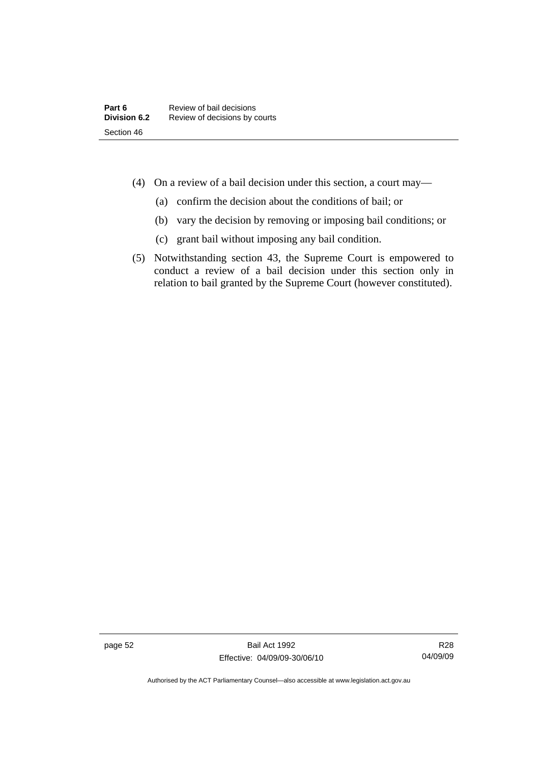- (4) On a review of a bail decision under this section, a court may—
	- (a) confirm the decision about the conditions of bail; or
	- (b) vary the decision by removing or imposing bail conditions; or
	- (c) grant bail without imposing any bail condition.
- (5) Notwithstanding section 43, the Supreme Court is empowered to conduct a review of a bail decision under this section only in relation to bail granted by the Supreme Court (however constituted).

page 52 Bail Act 1992 Effective: 04/09/09-30/06/10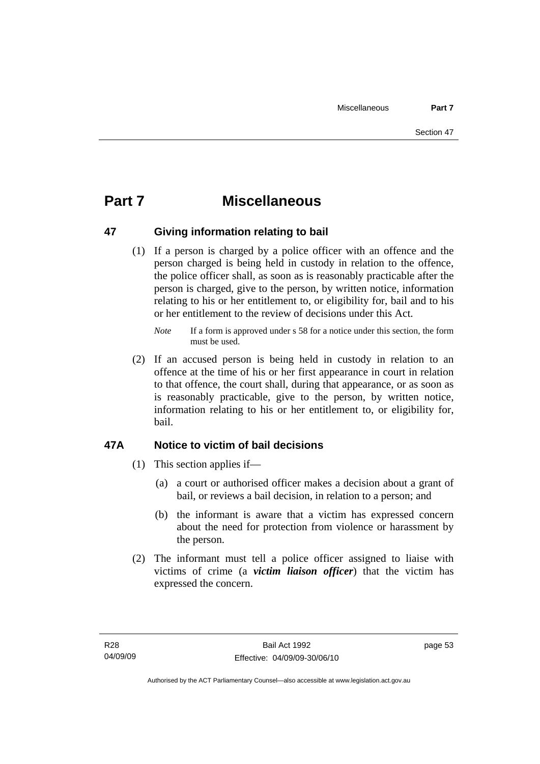## **Part 7 Miscellaneous**

## **47 Giving information relating to bail**

 (1) If a person is charged by a police officer with an offence and the person charged is being held in custody in relation to the offence, the police officer shall, as soon as is reasonably practicable after the person is charged, give to the person, by written notice, information relating to his or her entitlement to, or eligibility for, bail and to his or her entitlement to the review of decisions under this Act.

 (2) If an accused person is being held in custody in relation to an offence at the time of his or her first appearance in court in relation to that offence, the court shall, during that appearance, or as soon as is reasonably practicable, give to the person, by written notice, information relating to his or her entitlement to, or eligibility for, bail.

## **47A Notice to victim of bail decisions**

- (1) This section applies if—
	- (a) a court or authorised officer makes a decision about a grant of bail, or reviews a bail decision, in relation to a person; and
	- (b) the informant is aware that a victim has expressed concern about the need for protection from violence or harassment by the person.
- (2) The informant must tell a police officer assigned to liaise with victims of crime (a *victim liaison officer*) that the victim has expressed the concern.

*Note* If a form is approved under s 58 for a notice under this section, the form must be used.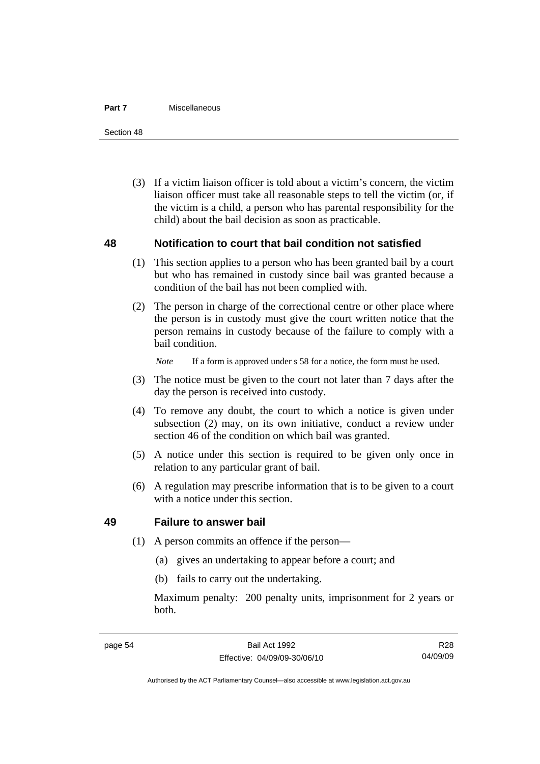#### **Part 7** Miscellaneous

Section 48

 (3) If a victim liaison officer is told about a victim's concern, the victim liaison officer must take all reasonable steps to tell the victim (or, if the victim is a child, a person who has parental responsibility for the child) about the bail decision as soon as practicable.

### **48 Notification to court that bail condition not satisfied**

- (1) This section applies to a person who has been granted bail by a court but who has remained in custody since bail was granted because a condition of the bail has not been complied with.
- (2) The person in charge of the correctional centre or other place where the person is in custody must give the court written notice that the person remains in custody because of the failure to comply with a bail condition.

*Note* If a form is approved under s 58 for a notice, the form must be used.

- (3) The notice must be given to the court not later than 7 days after the day the person is received into custody.
- (4) To remove any doubt, the court to which a notice is given under subsection (2) may, on its own initiative, conduct a review under section 46 of the condition on which bail was granted.
- (5) A notice under this section is required to be given only once in relation to any particular grant of bail.
- (6) A regulation may prescribe information that is to be given to a court with a notice under this section.

### **49 Failure to answer bail**

- (1) A person commits an offence if the person—
	- (a) gives an undertaking to appear before a court; and
	- (b) fails to carry out the undertaking.

Maximum penalty: 200 penalty units, imprisonment for 2 years or both.

R28 04/09/09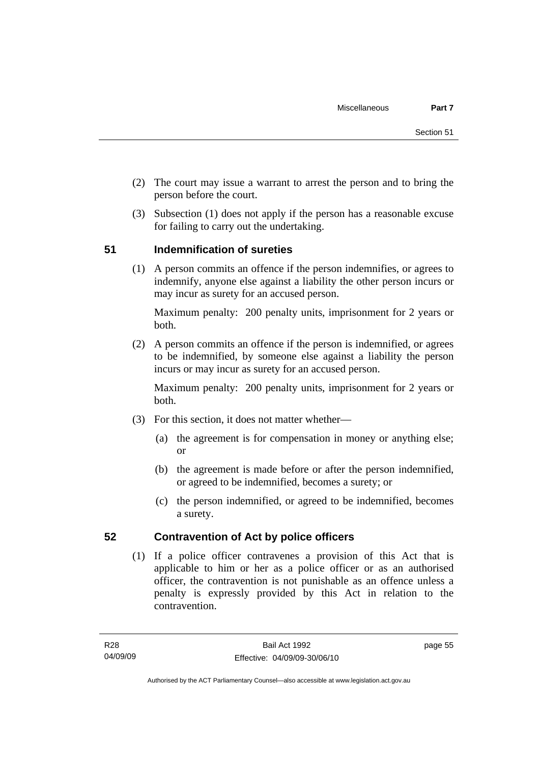- (2) The court may issue a warrant to arrest the person and to bring the person before the court.
- (3) Subsection (1) does not apply if the person has a reasonable excuse for failing to carry out the undertaking.

## **51 Indemnification of sureties**

 (1) A person commits an offence if the person indemnifies, or agrees to indemnify, anyone else against a liability the other person incurs or may incur as surety for an accused person.

Maximum penalty: 200 penalty units, imprisonment for 2 years or both.

 (2) A person commits an offence if the person is indemnified, or agrees to be indemnified, by someone else against a liability the person incurs or may incur as surety for an accused person.

Maximum penalty: 200 penalty units, imprisonment for 2 years or both.

- (3) For this section, it does not matter whether—
	- (a) the agreement is for compensation in money or anything else; or
	- (b) the agreement is made before or after the person indemnified, or agreed to be indemnified, becomes a surety; or
	- (c) the person indemnified, or agreed to be indemnified, becomes a surety.

## **52 Contravention of Act by police officers**

 (1) If a police officer contravenes a provision of this Act that is applicable to him or her as a police officer or as an authorised officer, the contravention is not punishable as an offence unless a penalty is expressly provided by this Act in relation to the contravention.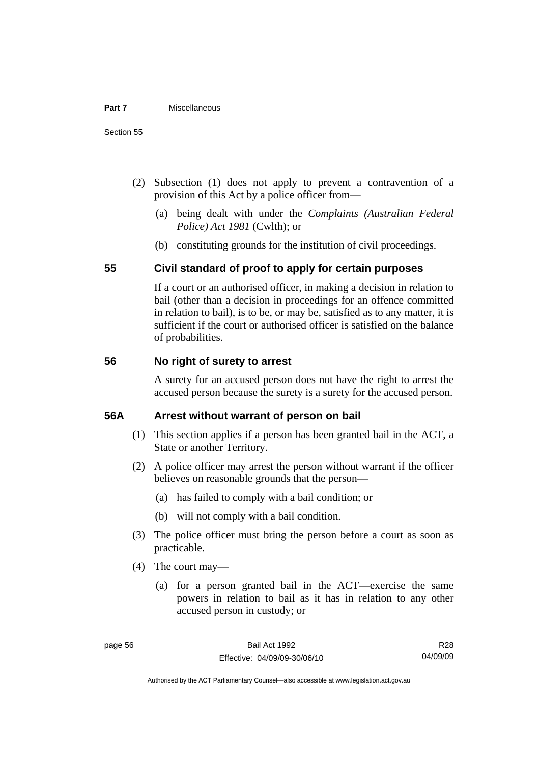- (2) Subsection (1) does not apply to prevent a contravention of a provision of this Act by a police officer from—
	- (a) being dealt with under the *Complaints (Australian Federal Police) Act 1981* (Cwlth); or
	- (b) constituting grounds for the institution of civil proceedings.

### **55 Civil standard of proof to apply for certain purposes**

If a court or an authorised officer, in making a decision in relation to bail (other than a decision in proceedings for an offence committed in relation to bail), is to be, or may be, satisfied as to any matter, it is sufficient if the court or authorised officer is satisfied on the balance of probabilities.

### **56 No right of surety to arrest**

A surety for an accused person does not have the right to arrest the accused person because the surety is a surety for the accused person.

### **56A Arrest without warrant of person on bail**

- (1) This section applies if a person has been granted bail in the ACT, a State or another Territory.
- (2) A police officer may arrest the person without warrant if the officer believes on reasonable grounds that the person—
	- (a) has failed to comply with a bail condition; or
	- (b) will not comply with a bail condition.
- (3) The police officer must bring the person before a court as soon as practicable.
- (4) The court may—
	- (a) for a person granted bail in the ACT—exercise the same powers in relation to bail as it has in relation to any other accused person in custody; or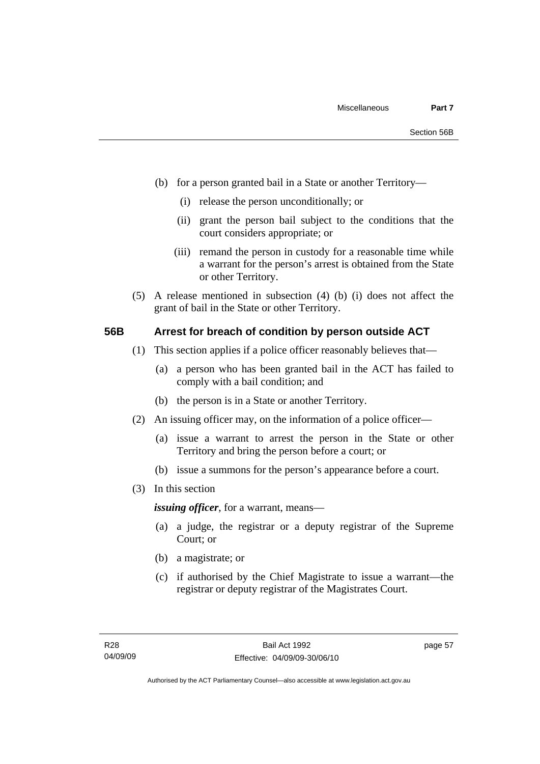- (b) for a person granted bail in a State or another Territory—
	- (i) release the person unconditionally; or
	- (ii) grant the person bail subject to the conditions that the court considers appropriate; or
	- (iii) remand the person in custody for a reasonable time while a warrant for the person's arrest is obtained from the State or other Territory.
- (5) A release mentioned in subsection (4) (b) (i) does not affect the grant of bail in the State or other Territory.

### **56B Arrest for breach of condition by person outside ACT**

- (1) This section applies if a police officer reasonably believes that—
	- (a) a person who has been granted bail in the ACT has failed to comply with a bail condition; and
	- (b) the person is in a State or another Territory.
- (2) An issuing officer may, on the information of a police officer—
	- (a) issue a warrant to arrest the person in the State or other Territory and bring the person before a court; or
	- (b) issue a summons for the person's appearance before a court.
- (3) In this section

*issuing officer*, for a warrant, means—

- (a) a judge, the registrar or a deputy registrar of the Supreme Court; or
- (b) a magistrate; or
- (c) if authorised by the Chief Magistrate to issue a warrant—the registrar or deputy registrar of the Magistrates Court.

page 57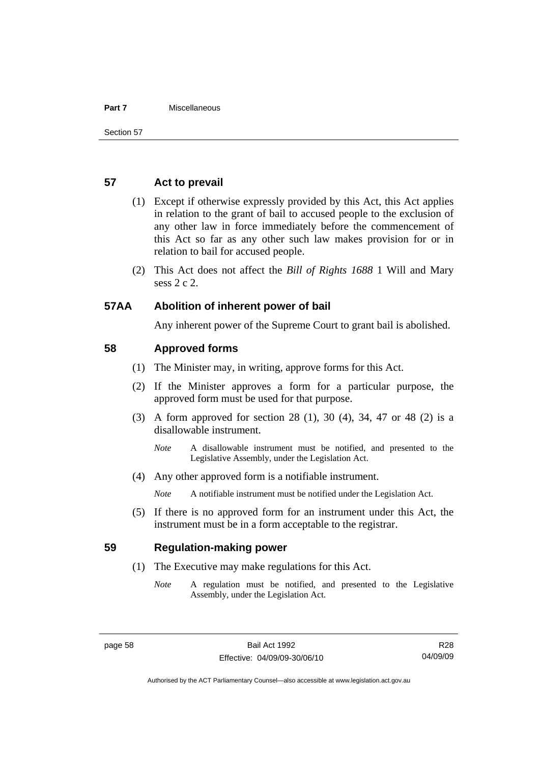#### **Part 7** Miscellaneous

#### **57 Act to prevail**

- (1) Except if otherwise expressly provided by this Act, this Act applies in relation to the grant of bail to accused people to the exclusion of any other law in force immediately before the commencement of this Act so far as any other such law makes provision for or in relation to bail for accused people.
- (2) This Act does not affect the *Bill of Rights 1688* 1 Will and Mary sess 2 c 2.

### **57AA Abolition of inherent power of bail**

Any inherent power of the Supreme Court to grant bail is abolished.

### **58 Approved forms**

- (1) The Minister may, in writing, approve forms for this Act.
- (2) If the Minister approves a form for a particular purpose, the approved form must be used for that purpose.
- (3) A form approved for section 28 (1), 30 (4), 34, 47 or 48 (2) is a disallowable instrument.
	- *Note* A disallowable instrument must be notified, and presented to the Legislative Assembly, under the Legislation Act.
- (4) Any other approved form is a notifiable instrument.

*Note* A notifiable instrument must be notified under the Legislation Act.

 (5) If there is no approved form for an instrument under this Act, the instrument must be in a form acceptable to the registrar.

### **59 Regulation-making power**

- (1) The Executive may make regulations for this Act.
	- *Note* A regulation must be notified, and presented to the Legislative Assembly, under the Legislation Act.

R28 04/09/09

Authorised by the ACT Parliamentary Counsel—also accessible at www.legislation.act.gov.au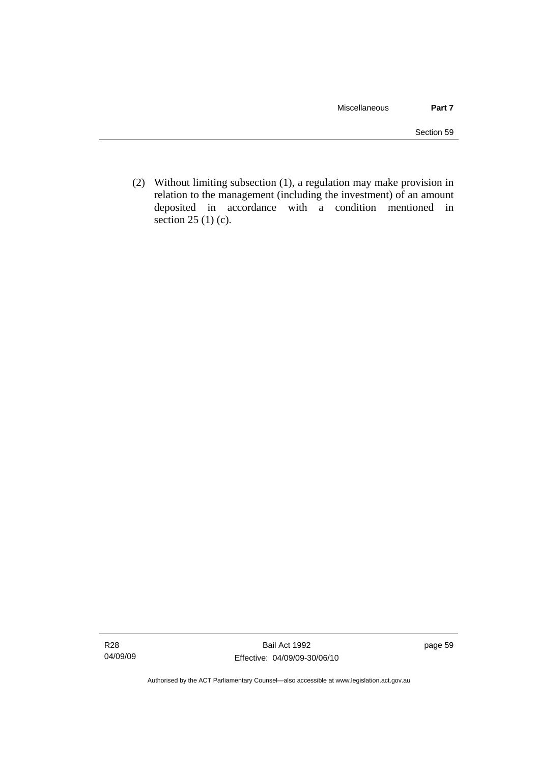(2) Without limiting subsection (1), a regulation may make provision in relation to the management (including the investment) of an amount deposited in accordance with a condition mentioned in section 25 (1) (c).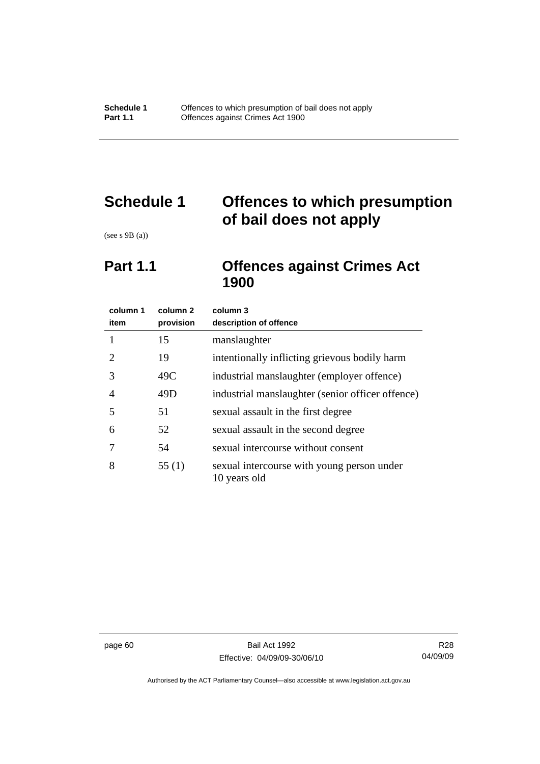# **Schedule 1 Offences to which presumption of bail does not apply**

(see s 9B (a))

## **Part 1.1 Offences against Crimes Act 1900**

| column 1<br>item            | column 2<br>provision | column 3<br>description of offence                         |
|-----------------------------|-----------------------|------------------------------------------------------------|
| 1                           | 15                    | manslaughter                                               |
| $\mathcal{D}_{\mathcal{L}}$ | 19                    | intentionally inflicting grievous bodily harm              |
| 3                           | 49C                   | industrial manslaughter (employer offence)                 |
| 4                           | 49D                   | industrial manslaughter (senior officer offence)           |
| 5                           | 51                    | sexual assault in the first degree                         |
| 6                           | 52                    | sexual assault in the second degree                        |
|                             | 54                    | sexual intercourse without consent                         |
| 8                           | 55(1)                 | sexual intercourse with young person under<br>10 years old |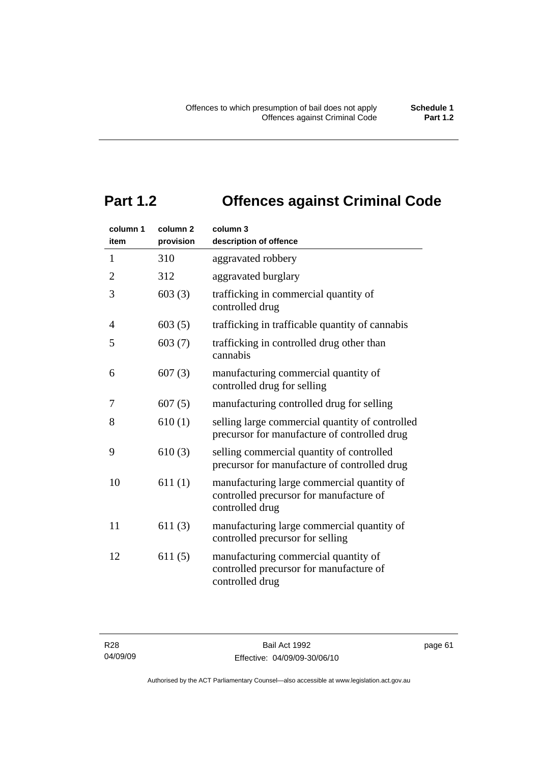# **Part 1.2 Offences against Criminal Code**

| column 1<br>item | column <sub>2</sub><br>provision | column 3<br>description of offence                                                                       |
|------------------|----------------------------------|----------------------------------------------------------------------------------------------------------|
| $\mathbf{1}$     | 310                              | aggravated robbery                                                                                       |
| $\overline{2}$   | 312                              | aggravated burglary                                                                                      |
| 3                | 603(3)                           | trafficking in commercial quantity of<br>controlled drug                                                 |
| $\overline{4}$   | 603(5)                           | trafficking in trafficable quantity of cannabis                                                          |
| 5                | 603(7)                           | trafficking in controlled drug other than<br>cannabis                                                    |
| 6                | 607(3)                           | manufacturing commercial quantity of<br>controlled drug for selling                                      |
| 7                | 607(5)                           | manufacturing controlled drug for selling                                                                |
| 8                | 610(1)                           | selling large commercial quantity of controlled<br>precursor for manufacture of controlled drug          |
| 9                | 610(3)                           | selling commercial quantity of controlled<br>precursor for manufacture of controlled drug                |
| 10               | 611(1)                           | manufacturing large commercial quantity of<br>controlled precursor for manufacture of<br>controlled drug |
| 11               | 611(3)                           | manufacturing large commercial quantity of<br>controlled precursor for selling                           |
| 12               | 611(5)                           | manufacturing commercial quantity of<br>controlled precursor for manufacture of<br>controlled drug       |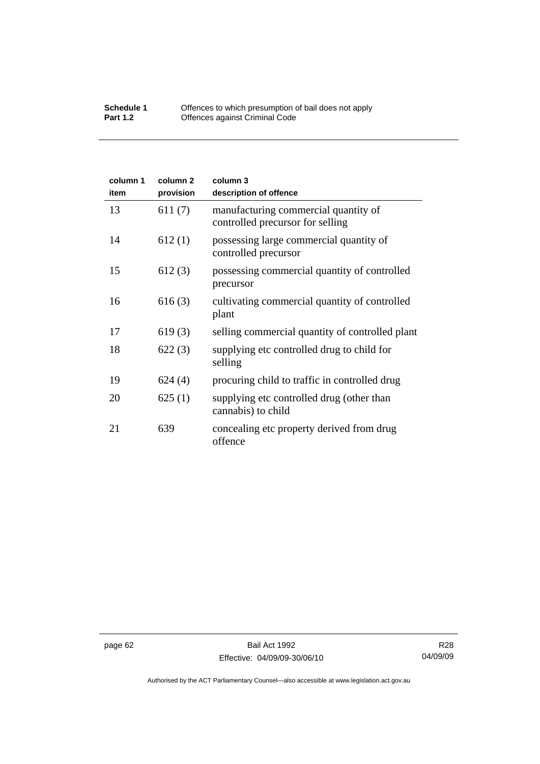#### **Schedule 1** Offences to which presumption of bail does not apply **Part 1.2 C** Offences against Criminal Code

| column 1<br>item | column <sub>2</sub><br>provision | column 3<br>description of offence                                       |
|------------------|----------------------------------|--------------------------------------------------------------------------|
| 13               | 611(7)                           | manufacturing commercial quantity of<br>controlled precursor for selling |
| 14               | 612(1)                           | possessing large commercial quantity of<br>controlled precursor          |
| 15               | 612(3)                           | possessing commercial quantity of controlled<br>precursor                |
| 16               | 616(3)                           | cultivating commercial quantity of controlled<br>plant                   |
| 17               | 619(3)                           | selling commercial quantity of controlled plant                          |
| 18               | 622(3)                           | supplying etc controlled drug to child for<br>selling                    |
| 19               | 624(4)                           | procuring child to traffic in controlled drug                            |
| 20               | 625(1)                           | supplying etc controlled drug (other than<br>cannabis) to child          |
| 21               | 639                              | concealing etc property derived from drug<br>offence                     |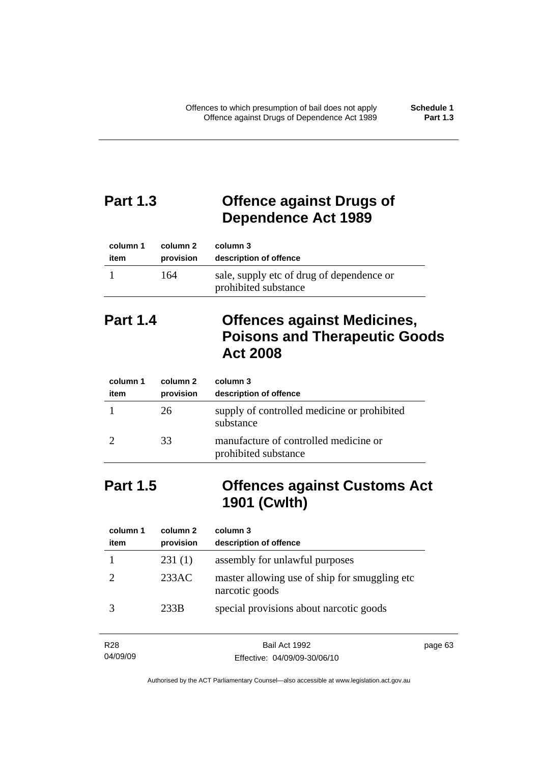# **Part 1.3 Offence against Drugs of Dependence Act 1989**

| column 1 | column 2  | column 3                                                          |
|----------|-----------|-------------------------------------------------------------------|
| item     | provision | description of offence                                            |
|          | 164       | sale, supply etc of drug of dependence or<br>prohibited substance |

# **Part 1.4 Offences against Medicines, Poisons and Therapeutic Goods Act 2008**

| column 1<br>item | column 2<br>provision | column 3<br>description of offence                            |
|------------------|-----------------------|---------------------------------------------------------------|
|                  | 26                    | supply of controlled medicine or prohibited<br>substance      |
|                  | 33                    | manufacture of controlled medicine or<br>prohibited substance |

## **Part 1.5 Offences against Customs Act 1901 (Cwlth)**

| column 1<br>item | column 2<br>provision | column 3<br>description of offence                               |
|------------------|-----------------------|------------------------------------------------------------------|
|                  | 231(1)                | assembly for unlawful purposes                                   |
|                  | 233AC                 | master allowing use of ship for smuggling etc.<br>narcotic goods |
|                  | 233B                  | special provisions about narcotic goods                          |

| R <sub>28</sub> | Bail Act 1992                | page 63 |
|-----------------|------------------------------|---------|
| 04/09/09        | Effective: 04/09/09-30/06/10 |         |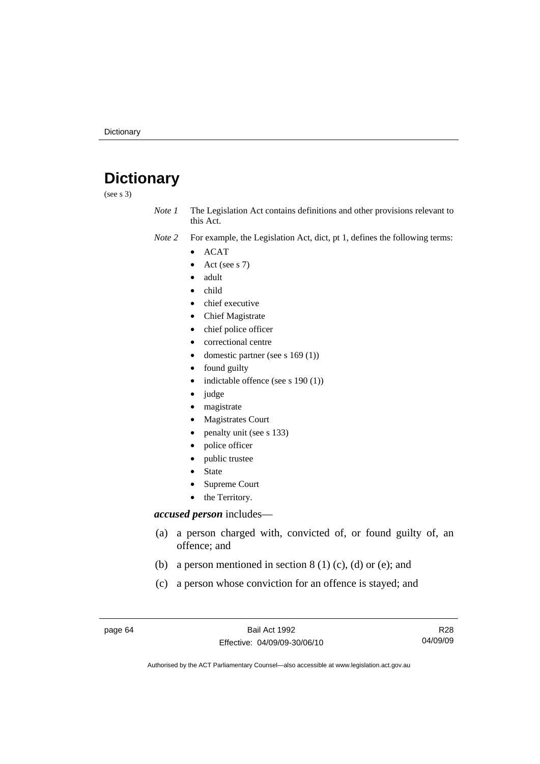# **Dictionary**

(see s 3)

*Note 1* The Legislation Act contains definitions and other provisions relevant to this Act.

*Note 2* For example, the Legislation Act, dict, pt 1, defines the following terms:

- ACAT
- Act (see s 7)
- adult
- child
- chief executive
- Chief Magistrate
- chief police officer
- correctional centre
- domestic partner (see s 169 (1))
- found guilty
- indictable offence (see s 190 (1))
- judge
- magistrate
- Magistrates Court
- penalty unit (see s 133)
- police officer
- public trustee
- **State**
- Supreme Court
- the Territory.

#### *accused person* includes—

- (a) a person charged with, convicted of, or found guilty of, an offence; and
- (b) a person mentioned in section  $8(1)(c)$ , (d) or (e); and
- (c) a person whose conviction for an offence is stayed; and

page 64 Bail Act 1992 Effective: 04/09/09-30/06/10

R28 04/09/09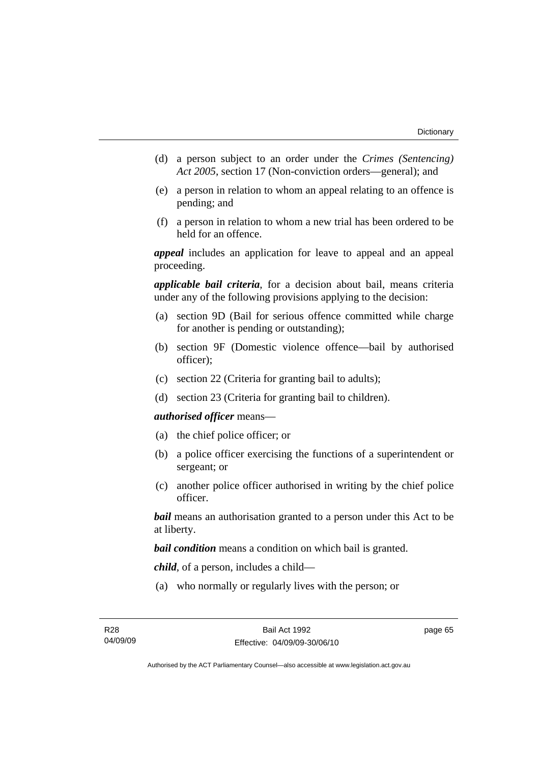- (d) a person subject to an order under the *Crimes (Sentencing) Act 2005*, section 17 (Non-conviction orders—general); and
- (e) a person in relation to whom an appeal relating to an offence is pending; and
- (f) a person in relation to whom a new trial has been ordered to be held for an offence.

*appeal* includes an application for leave to appeal and an appeal proceeding.

*applicable bail criteria*, for a decision about bail, means criteria under any of the following provisions applying to the decision:

- (a) section 9D (Bail for serious offence committed while charge for another is pending or outstanding);
- (b) section 9F (Domestic violence offence—bail by authorised officer);
- (c) section 22 (Criteria for granting bail to adults);
- (d) section 23 (Criteria for granting bail to children).

#### *authorised officer* means—

- (a) the chief police officer; or
- (b) a police officer exercising the functions of a superintendent or sergeant; or
- (c) another police officer authorised in writing by the chief police officer.

*bail* means an authorisation granted to a person under this Act to be at liberty.

*bail condition* means a condition on which bail is granted.

*child*, of a person, includes a child—

(a) who normally or regularly lives with the person; or

page 65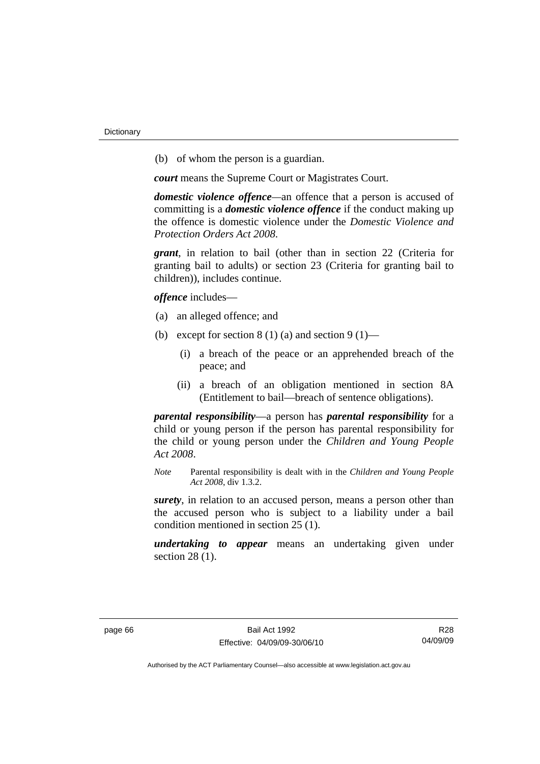(b) of whom the person is a guardian.

*court* means the Supreme Court or Magistrates Court.

*domestic violence offence—*an offence that a person is accused of committing is a *domestic violence offence* if the conduct making up the offence is domestic violence under the *Domestic Violence and Protection Orders Act 2008*.

*grant*, in relation to bail (other than in section 22 (Criteria for granting bail to adults) or section 23 (Criteria for granting bail to children)), includes continue.

*offence* includes—

- (a) an alleged offence; and
- (b) except for section  $8(1)(a)$  and section  $9(1)$ 
	- (i) a breach of the peace or an apprehended breach of the peace; and
	- (ii) a breach of an obligation mentioned in section 8A (Entitlement to bail—breach of sentence obligations).

*parental responsibility*—a person has *parental responsibility* for a child or young person if the person has parental responsibility for the child or young person under the *Children and Young People Act 2008*.

*Note* Parental responsibility is dealt with in the *Children and Young People Act 2008*, div 1.3.2.

*surety*, in relation to an accused person, means a person other than the accused person who is subject to a liability under a bail condition mentioned in section 25 (1).

*undertaking to appear* means an undertaking given under section 28 (1).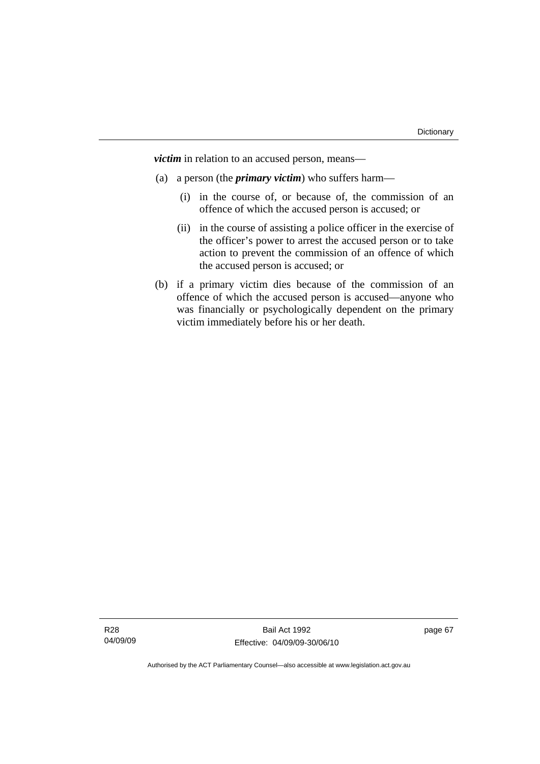*victim* in relation to an accused person, means—

- (a) a person (the *primary victim*) who suffers harm—
	- (i) in the course of, or because of, the commission of an offence of which the accused person is accused; or
	- (ii) in the course of assisting a police officer in the exercise of the officer's power to arrest the accused person or to take action to prevent the commission of an offence of which the accused person is accused; or
- (b) if a primary victim dies because of the commission of an offence of which the accused person is accused—anyone who was financially or psychologically dependent on the primary victim immediately before his or her death.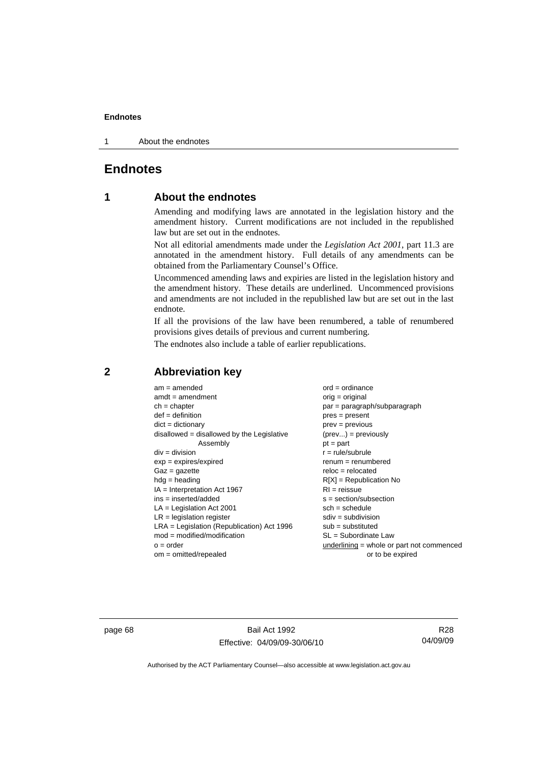1 About the endnotes

# **Endnotes**

# **1 About the endnotes**

Amending and modifying laws are annotated in the legislation history and the amendment history. Current modifications are not included in the republished law but are set out in the endnotes.

Not all editorial amendments made under the *Legislation Act 2001*, part 11.3 are annotated in the amendment history. Full details of any amendments can be obtained from the Parliamentary Counsel's Office.

Uncommenced amending laws and expiries are listed in the legislation history and the amendment history. These details are underlined. Uncommenced provisions and amendments are not included in the republished law but are set out in the last endnote.

If all the provisions of the law have been renumbered, a table of renumbered provisions gives details of previous and current numbering.

The endnotes also include a table of earlier republications.

| $am = amended$                               | $ord = ordinance$                         |
|----------------------------------------------|-------------------------------------------|
| $amdt = amendment$                           | $orig = original$                         |
| $ch = chapter$                               | $par = paragraph/subparagraph$            |
| $def = definition$                           | $pres = present$                          |
| $dict = dictionary$                          | $prev = previous$                         |
| disallowed = disallowed by the Legislative   | $(\text{prev}) = \text{previously}$       |
| Assembly                                     | $pt = part$                               |
| $div = division$                             | $r = rule/subrule$                        |
| $exp = expires/expired$                      | $renum = renumbered$                      |
| $Gaz = gazette$                              | $reloc = relocated$                       |
| $hdg =$ heading                              | $R[X]$ = Republication No                 |
| $IA = Interpretation Act 1967$               | $RI = reissue$                            |
| $ins = inserted/added$                       | $s = section/subsection$                  |
| $LA =$ Legislation Act 2001                  | $sch = schedule$                          |
| $LR =$ legislation register                  | $sdiv = subdivision$                      |
| $LRA =$ Legislation (Republication) Act 1996 | $sub = substituted$                       |
| $mod = modified/modification$                | SL = Subordinate Law                      |
| $o = order$                                  | underlining = whole or part not commenced |
| $om = omitted/report$                        | or to be expired                          |
|                                              |                                           |

# **2 Abbreviation key**

page 68 Bail Act 1992 Effective: 04/09/09-30/06/10

R28 04/09/09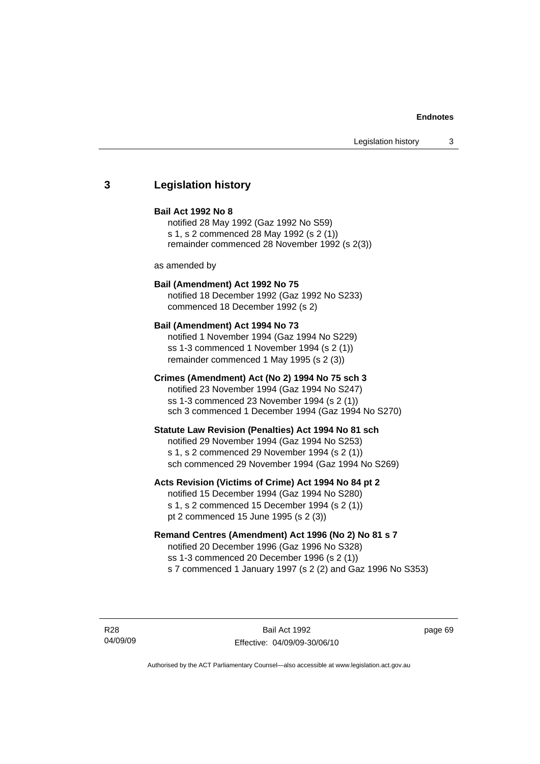# **3 Legislation history**

#### **Bail Act 1992 No 8**

notified 28 May 1992 (Gaz 1992 No S59) s 1, s 2 commenced 28 May 1992 (s 2 (1)) remainder commenced 28 November 1992 (s 2(3))

as amended by

# **Bail (Amendment) Act 1992 No 75**

notified 18 December 1992 (Gaz 1992 No S233) commenced 18 December 1992 (s 2)

#### **Bail (Amendment) Act 1994 No 73**

notified 1 November 1994 (Gaz 1994 No S229) ss 1-3 commenced 1 November 1994 (s 2 (1)) remainder commenced 1 May 1995 (s 2 (3))

#### **Crimes (Amendment) Act (No 2) 1994 No 75 sch 3**

notified 23 November 1994 (Gaz 1994 No S247) ss 1-3 commenced 23 November 1994 (s 2 (1)) sch 3 commenced 1 December 1994 (Gaz 1994 No S270)

#### **Statute Law Revision (Penalties) Act 1994 No 81 sch**

notified 29 November 1994 (Gaz 1994 No S253) s 1, s 2 commenced 29 November 1994 (s 2 (1)) sch commenced 29 November 1994 (Gaz 1994 No S269)

#### **Acts Revision (Victims of Crime) Act 1994 No 84 pt 2**

notified 15 December 1994 (Gaz 1994 No S280) s 1, s 2 commenced 15 December 1994 (s 2 (1)) pt 2 commenced 15 June 1995 (s 2 (3))

# **Remand Centres (Amendment) Act 1996 (No 2) No 81 s 7**

notified 20 December 1996 (Gaz 1996 No S328) ss 1-3 commenced 20 December 1996 (s 2 (1)) s 7 commenced 1 January 1997 (s 2 (2) and Gaz 1996 No S353)

R28 04/09/09

Bail Act 1992 Effective: 04/09/09-30/06/10 page 69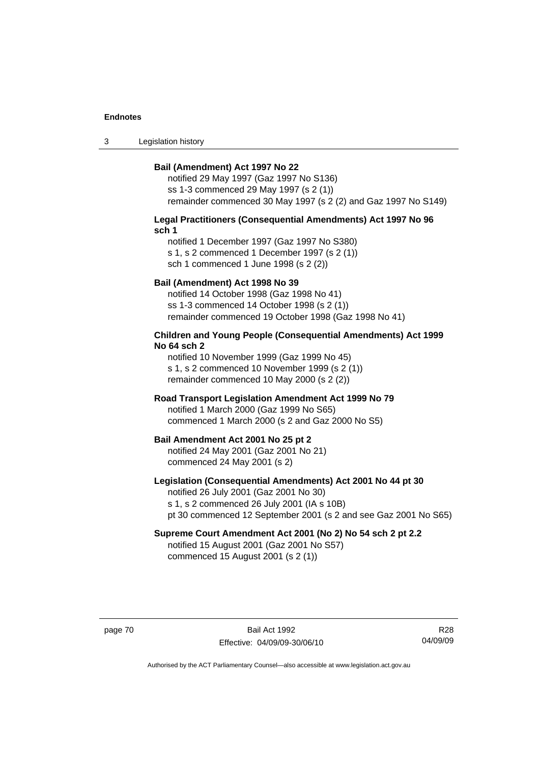3 Legislation history

#### **Bail (Amendment) Act 1997 No 22**

notified 29 May 1997 (Gaz 1997 No S136) ss 1-3 commenced 29 May 1997 (s 2 (1)) remainder commenced 30 May 1997 (s 2 (2) and Gaz 1997 No S149)

#### **Legal Practitioners (Consequential Amendments) Act 1997 No 96 sch 1**

notified 1 December 1997 (Gaz 1997 No S380) s 1, s 2 commenced 1 December 1997 (s 2 (1)) sch 1 commenced 1 June 1998 (s 2 (2))

# **Bail (Amendment) Act 1998 No 39**

notified 14 October 1998 (Gaz 1998 No 41) ss 1-3 commenced 14 October 1998 (s 2 (1)) remainder commenced 19 October 1998 (Gaz 1998 No 41)

#### **Children and Young People (Consequential Amendments) Act 1999 No 64 sch 2**

notified 10 November 1999 (Gaz 1999 No 45) s 1, s 2 commenced 10 November 1999 (s 2 (1)) remainder commenced 10 May 2000 (s 2 (2))

#### **Road Transport Legislation Amendment Act 1999 No 79**

notified 1 March 2000 (Gaz 1999 No S65) commenced 1 March 2000 (s 2 and Gaz 2000 No S5)

#### **Bail Amendment Act 2001 No 25 pt 2**

notified 24 May 2001 (Gaz 2001 No 21) commenced 24 May 2001 (s 2)

# **Legislation (Consequential Amendments) Act 2001 No 44 pt 30**

notified 26 July 2001 (Gaz 2001 No 30) s 1, s 2 commenced 26 July 2001 (IA s 10B) pt 30 commenced 12 September 2001 (s 2 and see Gaz 2001 No S65)

# **Supreme Court Amendment Act 2001 (No 2) No 54 sch 2 pt 2.2**

notified 15 August 2001 (Gaz 2001 No S57) commenced 15 August 2001 (s 2 (1))

page 70 Bail Act 1992 Effective: 04/09/09-30/06/10

R28 04/09/09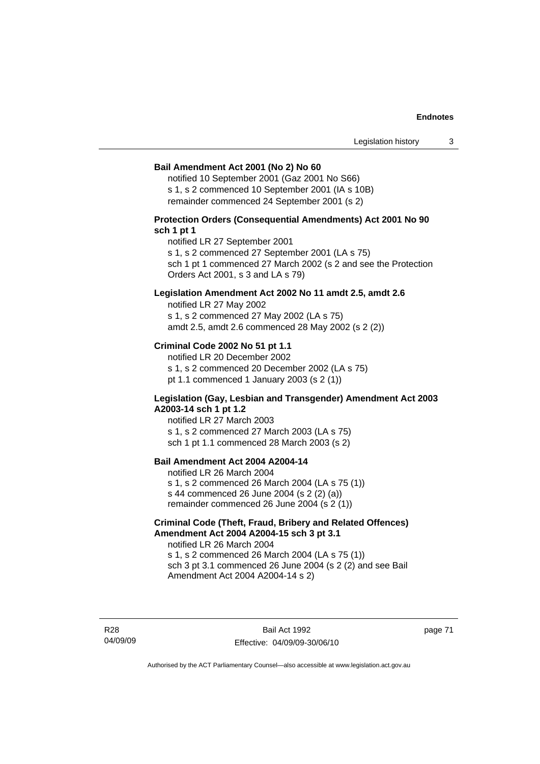#### **Bail Amendment Act 2001 (No 2) No 60**

notified 10 September 2001 (Gaz 2001 No S66) s 1, s 2 commenced 10 September 2001 (IA s 10B) remainder commenced 24 September 2001 (s 2)

# **Protection Orders (Consequential Amendments) Act 2001 No 90 sch 1 pt 1**

notified LR 27 September 2001

s 1, s 2 commenced 27 September 2001 (LA s 75)

sch 1 pt 1 commenced 27 March 2002 (s 2 and see the Protection Orders Act 2001, s 3 and LA s 79)

### **Legislation Amendment Act 2002 No 11 amdt 2.5, amdt 2.6**

notified LR 27 May 2002 s 1, s 2 commenced 27 May 2002 (LA s 75) amdt 2.5, amdt 2.6 commenced 28 May 2002 (s 2 (2))

# **Criminal Code 2002 No 51 pt 1.1**

notified LR 20 December 2002 s 1, s 2 commenced 20 December 2002 (LA s 75) pt 1.1 commenced 1 January 2003 (s 2 (1))

#### **Legislation (Gay, Lesbian and Transgender) Amendment Act 2003 A2003-14 sch 1 pt 1.2**

notified LR 27 March 2003 s 1, s 2 commenced 27 March 2003 (LA s 75) sch 1 pt 1.1 commenced 28 March 2003 (s 2)

# **Bail Amendment Act 2004 A2004-14**

notified LR 26 March 2004 s 1, s 2 commenced 26 March 2004 (LA s 75 (1)) s 44 commenced 26 June 2004 (s 2 (2) (a)) remainder commenced 26 June 2004 (s 2 (1))

# **Criminal Code (Theft, Fraud, Bribery and Related Offences) Amendment Act 2004 A2004-15 sch 3 pt 3.1**

notified LR 26 March 2004 s 1, s 2 commenced 26 March 2004 (LA s 75 (1)) sch 3 pt 3.1 commenced 26 June 2004 (s 2 (2) and see Bail Amendment Act 2004 A2004-14 s 2)

R28 04/09/09

Bail Act 1992 Effective: 04/09/09-30/06/10 page 71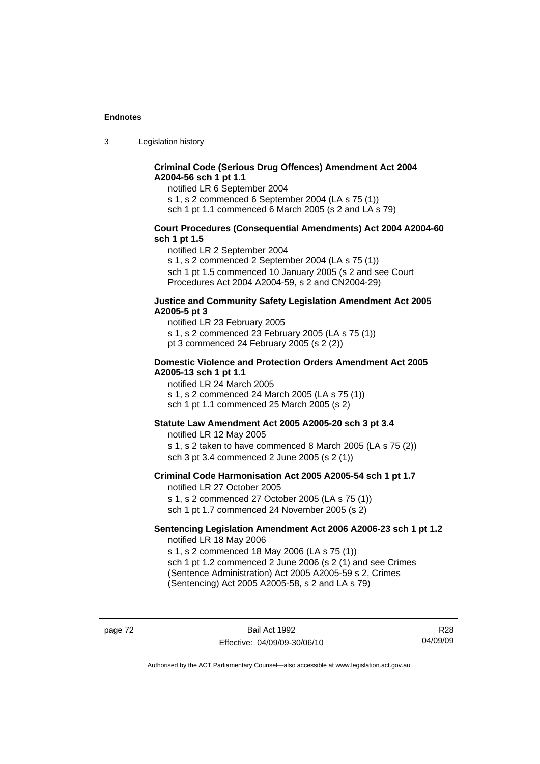3 Legislation history

# **Criminal Code (Serious Drug Offences) Amendment Act 2004 A2004-56 sch 1 pt 1.1**

notified LR 6 September 2004

s 1, s 2 commenced 6 September 2004 (LA s 75 (1))

sch 1 pt 1.1 commenced 6 March 2005 (s 2 and LA s 79)

### **Court Procedures (Consequential Amendments) Act 2004 A2004-60 sch 1 pt 1.5**

notified LR 2 September 2004

s 1, s 2 commenced 2 September 2004 (LA s 75 (1)) sch 1 pt 1.5 commenced 10 January 2005 (s 2 and see Court Procedures Act 2004 A2004-59, s 2 and CN2004-29)

#### **Justice and Community Safety Legislation Amendment Act 2005 A2005-5 pt 3**

notified LR 23 February 2005 s 1, s 2 commenced 23 February 2005 (LA s 75 (1)) pt 3 commenced 24 February 2005 (s 2 (2))

#### **Domestic Violence and Protection Orders Amendment Act 2005 A2005-13 sch 1 pt 1.1**

notified LR 24 March 2005 s 1, s 2 commenced 24 March 2005 (LA s 75 (1)) sch 1 pt 1.1 commenced 25 March 2005 (s 2)

# **Statute Law Amendment Act 2005 A2005-20 sch 3 pt 3.4**

notified LR 12 May 2005 s 1, s 2 taken to have commenced 8 March 2005 (LA s 75 (2)) sch 3 pt 3.4 commenced 2 June 2005 (s 2 (1))

#### **Criminal Code Harmonisation Act 2005 A2005-54 sch 1 pt 1.7**  notified LR 27 October 2005

s 1, s 2 commenced 27 October 2005 (LA s 75 (1)) sch 1 pt 1.7 commenced 24 November 2005 (s 2)

#### **Sentencing Legislation Amendment Act 2006 A2006-23 sch 1 pt 1.2**  notified LR 18 May 2006

s 1, s 2 commenced 18 May 2006 (LA s 75 (1)) sch 1 pt 1.2 commenced 2 June 2006 (s 2 (1) and see Crimes (Sentence Administration) Act 2005 A2005-59 s 2, Crimes

(Sentencing) Act 2005 A2005-58, s 2 and LA s 79)

page 72 Bail Act 1992 Effective: 04/09/09-30/06/10

R28 04/09/09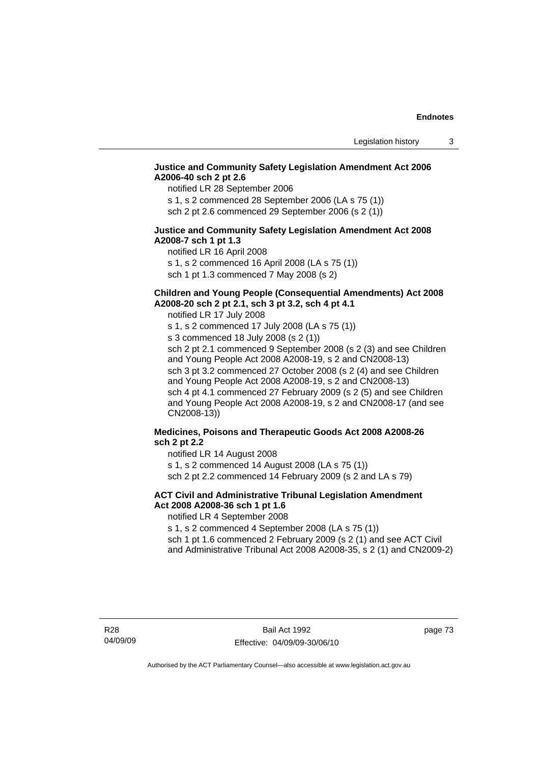# **Justice and Community Safety Legislation Amendment Act 2006 A2006-40 sch 2 pt 2.6**

notified LR 28 September 2006

s 1, s 2 commenced 28 September 2006 (LA s 75 (1)) sch 2 pt 2.6 commenced 29 September 2006 (s 2 (1))

# **Justice and Community Safety Legislation Amendment Act 2008 A2008-7 sch 1 pt 1.3**

notified LR 16 April 2008 s 1, s 2 commenced 16 April 2008 (LA s 75 (1)) sch 1 pt 1.3 commenced 7 May 2008 (s 2)

# **Children and Young People (Consequential Amendments) Act 2008**

**A2008-20 sch 2 pt 2.1, sch 3 pt 3.2, sch 4 pt 4.1** 

notified LR 17 July 2008

s 1, s 2 commenced 17 July 2008 (LA s 75 (1)) s 3 commenced 18 July 2008 (s 2 (1)) sch 2 pt 2.1 commenced 9 September 2008 (s 2 (3) and see Children and Young People Act 2008 A2008-19, s 2 and CN2008-13) sch 3 pt 3.2 commenced 27 October 2008 (s 2 (4) and see Children and Young People Act 2008 A2008-19, s 2 and CN2008-13) sch 4 pt 4.1 commenced 27 February 2009 (s 2 (5) and see Children and Young People Act 2008 A2008-19, s 2 and CN2008-17 (and see CN2008-13))

# **Medicines, Poisons and Therapeutic Goods Act 2008 A2008-26 sch 2 pt 2.2**

notified LR 14 August 2008 s 1, s 2 commenced 14 August 2008 (LA s 75 (1))

sch 2 pt 2.2 commenced 14 February 2009 (s 2 and LA s 79)

# **ACT Civil and Administrative Tribunal Legislation Amendment Act 2008 A2008-36 sch 1 pt 1.6**

notified LR 4 September 2008

s 1, s 2 commenced 4 September 2008 (LA s 75 (1))

sch 1 pt 1.6 commenced 2 February 2009 (s 2 (1) and see ACT Civil and Administrative Tribunal Act 2008 A2008-35, s 2 (1) and CN2009-2)

page 73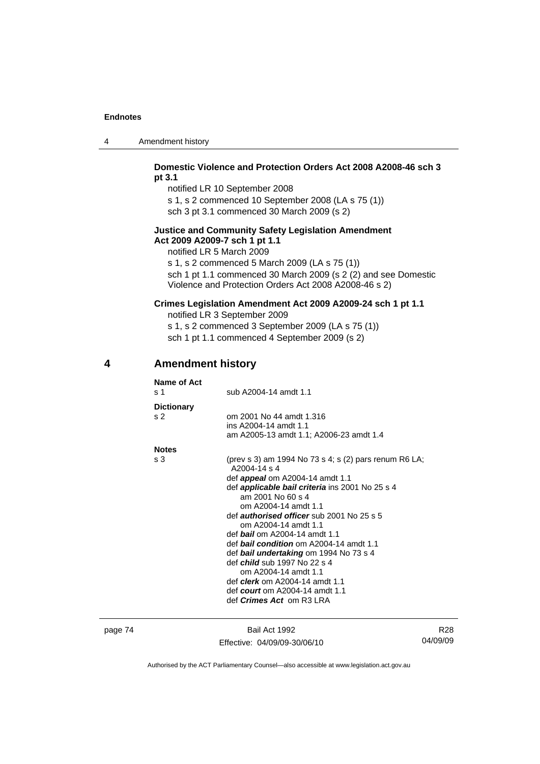| 4 | Amendment history |
|---|-------------------|
|---|-------------------|

# **Domestic Violence and Protection Orders Act 2008 A2008-46 sch 3 pt 3.1**

notified LR 10 September 2008 s 1, s 2 commenced 10 September 2008 (LA s 75 (1)) sch 3 pt 3.1 commenced 30 March 2009 (s 2)

#### **Justice and Community Safety Legislation Amendment Act 2009 A2009-7 sch 1 pt 1.1**

notified LR 5 March 2009

s 1, s 2 commenced 5 March 2009 (LA s 75 (1)) sch 1 pt 1.1 commenced 30 March 2009 (s 2 (2) and see Domestic Violence and Protection Orders Act 2008 A2008-46 s 2)

# **Crimes Legislation Amendment Act 2009 A2009-24 sch 1 pt 1.1**

notified LR 3 September 2009 s 1, s 2 commenced 3 September 2009 (LA s 75 (1))

sch 1 pt 1.1 commenced 4 September 2009 (s 2)

# **4 Amendment history**

| Name of Act       |                                                                             |
|-------------------|-----------------------------------------------------------------------------|
| s 1               | sub A2004-14 amdt 1.1                                                       |
| <b>Dictionary</b> |                                                                             |
| s <sub>2</sub>    | om 2001 No 44 amdt 1.316                                                    |
|                   | ins A2004-14 amdt 1.1                                                       |
|                   | am A2005-13 amdt 1.1; A2006-23 amdt 1.4                                     |
| <b>Notes</b>      |                                                                             |
| s 3               | (prev s 3) am 1994 No 73 s 4; s (2) pars renum R6 LA;<br>A2004-14 s 4       |
|                   | def <b>appeal</b> om A2004-14 amdt 1.1                                      |
|                   | def <b>applicable bail criteria</b> ins 2001 No 25 s 4<br>am 2001 No 60 s 4 |
|                   | om A2004-14 amdt 1.1                                                        |
|                   | def <i>authorised officer</i> sub 2001 No 25 s 5                            |
|                   | om A2004-14 amdt 1.1                                                        |
|                   | def <b>bail</b> om A2004-14 amdt 1.1                                        |
|                   | def <b>bail condition</b> om A2004-14 amdt 1.1                              |
|                   | def bail undertaking om 1994 No 73 s 4                                      |
|                   | def <i>child</i> sub 1997 No 22 s 4                                         |
|                   | om A2004-14 amdt 1.1                                                        |
|                   | def <i>clerk</i> om A2004-14 amdt 1.1                                       |
|                   | def <i>court</i> om A2004-14 amdt 1.1                                       |
|                   | def <i>Crimes Act</i> om R3 LRA                                             |
|                   |                                                                             |

page 74 Bail Act 1992 Effective: 04/09/09-30/06/10

R28 04/09/09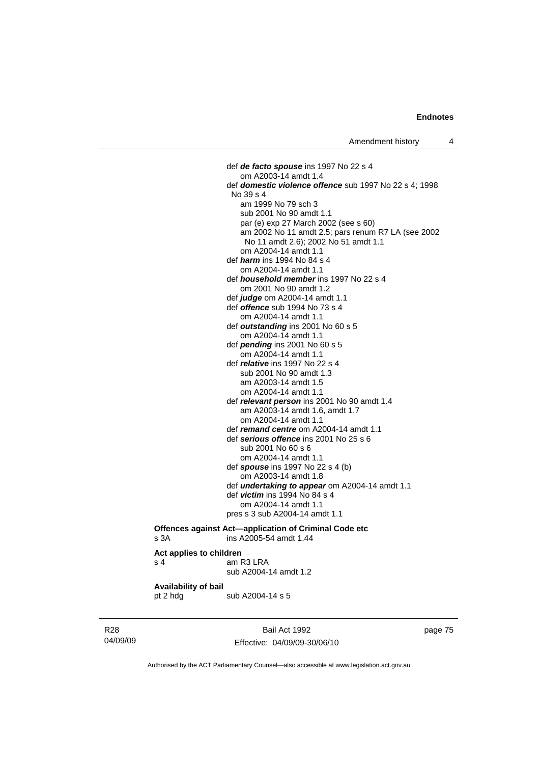def *de facto spouse* ins 1997 No 22 s 4 om A2003-14 amdt 1.4 def *domestic violence offence* sub 1997 No 22 s 4; 1998 No 39 s 4 am 1999 No 79 sch 3 sub 2001 No 90 amdt 1.1 par (e) exp 27 March 2002 (see s 60) am 2002 No 11 amdt 2.5; pars renum R7 LA (see 2002 No 11 amdt 2.6); 2002 No 51 amdt 1.1 om A2004-14 amdt 1.1 def *harm* ins 1994 No 84 s 4 om A2004-14 amdt 1.1 def *household member* ins 1997 No 22 s 4 om 2001 No 90 amdt 1.2 def *judge* om A2004-14 amdt 1.1 def *offence* sub 1994 No 73 s 4 om A2004-14 amdt 1.1 def *outstanding* ins 2001 No 60 s 5 om A2004-14 amdt 1.1 def *pending* ins 2001 No 60 s 5 om A2004-14 amdt 1.1 def *relative* ins 1997 No 22 s 4 sub 2001 No 90 amdt 1.3 am A2003-14 amdt 1.5 om A2004-14 amdt 1.1 def *relevant person* ins 2001 No 90 amdt 1.4 am A2003-14 amdt 1.6, amdt 1.7 om A2004-14 amdt 1.1 def *remand centre* om A2004-14 amdt 1.1 def *serious offence* ins 2001 No 25 s 6 sub 2001 No 60 s 6 om A2004-14 amdt 1.1 def *spouse* ins 1997 No 22 s 4 (b) om A2003-14 amdt 1.8 def *undertaking to appear* om A2004-14 amdt 1.1 def *victim* ins 1994 No 84 s 4 om A2004-14 amdt 1.1 pres s 3 sub A2004-14 amdt 1.1

#### **Offences against Act—application of Criminal Code etc**  s 3A ins A2005-54 amdt 1.44

#### **Act applies to children**

| s <sub>4</sub> | am R3 LRA             |
|----------------|-----------------------|
|                | sub A2004-14 amdt 1.2 |

# **Availability of bail**

pt 2 hdg sub A2004-14 s 5

R28 04/09/09

Bail Act 1992 Effective: 04/09/09-30/06/10 page 75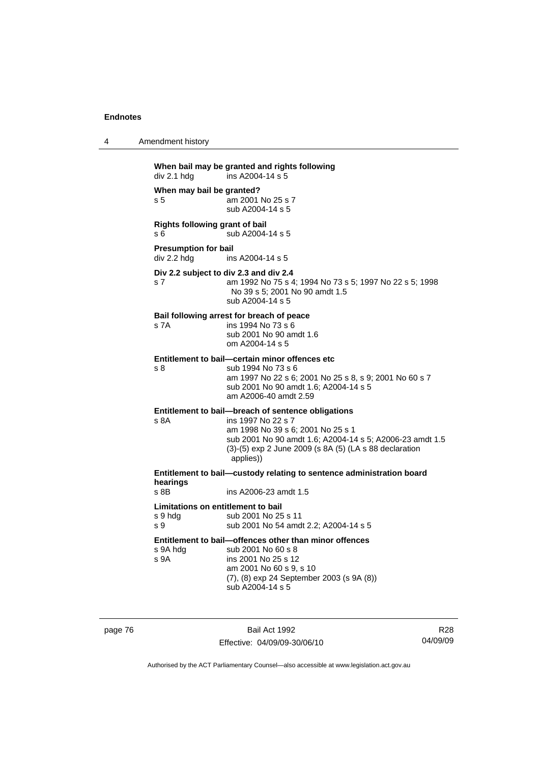| When bail may be granted and rights following |
|-----------------------------------------------|
| ins A2004-14 s 5                              |
|                                               |

4 Amendment history

**When may bail be granted?**  s 5 am 2001 No 25 s 7 sub A2004-14 s 5

**Rights following grant of bail**  s 6 sub A2004-14 s 5

**Presumption for bail**<br>div 2.2 hdg ins ins A2004-14 s 5

**Div 2.2 subject to div 2.3 and div 2.4** s 7 am 1992 No 75 s 4; 1994 No 73 s 5; 1997 No 22 s 5; 1998 No 39 s 5; 2001 No 90 amdt 1.5 sub A2004-14 s 5

#### **Bail following arrest for breach of peace**

s 7A ins 1994 No 73 s 6 sub 2001 No 90 amdt 1.6 om A2004-14 s 5

#### **Entitlement to bail—certain minor offences etc**

s 8 sub 1994 No 73 s 6 am 1997 No 22 s 6; 2001 No 25 s 8, s 9; 2001 No 60 s 7 sub 2001 No 90 amdt 1.6; A2004-14 s 5 am A2006-40 amdt 2.59

# **Entitlement to bail—breach of sentence obligations**

s 8A ins 1997 No 22 s 7 am 1998 No 39 s 6; 2001 No 25 s 1 sub 2001 No 90 amdt 1.6; A2004-14 s 5; A2006-23 amdt 1.5 (3)-(5) exp 2 June 2009 (s 8A (5) (LA s 88 declaration applies))

**Entitlement to bail—custody relating to sentence administration board hearings**

ins A2006-23 amdt 1.5

#### **Limitations on entitlement to bail**

s 9 hdg sub 2001 No 25 s 11 s 9 sub 2001 No 54 amdt 2.2; A2004-14 s 5

**Entitlement to bail—offences other than minor offences**  s 9A h

| s 9A hda | sub 2001 No 60 s 8                                |
|----------|---------------------------------------------------|
| s 9A     | ins 2001 No 25 s 12                               |
|          | am 2001 No 60 s 9, s 10                           |
|          | $(7)$ , $(8)$ exp 24 September 2003 (s 9A $(8)$ ) |
|          | sub A2004-14 s 5                                  |
|          |                                                   |

s 9A

page 76 Bail Act 1992 Effective: 04/09/09-30/06/10

R28 04/09/09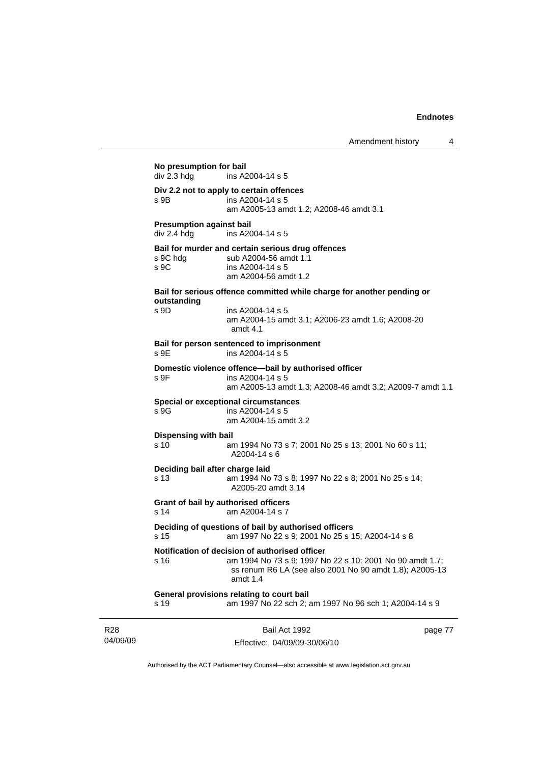| No presumption for bail<br>div 2.3 hdg | ins A2004-14 s 5                                                                                                    |         |
|----------------------------------------|---------------------------------------------------------------------------------------------------------------------|---------|
|                                        | Div 2.2 not to apply to certain offences                                                                            |         |
| s 9B                                   | ins A2004-14 s 5<br>am A2005-13 amdt 1.2; A2008-46 amdt 3.1                                                         |         |
| <b>Presumption against bail</b>        |                                                                                                                     |         |
| div 2.4 hdg                            | ins A2004-14 s 5                                                                                                    |         |
|                                        | Bail for murder and certain serious drug offences                                                                   |         |
| s 9C hdg                               | sub A2004-56 amdt 1.1                                                                                               |         |
| S <sub>9C</sub>                        | ins A2004-14 s 5<br>am A2004-56 amdt 1.2                                                                            |         |
|                                        |                                                                                                                     |         |
| outstanding                            | Bail for serious offence committed while charge for another pending or                                              |         |
| s 9D                                   | ins A2004-14 s 5                                                                                                    |         |
|                                        | am A2004-15 amdt 3.1; A2006-23 amdt 1.6; A2008-20                                                                   |         |
|                                        | amdt $4.1$                                                                                                          |         |
| S <sub>9E</sub>                        | Bail for person sentenced to imprisonment<br>ins A2004-14 s 5                                                       |         |
|                                        |                                                                                                                     |         |
| S.9F                                   | Domestic violence offence-bail by authorised officer<br>ins $A2004 - 14$ s 5                                        |         |
|                                        | am A2005-13 amdt 1.3; A2008-46 amdt 3.2; A2009-7 amdt 1.1                                                           |         |
|                                        | <b>Special or exceptional circumstances</b>                                                                         |         |
| s 9G                                   | ins A2004-14 s 5                                                                                                    |         |
|                                        | am A2004-15 amdt 3.2                                                                                                |         |
| <b>Dispensing with bail</b>            |                                                                                                                     |         |
| s 10                                   | am 1994 No 73 s 7; 2001 No 25 s 13; 2001 No 60 s 11;<br>A2004-14 s 6                                                |         |
|                                        |                                                                                                                     |         |
| s 13                                   | Deciding bail after charge laid<br>am 1994 No 73 s 8; 1997 No 22 s 8; 2001 No 25 s 14;                              |         |
|                                        | A2005-20 amdt 3.14                                                                                                  |         |
|                                        | Grant of bail by authorised officers                                                                                |         |
| s 14                                   | am A2004-14 s 7                                                                                                     |         |
|                                        | Deciding of questions of bail by authorised officers                                                                |         |
| s 15                                   | am 1997 No 22 s 9; 2001 No 25 s 15; A2004-14 s 8                                                                    |         |
|                                        | Notification of decision of authorised officer                                                                      |         |
| s 16                                   | am 1994 No 73 s 9; 1997 No 22 s 10; 2001 No 90 amdt 1.7;<br>ss renum R6 LA (see also 2001 No 90 amdt 1.8); A2005-13 |         |
|                                        | amdt 1.4                                                                                                            |         |
| s 19                                   | General provisions relating to court bail<br>am 1997 No 22 sch 2; am 1997 No 96 sch 1; A2004-14 s 9                 |         |
|                                        |                                                                                                                     |         |
|                                        |                                                                                                                     |         |
|                                        | Bail Act 1992                                                                                                       | page 77 |

R28 04/09/09 Effective: 04/09/09-30/06/10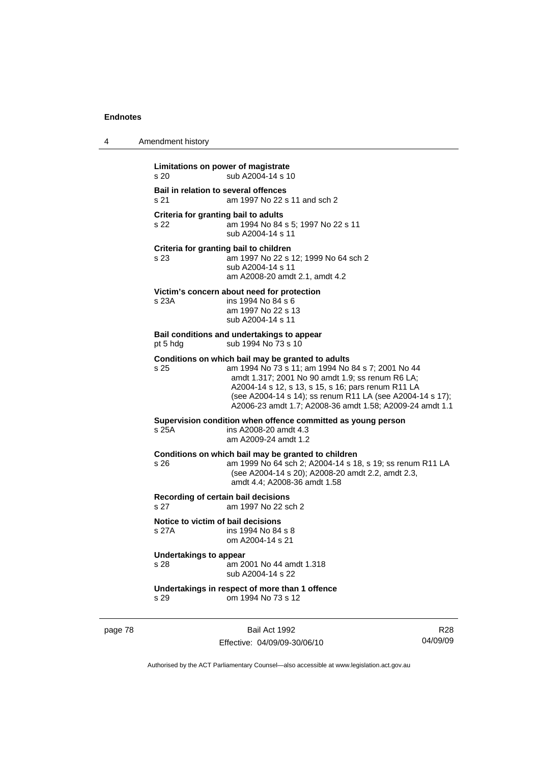| 4 | Amendment history                                                                                                                                                                                                                                                                                                                                 |
|---|---------------------------------------------------------------------------------------------------------------------------------------------------------------------------------------------------------------------------------------------------------------------------------------------------------------------------------------------------|
|   | Limitations on power of magistrate<br>s <sub>20</sub><br>sub A2004-14 s 10                                                                                                                                                                                                                                                                        |
|   | Bail in relation to several offences<br>am 1997 No 22 s 11 and sch 2<br>s 21                                                                                                                                                                                                                                                                      |
|   | Criteria for granting bail to adults<br>s 22<br>am 1994 No 84 s 5; 1997 No 22 s 11<br>sub A2004-14 s 11                                                                                                                                                                                                                                           |
|   | Criteria for granting bail to children<br>s 23<br>am 1997 No 22 s 12; 1999 No 64 sch 2<br>sub A2004-14 s 11<br>am A2008-20 amdt 2.1, amdt 4.2                                                                                                                                                                                                     |
|   | Victim's concern about need for protection<br>s 23A<br>ins 1994 No 84 s 6<br>am 1997 No 22 s 13<br>sub A2004-14 s 11                                                                                                                                                                                                                              |
|   | Bail conditions and undertakings to appear<br>sub 1994 No 73 s 10<br>pt 5 hdg                                                                                                                                                                                                                                                                     |
|   | Conditions on which bail may be granted to adults<br>s 25<br>am 1994 No 73 s 11; am 1994 No 84 s 7; 2001 No 44<br>amdt 1.317; 2001 No 90 amdt 1.9; ss renum R6 LA;<br>A2004-14 s 12, s 13, s 15, s 16; pars renum R11 LA<br>(see A2004-14 s 14); ss renum R11 LA (see A2004-14 s 17);<br>A2006-23 amdt 1.7; A2008-36 amdt 1.58; A2009-24 amdt 1.1 |
|   | Supervision condition when offence committed as young person<br>s 25A<br>ins A2008-20 amdt 4.3<br>am A2009-24 amdt 1.2                                                                                                                                                                                                                            |
|   | Conditions on which bail may be granted to children<br>s 26<br>am 1999 No 64 sch 2; A2004-14 s 18, s 19; ss renum R11 LA<br>(see A2004-14 s 20); A2008-20 amdt 2.2, amdt 2.3,<br>amdt 4.4: A2008-36 amdt 1.58                                                                                                                                     |
|   | Recording of certain bail decisions<br>s 27<br>am 1997 No 22 sch 2                                                                                                                                                                                                                                                                                |
|   | Notice to victim of bail decisions<br>s 27A<br>ins 1994 No 84 s 8<br>om A2004-14 s 21                                                                                                                                                                                                                                                             |
|   | Undertakings to appear<br>s 28<br>am 2001 No 44 amdt 1.318<br>sub A2004-14 s 22                                                                                                                                                                                                                                                                   |
|   | Undertakings in respect of more than 1 offence<br>s 29<br>om 1994 No 73 s 12                                                                                                                                                                                                                                                                      |

page 78 Bail Act 1992 Effective: 04/09/09-30/06/10

R28 04/09/09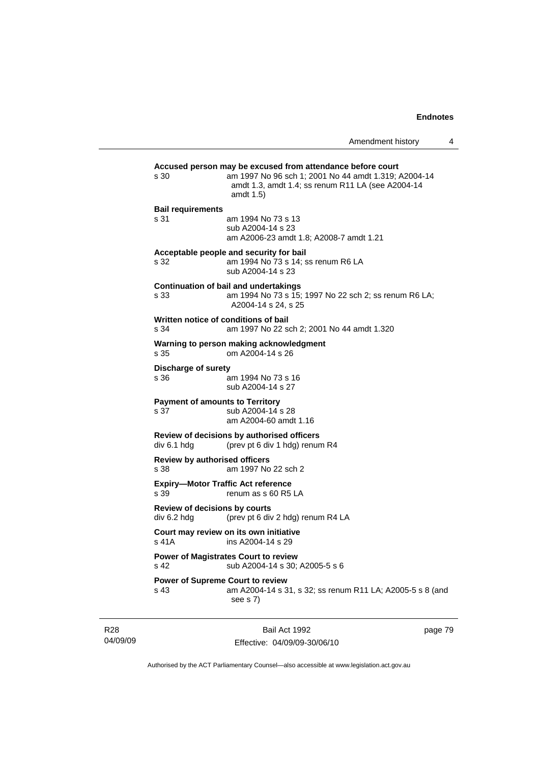|                                                   | Amendment history                                                                                                                                                                    | 4 |
|---------------------------------------------------|--------------------------------------------------------------------------------------------------------------------------------------------------------------------------------------|---|
| s 30                                              | Accused person may be excused from attendance before court<br>am 1997 No 96 sch 1; 2001 No 44 amdt 1.319; A2004-14<br>amdt 1.3, amdt 1.4; ss renum R11 LA (see A2004-14<br>amdt 1.5) |   |
| <b>Bail requirements</b><br>s 31                  | am 1994 No 73 s 13<br>sub A2004-14 s 23<br>am A2006-23 amdt 1.8; A2008-7 amdt 1.21                                                                                                   |   |
| s 32                                              | Acceptable people and security for bail<br>am 1994 No 73 s 14; ss renum R6 LA<br>sub A2004-14 s 23                                                                                   |   |
| s 33                                              | <b>Continuation of bail and undertakings</b><br>am 1994 No 73 s 15; 1997 No 22 sch 2; ss renum R6 LA;<br>A2004-14 s 24, s 25                                                         |   |
| Written notice of conditions of bail<br>s 34      | am 1997 No 22 sch 2; 2001 No 44 amdt 1.320                                                                                                                                           |   |
| s 35                                              | Warning to person making acknowledgment<br>om A2004-14 s 26                                                                                                                          |   |
| <b>Discharge of surety</b><br>s 36                | am 1994 No 73 s 16<br>sub A2004-14 s 27                                                                                                                                              |   |
| <b>Payment of amounts to Territory</b><br>s 37    | sub A2004-14 s 28<br>am A2004-60 amdt 1.16                                                                                                                                           |   |
| div 6.1 hdg                                       | Review of decisions by authorised officers<br>(prev pt 6 div 1 hdg) renum R4                                                                                                         |   |
| <b>Review by authorised officers</b><br>s 38      | am 1997 No 22 sch 2                                                                                                                                                                  |   |
| <b>Expiry-Motor Traffic Act reference</b><br>s 39 | renum as s 60 R5 LA                                                                                                                                                                  |   |
| Review of decisions by courts<br>div 6.2 hdg      | (prev pt 6 div 2 hdg) renum R4 LA                                                                                                                                                    |   |
| s 41A ins A2004-14 s 29                           | Court may review on its own initiative                                                                                                                                               |   |
| s 42                                              | <b>Power of Magistrates Court to review</b><br>sub A2004-14 s 30; A2005-5 s 6                                                                                                        |   |
| <b>Power of Supreme Court to review</b><br>s 43   | am A2004-14 s 31, s 32; ss renum R11 LA; A2005-5 s 8 (and<br>see s 7)                                                                                                                |   |

R28 04/09/09

Bail Act 1992 Effective: 04/09/09-30/06/10 page 79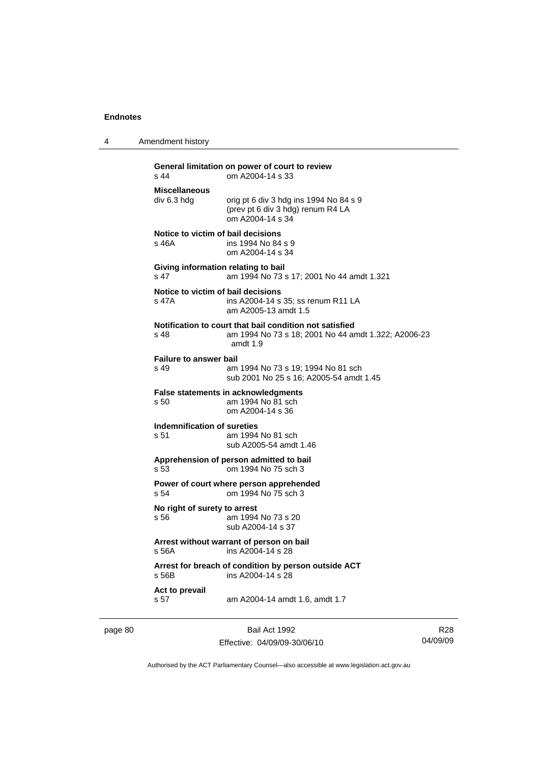4 Amendment history

| $s$ 44                                      | General limitation on power of court to review<br>om A2004-14 s 33                                                           |
|---------------------------------------------|------------------------------------------------------------------------------------------------------------------------------|
| <b>Miscellaneous</b><br>div 6.3 hdg         | orig pt 6 div 3 hdg ins 1994 No 84 s 9<br>(prev pt 6 div 3 hdg) renum R4 LA<br>om A2004-14 s 34                              |
| Notice to victim of bail decisions<br>s 46A | ins 1994 No 84 s 9<br>om A2004-14 s 34                                                                                       |
| s 47                                        | Giving information relating to bail<br>am 1994 No 73 s 17; 2001 No 44 amdt 1.321                                             |
| Notice to victim of bail decisions<br>s 47A | ins A2004-14 s 35; ss renum R11 LA<br>am A2005-13 amdt 1.5                                                                   |
| $s$ 48                                      | Notification to court that bail condition not satisfied<br>am 1994 No 73 s 18; 2001 No 44 amdt 1.322; A2006-23<br>amdt $1.9$ |
| <b>Failure to answer bail</b><br>s 49       | am 1994 No 73 s 19; 1994 No 81 sch<br>sub 2001 No 25 s 16: A2005-54 amdt 1.45                                                |
| s 50                                        | <b>False statements in acknowledgments</b><br>am 1994 No 81 sch<br>om A2004-14 s 36                                          |
| Indemnification of sureties<br>s 51         | am 1994 No 81 sch<br>sub A2005-54 amdt 1.46                                                                                  |
| s 53                                        | Apprehension of person admitted to bail<br>om 1994 No 75 sch 3                                                               |
| s <sub>54</sub>                             | Power of court where person apprehended<br>om 1994 No 75 sch 3                                                               |
| No right of surety to arrest<br>s 56        | am 1994 No 73 s 20<br>sub A2004-14 s 37                                                                                      |
| s.56A                                       | Arrest without warrant of person on bail<br>ins A2004-14 s 28                                                                |
| s 56B                                       | Arrest for breach of condition by person outside ACT<br>ins A2004-14 s 28                                                    |
| Act to prevail<br>s 57                      | am A2004-14 amdt 1.6, amdt 1.7                                                                                               |

page 80 Bail Act 1992

Effective: 04/09/09-30/06/10

R28 04/09/09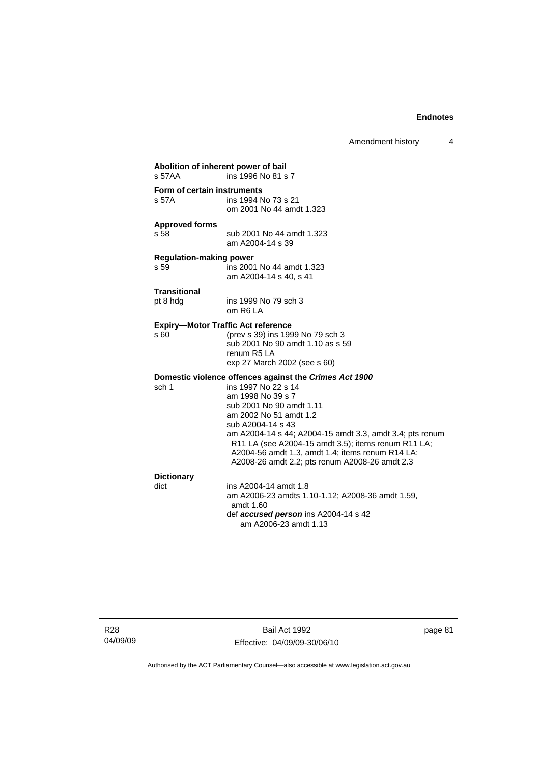Amendment history 4

| Abolition of inherent power of bail<br>s 57AA | ins 1996 No 81 s 7                                                                                                                                                                                                                                                                                                                                                                                     |
|-----------------------------------------------|--------------------------------------------------------------------------------------------------------------------------------------------------------------------------------------------------------------------------------------------------------------------------------------------------------------------------------------------------------------------------------------------------------|
| Form of certain instruments<br>s 57A          | ins 1994 No 73 s 21<br>om 2001 No 44 amdt 1.323                                                                                                                                                                                                                                                                                                                                                        |
| <b>Approved forms</b><br>s 58                 | sub 2001 No 44 amdt 1.323<br>am A2004-14 s 39                                                                                                                                                                                                                                                                                                                                                          |
| <b>Regulation-making power</b><br>s 59        | ins 2001 No 44 amdt 1.323<br>am A2004-14 s 40, s 41                                                                                                                                                                                                                                                                                                                                                    |
| <b>Transitional</b><br>pt 8 hdg               | ins 1999 No 79 sch 3<br>om R6 LA                                                                                                                                                                                                                                                                                                                                                                       |
| s60                                           | <b>Expiry-Motor Traffic Act reference</b><br>(prev s 39) ins 1999 No 79 sch 3<br>sub 2001 No 90 amdt 1.10 as s 59<br>renum R <sub>5</sub> LA<br>exp 27 March 2002 (see s 60)                                                                                                                                                                                                                           |
| sch 1                                         | Domestic violence offences against the Crimes Act 1900<br>ins 1997 No 22 s 14<br>am 1998 No 39 s 7<br>sub 2001 No 90 amdt 1.11<br>am 2002 No 51 amdt 1.2<br>sub A2004-14 s 43<br>am A2004-14 s 44; A2004-15 amdt 3.3, amdt 3.4; pts renum<br>R11 LA (see A2004-15 amdt 3.5); items renum R11 LA;<br>A2004-56 amdt 1.3, amdt 1.4; items renum R14 LA;<br>A2008-26 amdt 2.2; pts renum A2008-26 amdt 2.3 |
| <b>Dictionary</b><br>dict                     | ins A2004-14 amdt 1.8<br>am A2006-23 amdts 1.10-1.12; A2008-36 amdt 1.59,<br>amdt 1.60<br>def accused person ins A2004-14 s 42<br>am A2006-23 amdt 1.13                                                                                                                                                                                                                                                |

R28 04/09/09

Bail Act 1992 Effective: 04/09/09-30/06/10 page 81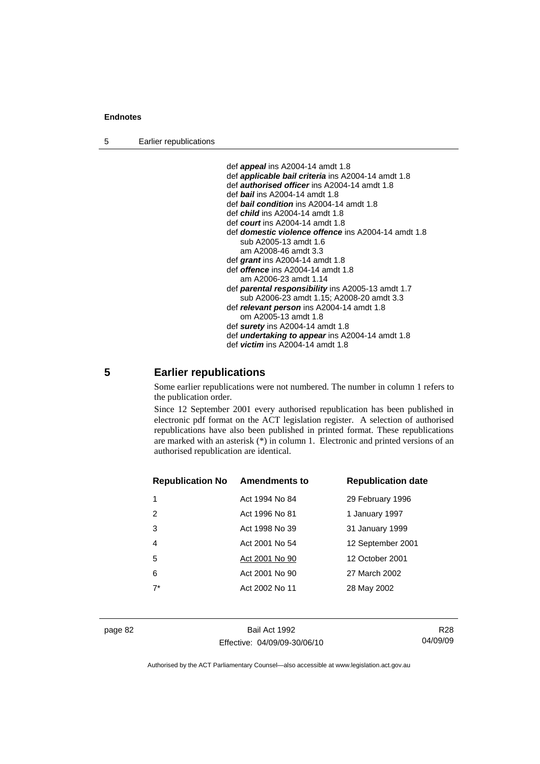5 Earlier republications

 def *appeal* ins A2004-14 amdt 1.8 def *applicable bail criteria* ins A2004-14 amdt 1.8 def *authorised officer* ins A2004-14 amdt 1.8 def *bail* ins A2004-14 amdt 1.8 def *bail condition* ins A2004-14 amdt 1.8 def *child* ins A2004-14 amdt 1.8 def *court* ins A2004-14 amdt 1.8 def *domestic violence offence* ins A2004-14 amdt 1.8 sub A2005-13 amdt 1.6 am A2008-46 amdt 3.3 def *grant* ins A2004-14 amdt 1.8 def *offence* ins A2004-14 amdt 1.8 am A2006-23 amdt 1.14 def *parental responsibility* ins A2005-13 amdt 1.7 sub A2006-23 amdt 1.15; A2008-20 amdt 3.3 def *relevant person* ins A2004-14 amdt 1.8 om A2005-13 amdt 1.8 def *surety* ins A2004-14 amdt 1.8 def *undertaking to appear* ins A2004-14 amdt 1.8 def *victim* ins A2004-14 amdt 1.8

# **5 Earlier republications**

Some earlier republications were not numbered. The number in column 1 refers to the publication order.

Since 12 September 2001 every authorised republication has been published in electronic pdf format on the ACT legislation register. A selection of authorised republications have also been published in printed format. These republications are marked with an asterisk (\*) in column 1. Electronic and printed versions of an authorised republication are identical.

| <b>Republication No Amendments to</b> |                | <b>Republication date</b> |
|---------------------------------------|----------------|---------------------------|
|                                       | Act 1994 No 84 | 29 February 1996          |
| 2                                     | Act 1996 No 81 | 1 January 1997            |
| 3                                     | Act 1998 No 39 | 31 January 1999           |
| $\overline{4}$                        | Act 2001 No 54 | 12 September 2001         |
| 5                                     | Act 2001 No 90 | 12 October 2001           |
| 6                                     | Act 2001 No 90 | 27 March 2002             |
| $7^*$                                 | Act 2002 No 11 | 28 May 2002               |
|                                       |                |                           |

page 82 Bail Act 1992 Effective: 04/09/09-30/06/10

R28 04/09/09